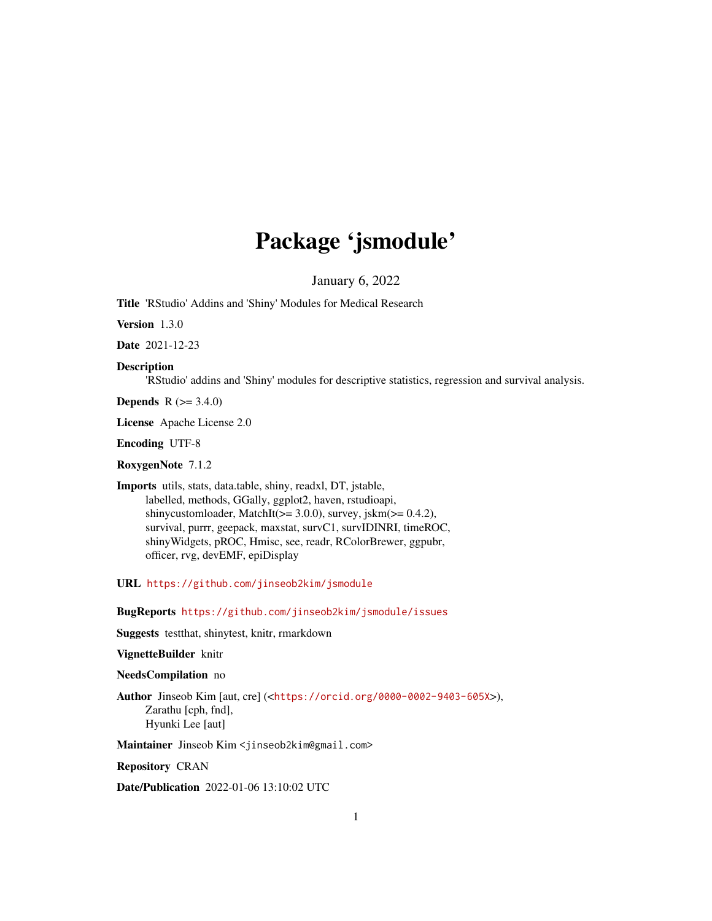# Package 'jsmodule'

January 6, 2022

<span id="page-0-0"></span>Title 'RStudio' Addins and 'Shiny' Modules for Medical Research

Version 1.3.0

Date 2021-12-23

#### Description

'RStudio' addins and 'Shiny' modules for descriptive statistics, regression and survival analysis.

**Depends** R  $(>= 3.4.0)$ 

License Apache License 2.0

Encoding UTF-8

RoxygenNote 7.1.2

Imports utils, stats, data.table, shiny, readxl, DT, jstable, labelled, methods, GGally, ggplot2, haven, rstudioapi, shinycustomloader, MatchIt( $>= 3.0.0$ ), survey, jskm $(>= 0.4.2)$ , survival, purrr, geepack, maxstat, survC1, survIDINRI, timeROC, shinyWidgets, pROC, Hmisc, see, readr, RColorBrewer, ggpubr, officer, rvg, devEMF, epiDisplay

URL <https://github.com/jinseob2kim/jsmodule>

BugReports <https://github.com/jinseob2kim/jsmodule/issues>

Suggests testthat, shinytest, knitr, rmarkdown

#### VignetteBuilder knitr

#### NeedsCompilation no

Author Jinseob Kim [aut, cre] (<<https://orcid.org/0000-0002-9403-605X>>), Zarathu [cph, fnd], Hyunki Lee [aut]

Maintainer Jinseob Kim <jinseob2kim@gmail.com>

Repository CRAN

Date/Publication 2022-01-06 13:10:02 UTC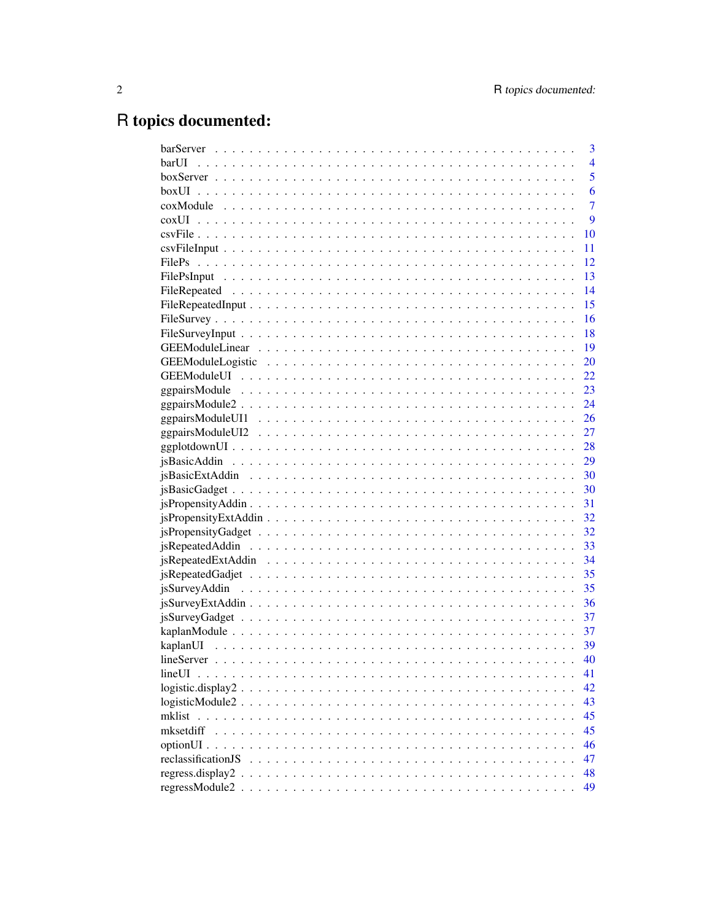# R topics documented:

|                                                                                    | 3              |
|------------------------------------------------------------------------------------|----------------|
| barUI                                                                              | $\overline{4}$ |
|                                                                                    | $\overline{5}$ |
|                                                                                    | 6              |
|                                                                                    | $\overline{7}$ |
|                                                                                    | 9              |
|                                                                                    | 10             |
|                                                                                    | 11             |
|                                                                                    | 12             |
|                                                                                    | 13             |
|                                                                                    | 14             |
|                                                                                    | 15             |
|                                                                                    | 16             |
|                                                                                    | 18             |
|                                                                                    | 19             |
|                                                                                    | 20             |
|                                                                                    |                |
|                                                                                    |                |
|                                                                                    |                |
|                                                                                    |                |
|                                                                                    |                |
|                                                                                    |                |
|                                                                                    |                |
|                                                                                    |                |
|                                                                                    |                |
|                                                                                    |                |
|                                                                                    |                |
|                                                                                    |                |
|                                                                                    |                |
|                                                                                    |                |
|                                                                                    |                |
|                                                                                    |                |
|                                                                                    | 36             |
|                                                                                    | 37             |
|                                                                                    |                |
|                                                                                    | 39             |
|                                                                                    | 40             |
|                                                                                    | 41             |
| $logistic.display2 \ldots \ldots \ldots \ldots \ldots \ldots \ldots \ldots \ldots$ | 42             |
|                                                                                    | 43             |
|                                                                                    | 45             |
| mksetdiff                                                                          | 45             |
|                                                                                    | 46             |
|                                                                                    | 47             |
|                                                                                    |                |
|                                                                                    | 48             |
|                                                                                    | 49             |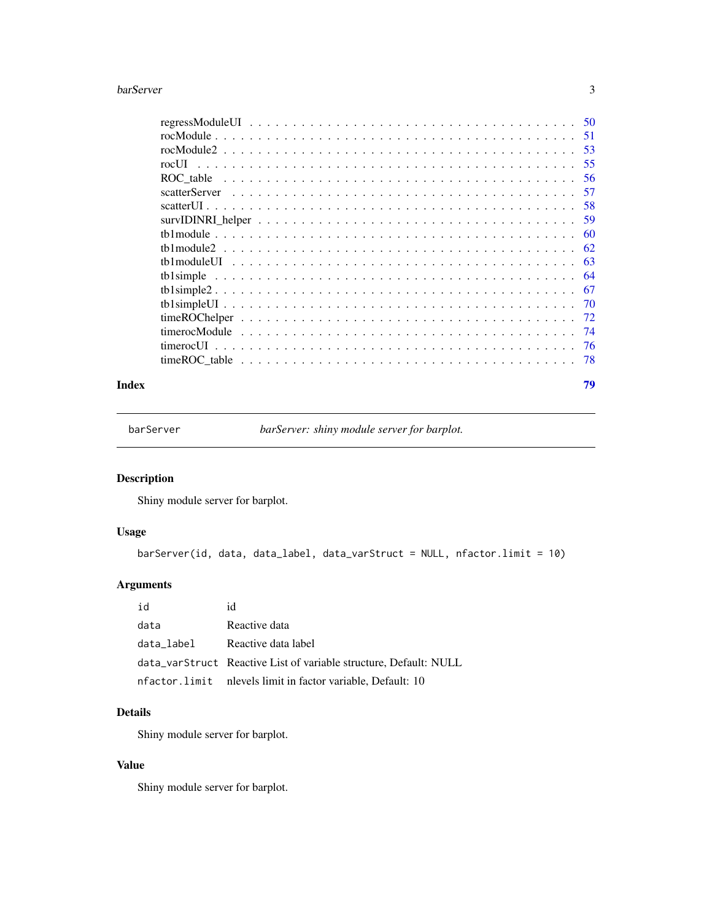#### <span id="page-2-0"></span>barServer 3

|                        | .58  |
|------------------------|------|
| $survIDINRI_{\text{}}$ | 59   |
|                        | 60   |
|                        | 62   |
|                        | -63  |
|                        | 64   |
|                        | -67  |
|                        | -70  |
|                        | 72   |
|                        | - 74 |
|                        |      |
|                        |      |
|                        |      |

#### **Index** [79](#page-78-0)

barServer *barServer: shiny module server for barplot.*

# Description

Shiny module server for barplot.

# Usage

```
barServer(id, data, data_label, data_varStruct = NULL, nfactor.limit = 10)
```
# Arguments

| id         | id                                                                |
|------------|-------------------------------------------------------------------|
| data       | Reactive data                                                     |
| data_label | Reactive data label                                               |
|            | data_varStruct Reactive List of variable structure, Default: NULL |
|            | nfactor.limit nlevels limit in factor variable, Default: 10       |

# Details

Shiny module server for barplot.

## Value

Shiny module server for barplot.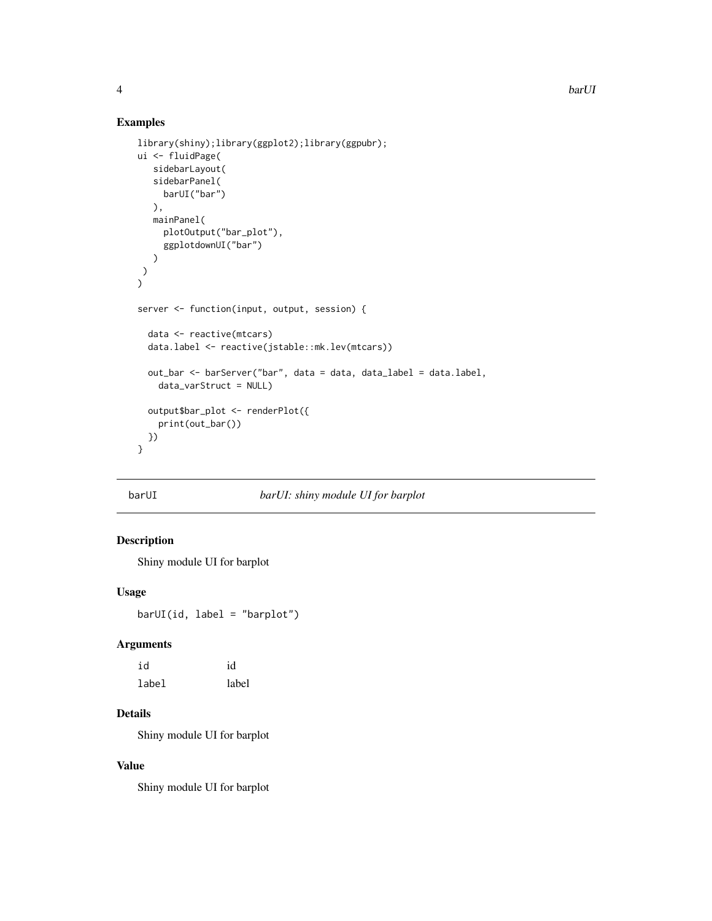## Examples

```
library(shiny);library(ggplot2);library(ggpubr);
ui <- fluidPage(
   sidebarLayout(
   sidebarPanel(
    barUI("bar")
  ),
  mainPanel(
     plotOutput("bar_plot"),
     ggplotdownUI("bar")
  )
)
)
server <- function(input, output, session) {
  data <- reactive(mtcars)
  data.label <- reactive(jstable::mk.lev(mtcars))
  out_bar <- barServer("bar", data = data, data_label = data.label,
    data_varStruct = NULL)
  output$bar_plot <- renderPlot({
    print(out_bar())
  })
}
```
## barUI *barUI: shiny module UI for barplot*

## Description

Shiny module UI for barplot

## Usage

barUI(id, label = "barplot")

#### Arguments

| id    | id    |
|-------|-------|
| label | label |

# Details

Shiny module UI for barplot

# Value

Shiny module UI for barplot

<span id="page-3-0"></span>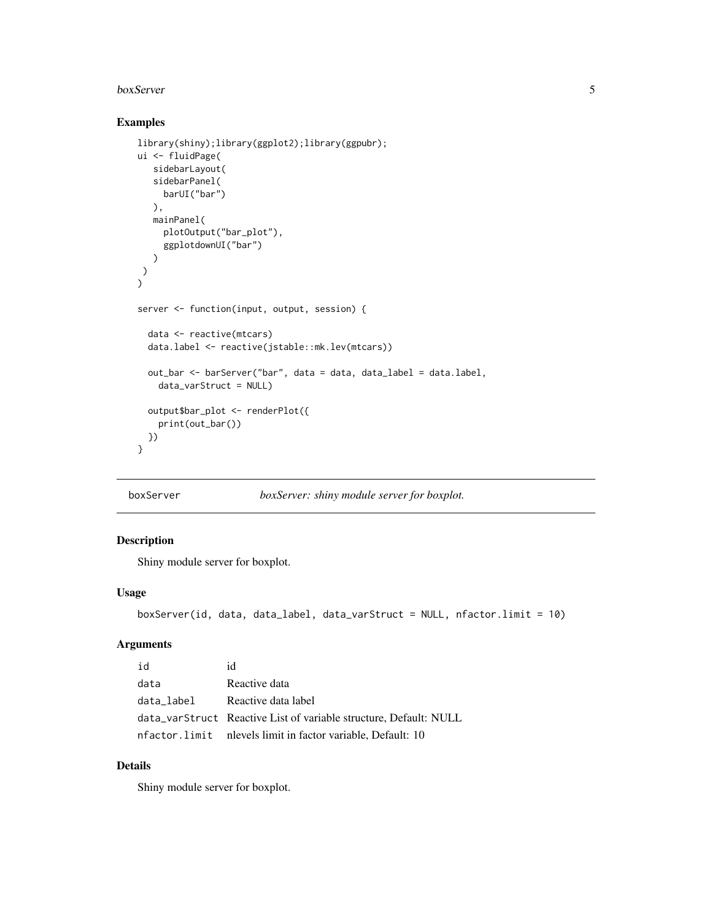#### <span id="page-4-0"></span>boxServer 5

## Examples

```
library(shiny);library(ggplot2);library(ggpubr);
ui <- fluidPage(
   sidebarLayout(
   sidebarPanel(
    barUI("bar")
  ),
   mainPanel(
     plotOutput("bar_plot"),
     ggplotdownUI("bar")
  )
)
)
server <- function(input, output, session) {
  data <- reactive(mtcars)
  data.label <- reactive(jstable::mk.lev(mtcars))
  out_bar <- barServer("bar", data = data, data_label = data.label,
    data_varStruct = NULL)
  output$bar_plot <- renderPlot({
    print(out_bar())
  })
}
```

```
boxServer boxServer: shiny module server for boxplot.
```
## Description

Shiny module server for boxplot.

#### Usage

```
boxServer(id, data, data_label, data_varStruct = NULL, nfactor.limit = 10)
```
## Arguments

| id         | id                                                                |
|------------|-------------------------------------------------------------------|
| data       | Reactive data                                                     |
| data_label | Reactive data label                                               |
|            | data_varStruct Reactive List of variable structure, Default: NULL |
|            | nfactor.limit nlevels limit in factor variable, Default: 10       |

# Details

Shiny module server for boxplot.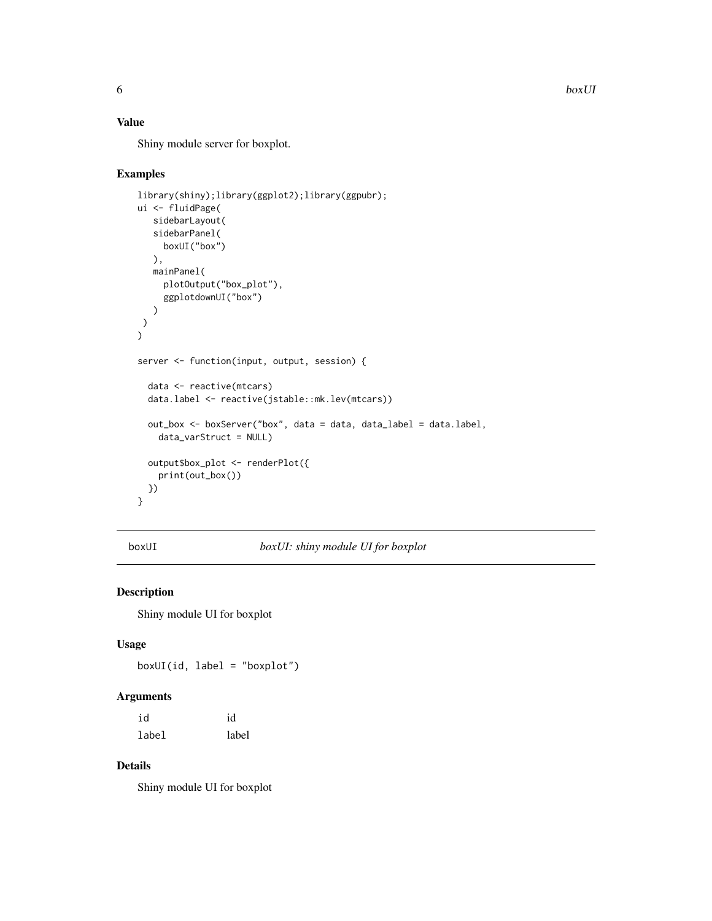6 boxUI

# Value

Shiny module server for boxplot.

## Examples

```
library(shiny);library(ggplot2);library(ggpubr);
ui <- fluidPage(
   sidebarLayout(
   sidebarPanel(
    boxUI("box")
  ),
  mainPanel(
    plotOutput("box_plot"),
     ggplotdownUI("box")
  )
)
\lambdaserver <- function(input, output, session) {
  data <- reactive(mtcars)
  data.label <- reactive(jstable::mk.lev(mtcars))
  out_box <- boxServer("box", data = data, data_label = data.label,
   data_varStruct = NULL)
  output$box_plot <- renderPlot({
   print(out_box())
  })
}
```
boxUI *boxUI: shiny module UI for boxplot*

## Description

Shiny module UI for boxplot

#### Usage

boxUI(id, label = "boxplot")

#### Arguments

| id    | id    |
|-------|-------|
| label | label |

# Details

Shiny module UI for boxplot

<span id="page-5-0"></span>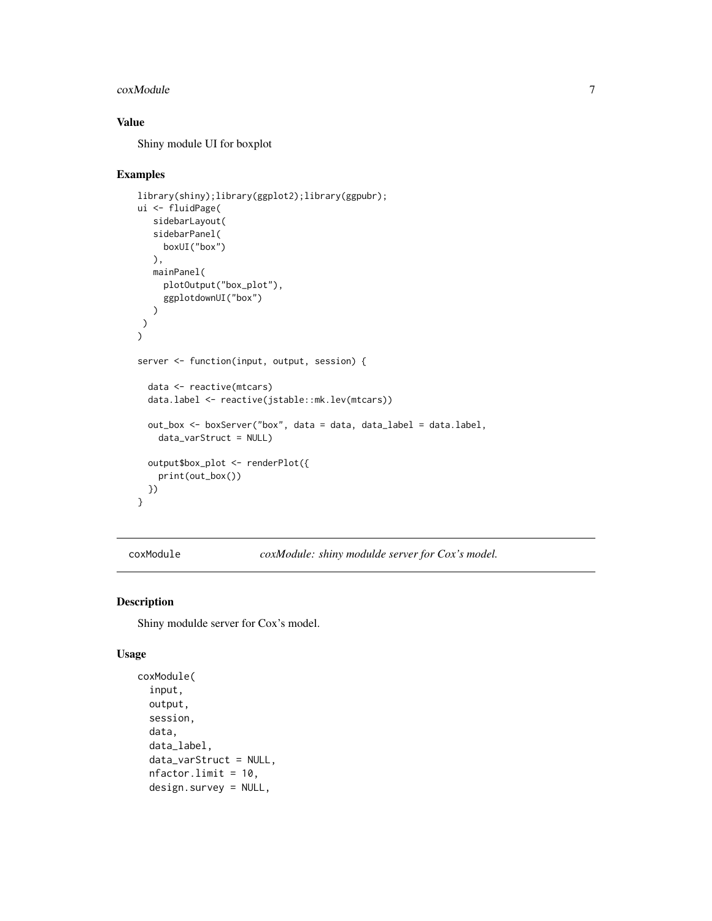#### <span id="page-6-0"></span> $\alpha$ xModule  $\alpha$  7

# Value

Shiny module UI for boxplot

#### Examples

```
library(shiny);library(ggplot2);library(ggpubr);
ui <- fluidPage(
   sidebarLayout(
  sidebarPanel(
     boxUI("box")
  ),
  mainPanel(
     plotOutput("box_plot"),
     ggplotdownUI("box")
  )
\lambda\mathcal{L}server <- function(input, output, session) {
  data <- reactive(mtcars)
  data.label <- reactive(jstable::mk.lev(mtcars))
  out_box <- boxServer("box", data = data, data_label = data.label,
    data_varStruct = NULL)
  output$box_plot <- renderPlot({
    print(out_box())
  })
}
```
coxModule *coxModule: shiny modulde server for Cox's model.*

## Description

Shiny modulde server for Cox's model.

#### Usage

```
coxModule(
  input,
  output,
  session,
  data,
  data_label,
  data_varStruct = NULL,
  nfactor.limit = 10,
  design.survey = NULL,
```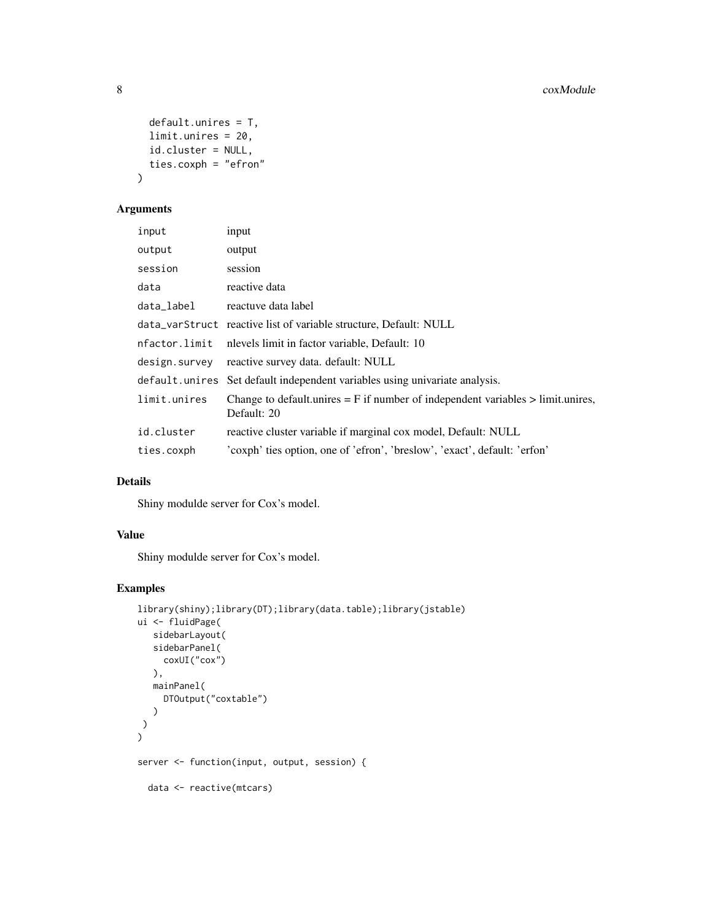```
default.unires = T,
 limit.unires = 20,
 id.cluster = NULL,
 ties.coxph = "efron"
)
```
## Arguments

| input          | input                                                                                              |
|----------------|----------------------------------------------------------------------------------------------------|
| output         | output                                                                                             |
| session        | session                                                                                            |
| data           | reactive data                                                                                      |
| data_label     | reactuve data label                                                                                |
|                | data_varStruct reactive list of variable structure, Default: NULL                                  |
| nfactor.limit  | nlevels limit in factor variable, Default: 10                                                      |
| design.survey  | reactive survey data. default: NULL                                                                |
| default.unires | Set default independent variables using univariate analysis.                                       |
| limit.unires   | Change to default unires $=$ F if number of independent variables $>$ limit unires,<br>Default: 20 |
| id.cluster     | reactive cluster variable if marginal cox model, Default: NULL                                     |
| ties.coxph     | 'coxph' ties option, one of 'efron', 'breslow', 'exact', default: 'erfon'                          |

## Details

Shiny modulde server for Cox's model.

#### Value

Shiny modulde server for Cox's model.

```
library(shiny);library(DT);library(data.table);library(jstable)
ui <- fluidPage(
   sidebarLayout(
   sidebarPanel(
     coxUI("cox")
   ),
   mainPanel(
     DTOutput("coxtable")
   \lambda)
\mathcal{L}server <- function(input, output, session) {
 data <- reactive(mtcars)
```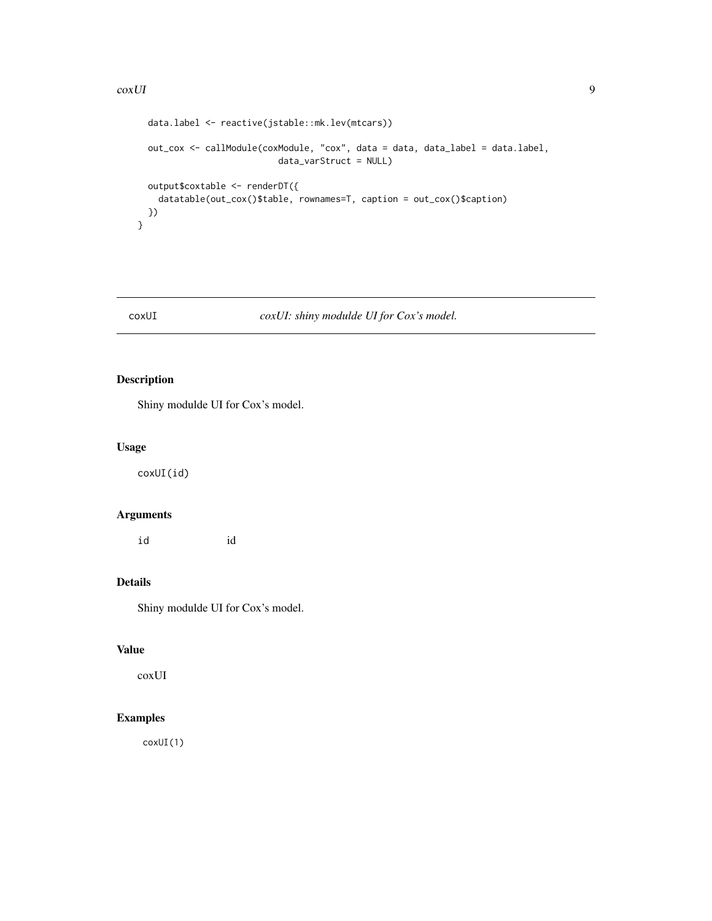#### <span id="page-8-0"></span> $\sim$  coxUI 9

```
data.label <- reactive(jstable::mk.lev(mtcars))
 out_cox <- callModule(coxModule, "cox", data = data, data_label = data.label,
                          data_varStruct = NULL)
 output$coxtable <- renderDT({
   datatable(out_cox()$table, rownames=T, caption = out_cox()$caption)
 })
}
```
# coxUI *coxUI: shiny modulde UI for Cox's model.*

# Description

Shiny modulde UI for Cox's model.

## Usage

coxUI(id)

# Arguments

id id

# Details

Shiny modulde UI for Cox's model.

#### Value

coxUI

# Examples

coxUI(1)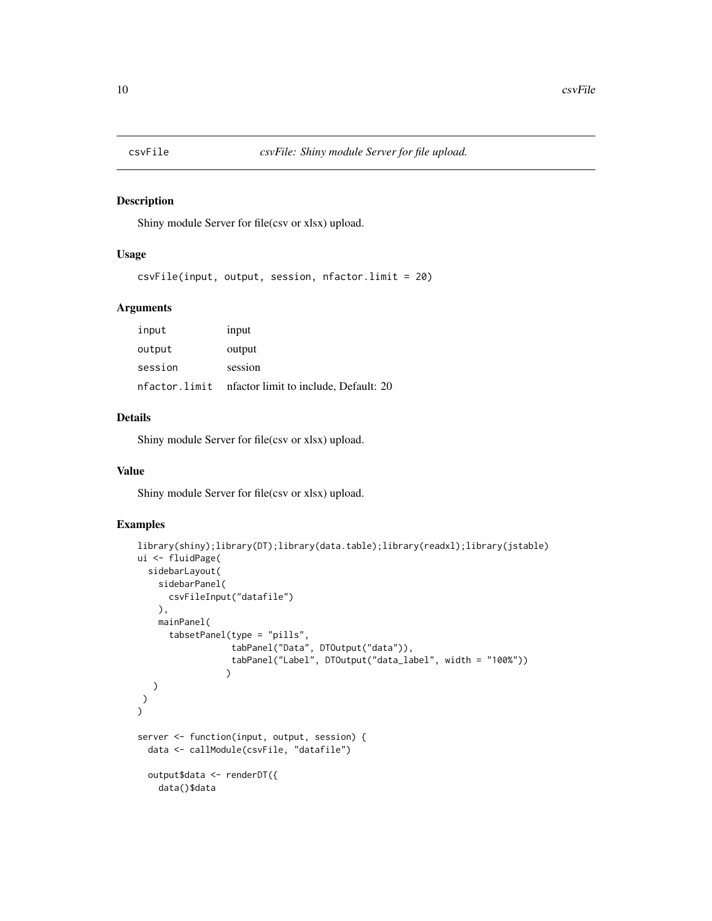<span id="page-9-0"></span>

#### Description

Shiny module Server for file(csv or xlsx) upload.

#### Usage

csvFile(input, output, session, nfactor.limit = 20)

## Arguments

| input         | input                                 |
|---------------|---------------------------------------|
| output        | output                                |
| session       | session                               |
| nfactor.limit | nfactor limit to include, Default: 20 |

## Details

Shiny module Server for file(csv or xlsx) upload.

#### Value

Shiny module Server for file(csv or xlsx) upload.

```
library(shiny);library(DT);library(data.table);library(readxl);library(jstable)
ui <- fluidPage(
  sidebarLayout(
    sidebarPanel(
      csvFileInput("datafile")
   ),
    mainPanel(
      tabsetPanel(type = "pills",
                  tabPanel("Data", DTOutput("data")),
                  tabPanel("Label", DTOutput("data_label", width = "100%"))
                 )
  )
)
\mathbf{C}server <- function(input, output, session) {
  data <- callModule(csvFile, "datafile")
  output$data <- renderDT({
   data()$data
```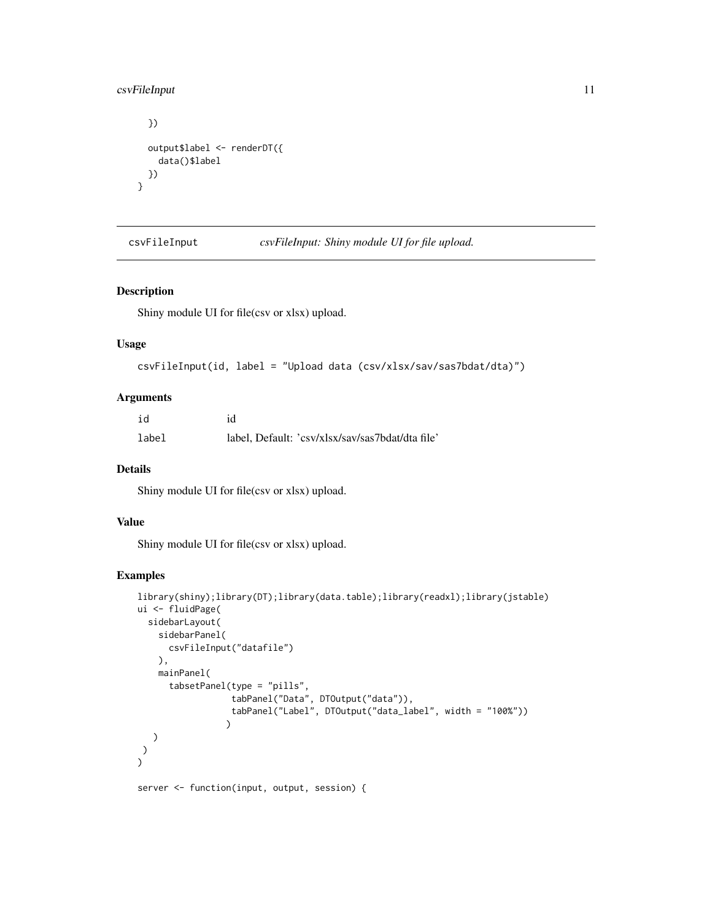## <span id="page-10-0"></span>csvFileInput 11

}

```
})
output$label <- renderDT({
 data()$label
})
```
csvFileInput *csvFileInput: Shiny module UI for file upload.*

#### Description

Shiny module UI for file(csv or xlsx) upload.

## Usage

```
csvFileInput(id, label = "Upload data (csv/xlsx/sav/sas7bdat/dta)")
```
## Arguments

| id    | id                                               |
|-------|--------------------------------------------------|
| label | label, Default: 'csv/xlsx/sav/sas7bdat/dta file' |

## Details

Shiny module UI for file(csv or xlsx) upload.

### Value

Shiny module UI for file(csv or xlsx) upload.

# Examples

```
library(shiny);library(DT);library(data.table);library(readxl);library(jstable)
ui <- fluidPage(
  sidebarLayout(
    sidebarPanel(
      csvFileInput("datafile")
    ),
    mainPanel(
      tabsetPanel(type = "pills",
                  tabPanel("Data", DTOutput("data")),
                  tabPanel("Label", DTOutput("data_label", width = "100%"))
                 )
  )
)
\mathcal{L}
```
server <- function(input, output, session) {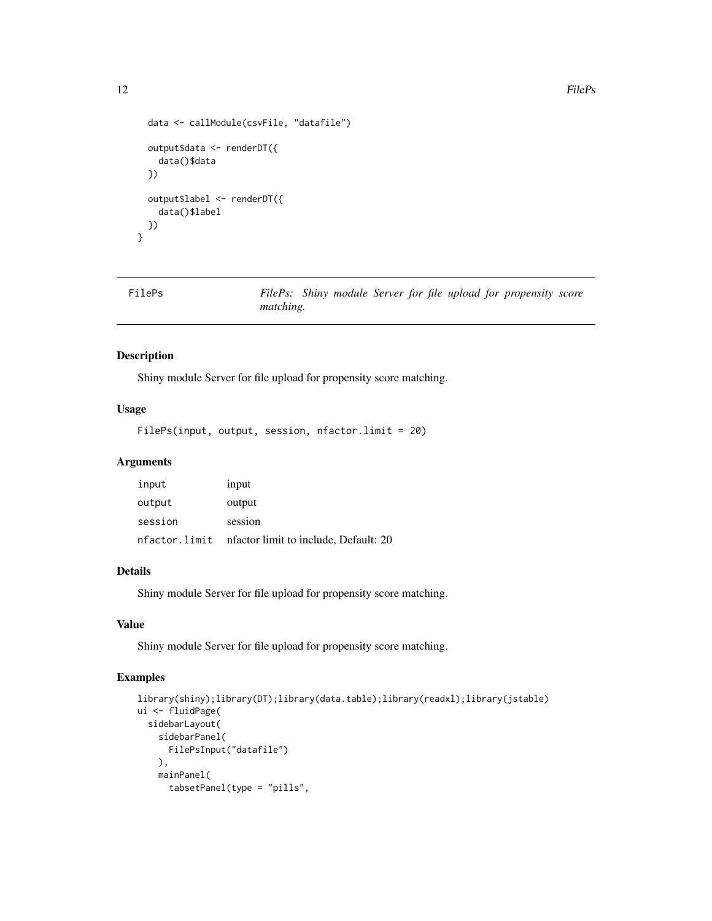```
data <- callModule(csvFile, "datafile")
 output$data <- renderDT({
   data()$data
 })
 output$label <- renderDT({
   data()$label
 })
}
```

```
FilePs FilePs: Shiny module Server for file upload for propensity score
                     matching.
```
#### Description

Shiny module Server for file upload for propensity score matching.

# Usage

```
FilePs(input, output, session, nfactor.limit = 20)
```
# Arguments

| input         | input                                  |
|---------------|----------------------------------------|
| output        | output                                 |
| session       | session                                |
| nfactor.limit | infactor limit to include, Default: 20 |

## Details

Shiny module Server for file upload for propensity score matching.

### Value

Shiny module Server for file upload for propensity score matching.

```
library(shiny);library(DT);library(data.table);library(readxl);library(jstable)
ui <- fluidPage(
  sidebarLayout(
    sidebarPanel(
      FilePsInput("datafile")
   ),
   mainPanel(
      tabsetPanel(type = "pills",
```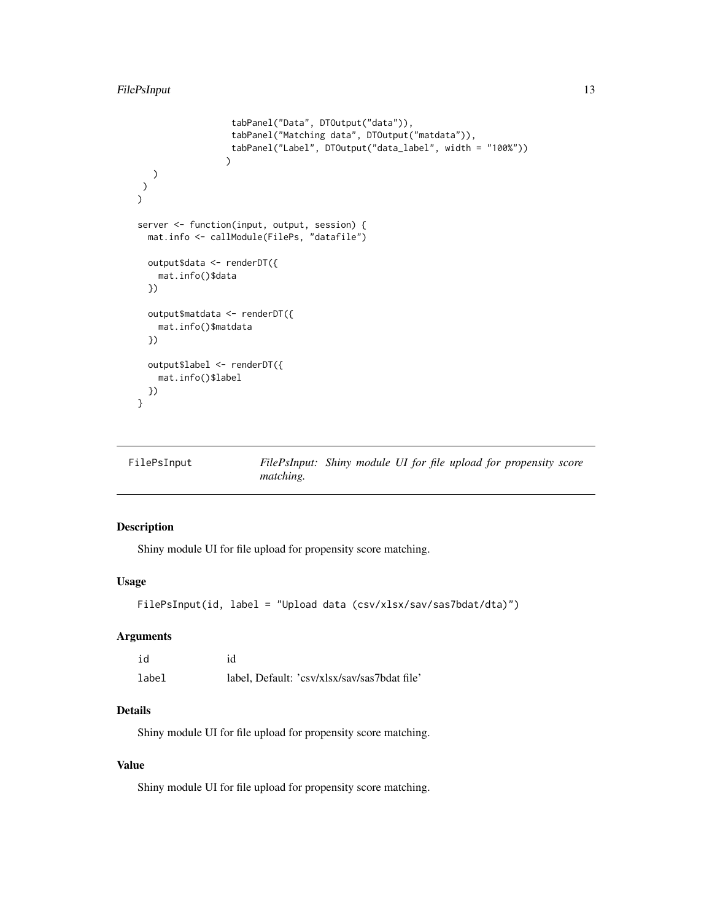```
tabPanel("Data", DTOutput("data")),
                  tabPanel("Matching data", DTOutput("matdata")),
                  tabPanel("Label", DTOutput("data_label", width = "100%"))
                 )
  )
\lambda\sumserver <- function(input, output, session) {
  mat.info <- callModule(FilePs, "datafile")
  output$data <- renderDT({
   mat.info()$data
  })
  output$matdata <- renderDT({
   mat.info()$matdata
  })
  output$label <- renderDT({
   mat.info()$label
  })
}
```

| FilePsInput |                  | FilePsInput: Shiny module UI for file upload for propensity score |  |  |
|-------------|------------------|-------------------------------------------------------------------|--|--|
|             | <i>matching.</i> |                                                                   |  |  |

## Description

Shiny module UI for file upload for propensity score matching.

## Usage

```
FilePsInput(id, label = "Upload data (csv/xlsx/sav/sas7bdat/dta)")
```
#### Arguments

| id    | id                                           |
|-------|----------------------------------------------|
| label | label, Default: 'csv/xlsx/sav/sas7bdat file' |

# Details

Shiny module UI for file upload for propensity score matching.

# Value

Shiny module UI for file upload for propensity score matching.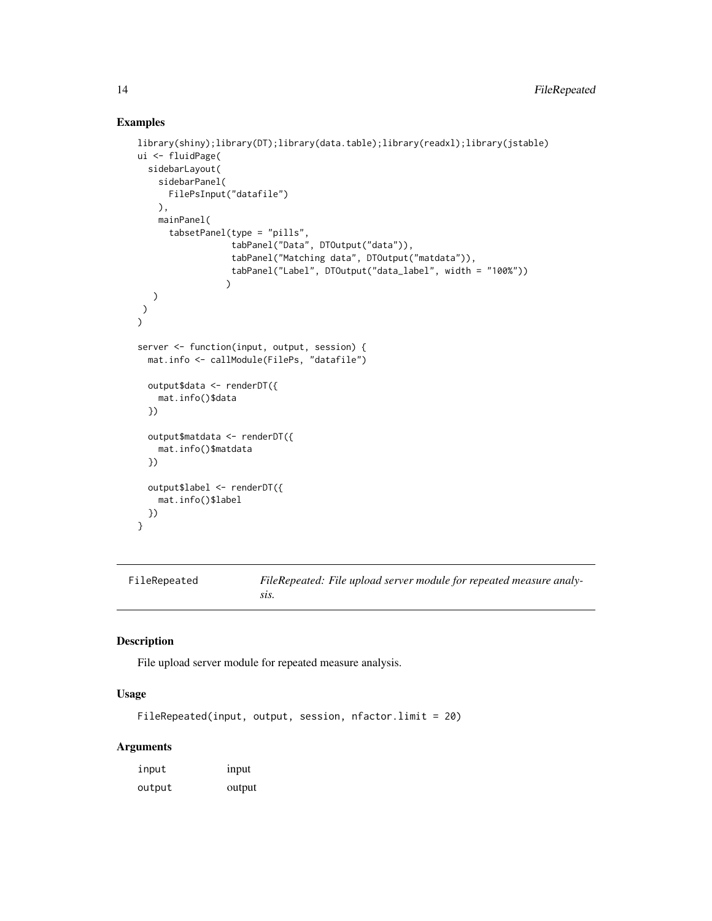#### Examples

```
library(shiny);library(DT);library(data.table);library(readxl);library(jstable)
ui <- fluidPage(
  sidebarLayout(
    sidebarPanel(
      FilePsInput("datafile")
    ),
    mainPanel(
      tabsetPanel(type = "pills",
                   tabPanel("Data", DTOutput("data")),
                   tabPanel("Matching data", DTOutput("matdata")),
                   tabPanel("Label", DTOutput("data_label", width = "100%"))
                 \lambda)
\lambda\mathcal{L}server <- function(input, output, session) {
  mat.info <- callModule(FilePs, "datafile")
  output$data <- renderDT({
    mat.info()$data
  })
  output$matdata <- renderDT({
    mat.info()$matdata
  })
  output$label <- renderDT({
    mat.info()$label
  })
}
```
FileRepeated *FileRepeated: File upload server module for repeated measure analysis.*

## Description

File upload server module for repeated measure analysis.

#### Usage

```
FileRepeated(input, output, session, nfactor.limit = 20)
```
# Arguments

| input  | <i>input</i> |
|--------|--------------|
| output | output       |

<span id="page-13-0"></span>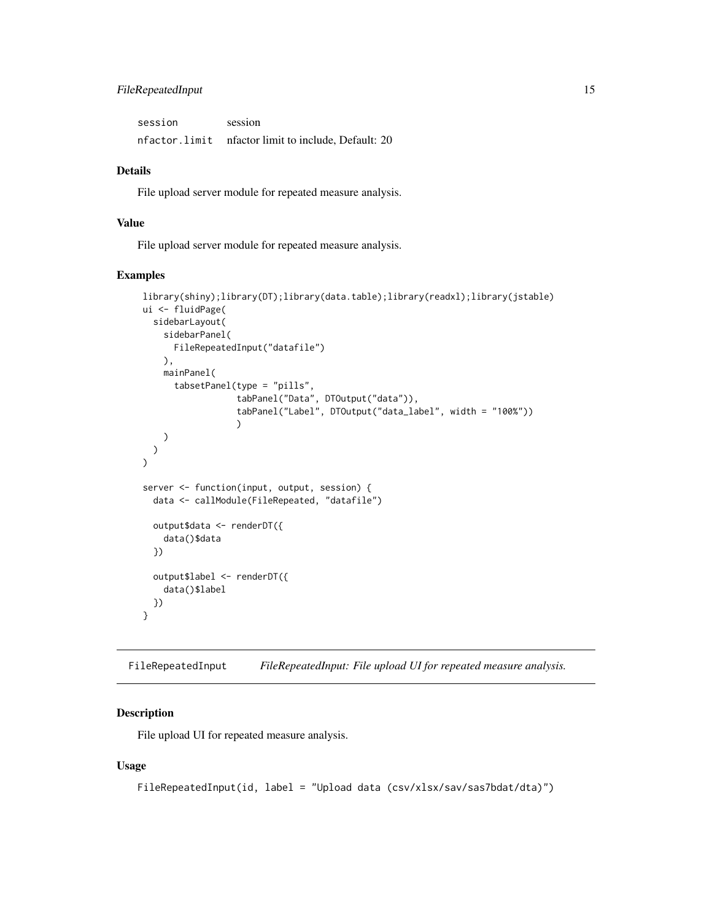# <span id="page-14-0"></span>FileRepeatedInput 15

| session | session                                            |
|---------|----------------------------------------------------|
|         | nfactor.limit nfactorlimit to include, Default: 20 |

### Details

File upload server module for repeated measure analysis.

## Value

File upload server module for repeated measure analysis.

## Examples

```
library(shiny);library(DT);library(data.table);library(readxl);library(jstable)
ui <- fluidPage(
  sidebarLayout(
    sidebarPanel(
      FileRepeatedInput("datafile")
   ),
    mainPanel(
      tabsetPanel(type = "pills",
                   tabPanel("Data", DTOutput("data")),
                   tabPanel("Label", DTOutput("data_label", width = "100%"))
                  )
    )
 )
\lambdaserver <- function(input, output, session) {
 data <- callModule(FileRepeated, "datafile")
  output$data <- renderDT({
    data()$data
  })
  output$label <- renderDT({
    data()$label
  })
}
```
FileRepeatedInput *FileRepeatedInput: File upload UI for repeated measure analysis.*

# Description

File upload UI for repeated measure analysis.

#### Usage

FileRepeatedInput(id, label = "Upload data (csv/xlsx/sav/sas7bdat/dta)")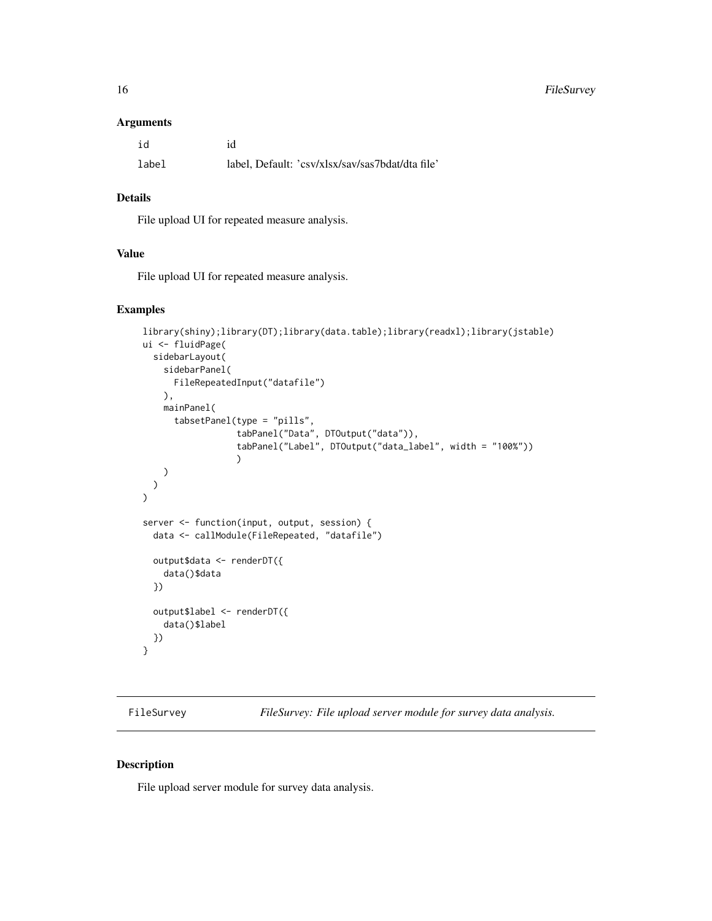<span id="page-15-0"></span>16 FileSurvey

#### Arguments

| id    | id                                               |
|-------|--------------------------------------------------|
| label | label, Default: 'csv/xlsx/sav/sas7bdat/dta file' |

# Details

File upload UI for repeated measure analysis.

## Value

File upload UI for repeated measure analysis.

#### Examples

```
library(shiny);library(DT);library(data.table);library(readxl);library(jstable)
ui <- fluidPage(
 sidebarLayout(
    sidebarPanel(
     FileRepeatedInput("datafile")
   ),
    mainPanel(
      tabsetPanel(type = "pills",
                  tabPanel("Data", DTOutput("data")),
                  tabPanel("Label", DTOutput("data_label", width = "100%"))
                  )
    )
 )
)
server <- function(input, output, session) {
 data <- callModule(FileRepeated, "datafile")
  output$data <- renderDT({
   data()$data
  })
 output$label <- renderDT({
    data()$label
  })
}
```
FileSurvey *FileSurvey: File upload server module for survey data analysis.*

#### Description

File upload server module for survey data analysis.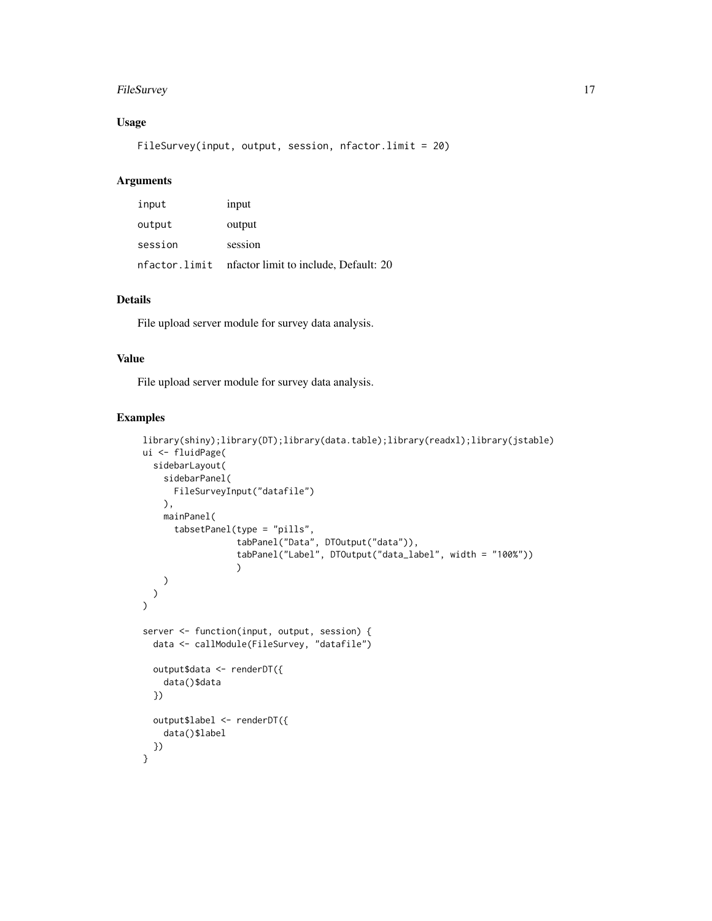## FileSurvey 17

# Usage

FileSurvey(input, output, session, nfactor.limit = 20)

#### Arguments

| input         | input                                 |
|---------------|---------------------------------------|
| output        | output                                |
| session       | session                               |
| nfactor.limit | nfactor limit to include, Default: 20 |

## Details

File upload server module for survey data analysis.

## Value

File upload server module for survey data analysis.

```
library(shiny);library(DT);library(data.table);library(readxl);library(jstable)
ui <- fluidPage(
  sidebarLayout(
    sidebarPanel(
      FileSurveyInput("datafile")
   ),
   mainPanel(
      tabsetPanel(type = "pills",
                  tabPanel("Data", DTOutput("data")),
                  tabPanel("Label", DTOutput("data_label", width = "100%"))
                  )
   )
 )
\lambdaserver <- function(input, output, session) {
 data <- callModule(FileSurvey, "datafile")
  output$data <- renderDT({
    data()$data
 })
  output$label <- renderDT({
    data()$label
 })
}
```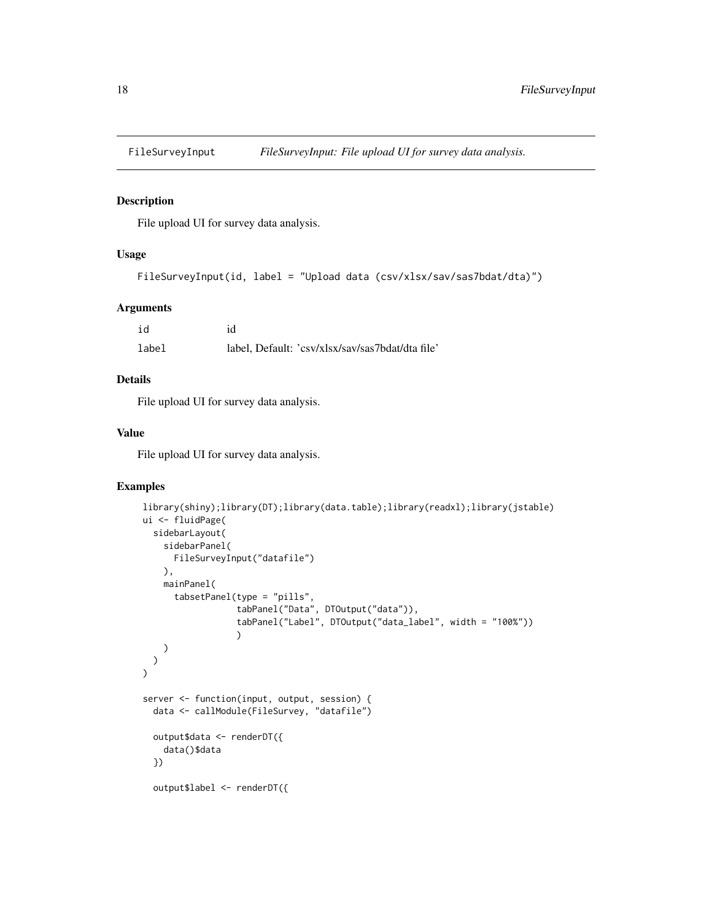<span id="page-17-0"></span>

#### Description

File upload UI for survey data analysis.

## Usage

```
FileSurveyInput(id, label = "Upload data (csv/xlsx/sav/sas7bdat/dta)")
```
### Arguments

| id    | id                                               |
|-------|--------------------------------------------------|
| label | label, Default: 'csv/xlsx/sav/sas7bdat/dta file' |

# Details

File upload UI for survey data analysis.

#### Value

File upload UI for survey data analysis.

```
library(shiny);library(DT);library(data.table);library(readxl);library(jstable)
ui <- fluidPage(
  sidebarLayout(
    sidebarPanel(
      FileSurveyInput("datafile")
    ),
    mainPanel(
      tabsetPanel(type = "pills",
                  tabPanel("Data", DTOutput("data")),
                  tabPanel("Label", DTOutput("data_label", width = "100%"))
                  )
    )
 \lambda\mathcal{L}server <- function(input, output, session) {
 data <- callModule(FileSurvey, "datafile")
  output$data <- renderDT({
    data()$data
  })
  output$label <- renderDT({
```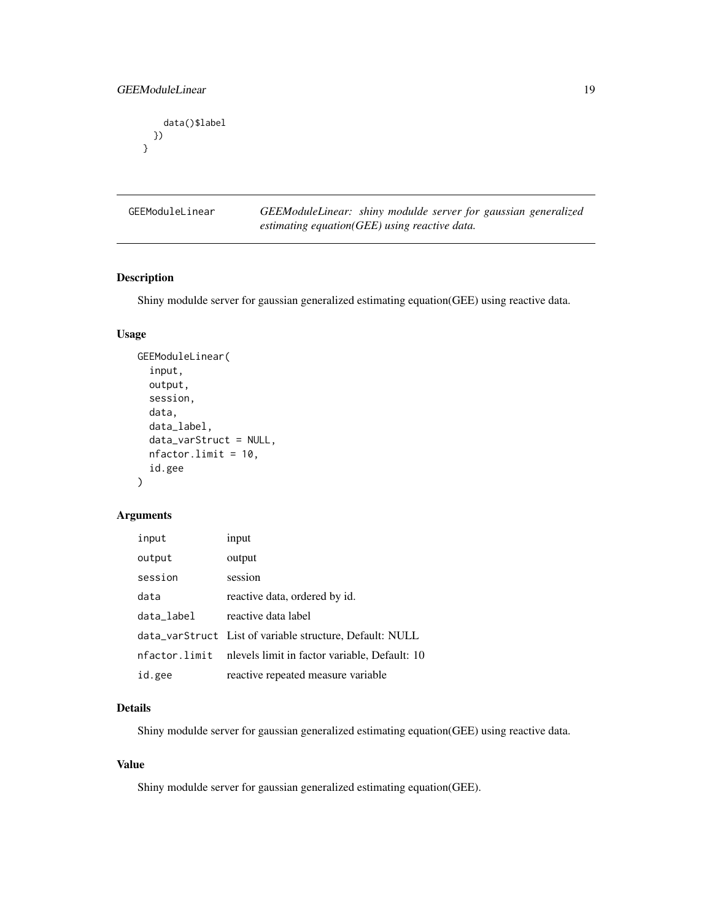```
data()$label
 })
}
```
GEEModuleLinear *GEEModuleLinear: shiny modulde server for gaussian generalized estimating equation(GEE) using reactive data.*

## Description

Shiny modulde server for gaussian generalized estimating equation(GEE) using reactive data.

## Usage

```
GEEModuleLinear(
  input,
 output,
  session,
  data,
  data_label,
  data_varStruct = NULL,
  nfactor.limit = 10,
  id.gee
)
```
#### Arguments

| input         | input                                                    |
|---------------|----------------------------------------------------------|
| output        | output                                                   |
| session       | session                                                  |
| data          | reactive data, ordered by id.                            |
| data_label    | reactive data label                                      |
|               | data_varStruct List of variable structure, Default: NULL |
| nfactor.limit | nlevels limit in factor variable, Default: 10            |
| id.gee        | reactive repeated measure variable                       |

## Details

Shiny modulde server for gaussian generalized estimating equation(GEE) using reactive data.

#### Value

Shiny modulde server for gaussian generalized estimating equation(GEE).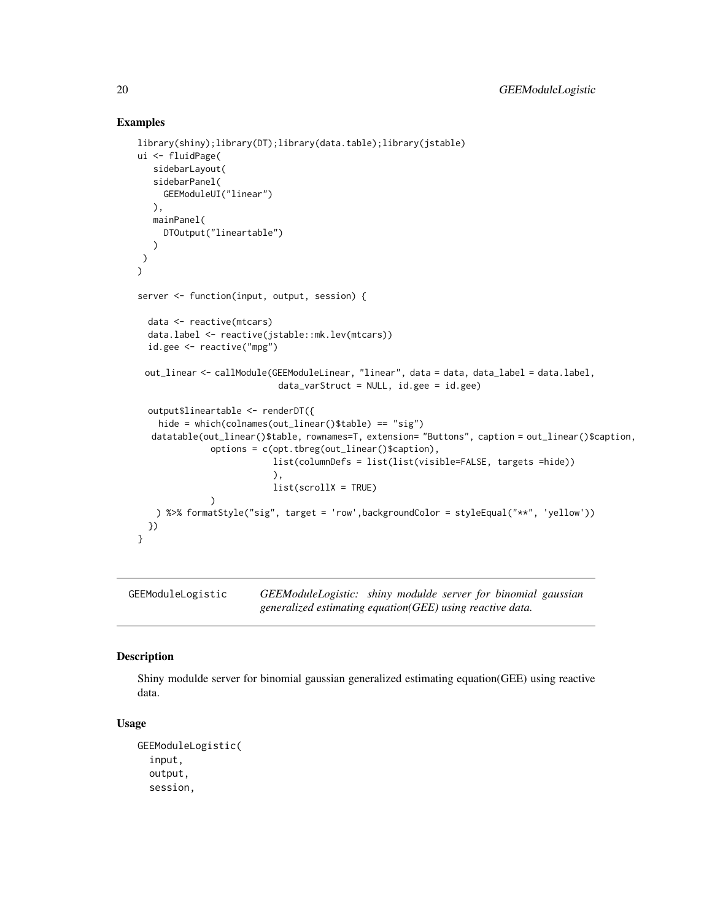#### Examples

```
library(shiny);library(DT);library(data.table);library(jstable)
ui <- fluidPage(
   sidebarLayout(
  sidebarPanel(
     GEEModuleUI("linear")
  ),
  mainPanel(
    DTOutput("lineartable")
  )
)
\lambdaserver <- function(input, output, session) {
 data <- reactive(mtcars)
 data.label <- reactive(jstable::mk.lev(mtcars))
 id.gee <- reactive("mpg")
 out_linear <- callModule(GEEModuleLinear, "linear", data = data, data_label = data.label,
                           data_varStruct = NULL, id.gee = id.gee)
 output$lineartable <- renderDT({
   hide = which(colnames(out_linear()$table) == "sig")
  datatable(out_linear()$table, rownames=T, extension= "Buttons", caption = out_linear()$caption,
              options = c(opt.tbreg(out_linear()$caption),
                          list(columnDefs = list(list(visible=FALSE, targets =hide))
                          ),
                          list(scrollX = TRUE)
              )
   ) %>% formatStyle("sig", target = 'row',backgroundColor = styleEqual("**", 'yellow'))
 })
}
```
GEEModuleLogistic *GEEModuleLogistic: shiny modulde server for binomial gaussian generalized estimating equation(GEE) using reactive data.*

## Description

Shiny modulde server for binomial gaussian generalized estimating equation(GEE) using reactive data.

#### Usage

```
GEEModuleLogistic(
  input,
  output,
  session,
```
<span id="page-19-0"></span>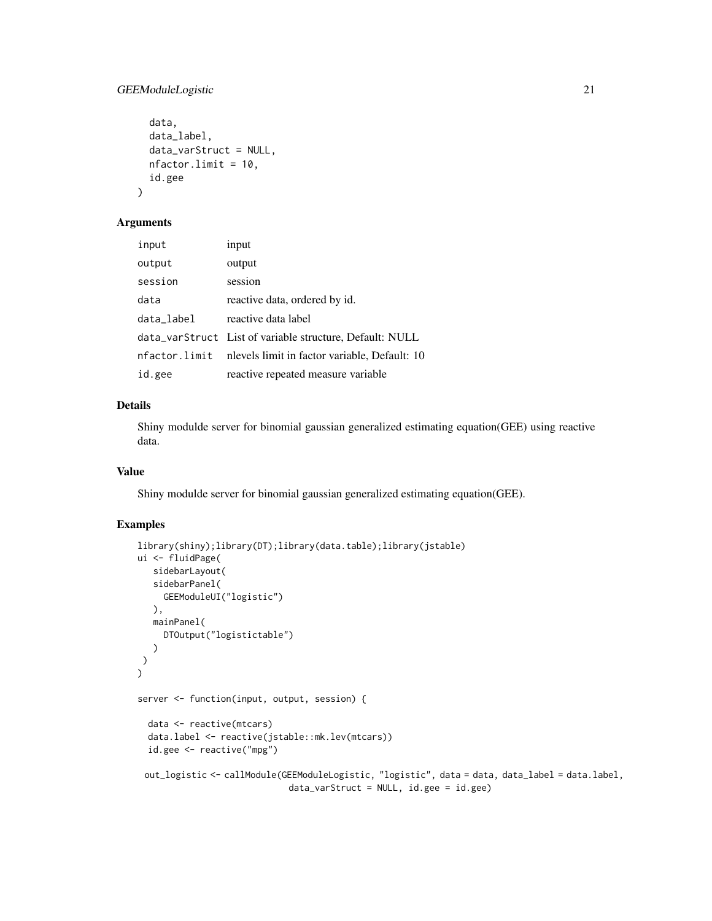## GEEModuleLogistic 21

```
data,
data_label,
data_varStruct = NULL,
nfactor.limit = 10,
id.gee
```
#### Arguments

)

| input      | input                                                       |
|------------|-------------------------------------------------------------|
| output     | output                                                      |
| session    | session                                                     |
| data       | reactive data, ordered by id.                               |
| data_label | reactive data label                                         |
|            | data_varStruct List of variable structure, Default: NULL    |
|            | nfactor.limit nlevels limit in factor variable, Default: 10 |
| id.gee     | reactive repeated measure variable                          |

## Details

Shiny modulde server for binomial gaussian generalized estimating equation(GEE) using reactive data.

#### Value

Shiny modulde server for binomial gaussian generalized estimating equation(GEE).

```
library(shiny);library(DT);library(data.table);library(jstable)
ui <- fluidPage(
   sidebarLayout(
   sidebarPanel(
     GEEModuleUI("logistic")
  ),
  mainPanel(
     DTOutput("logistictable")
   )
)
\mathcal{L}server <- function(input, output, session) {
  data <- reactive(mtcars)
  data.label <- reactive(jstable::mk.lev(mtcars))
  id.gee <- reactive("mpg")
 out_logistic <- callModule(GEEModuleLogistic, "logistic", data = data, data_label = data.label,
                             data_varStruct = NULL, id.gee = id.gee)
```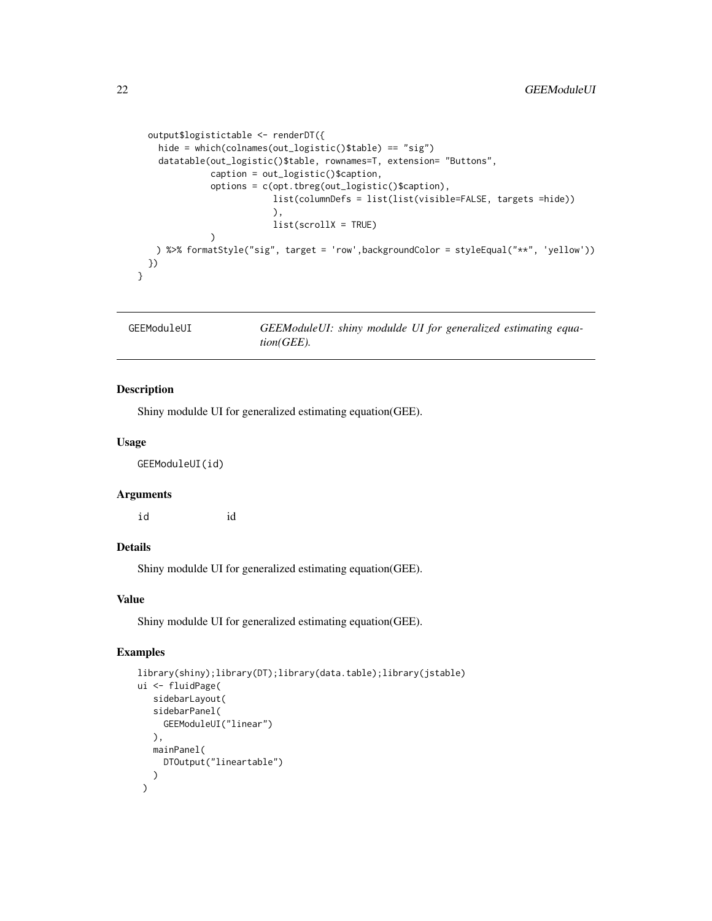```
output$logistictable <- renderDT({
   hide = which(colnames(out_logistic()$table) == "sig")
   datatable(out_logistic()$table, rownames=T, extension= "Buttons",
             caption = out_logistic()$caption,
              options = c(opt.tbreg(out_logistic()$caption),
                          list(columnDefs = list(list(visible=FALSE, targets =hide))
                          ),
                          list(scrollX = TRUE)
             )
   ) %>% formatStyle("sig", target = 'row',backgroundColor = styleEqual("**", 'yellow'))
 })
}
```
GEEModuleUI *GEEModuleUI: shiny modulde UI for generalized estimating equation(GEE).*

## Description

Shiny modulde UI for generalized estimating equation(GEE).

#### Usage

GEEModuleUI(id)

#### Arguments

id id

# Details

Shiny modulde UI for generalized estimating equation(GEE).

## Value

Shiny modulde UI for generalized estimating equation(GEE).

```
library(shiny);library(DT);library(data.table);library(jstable)
ui <- fluidPage(
   sidebarLayout(
   sidebarPanel(
     GEEModuleUI("linear")
  ),
  mainPanel(
     DTOutput("lineartable")
   )
 )
```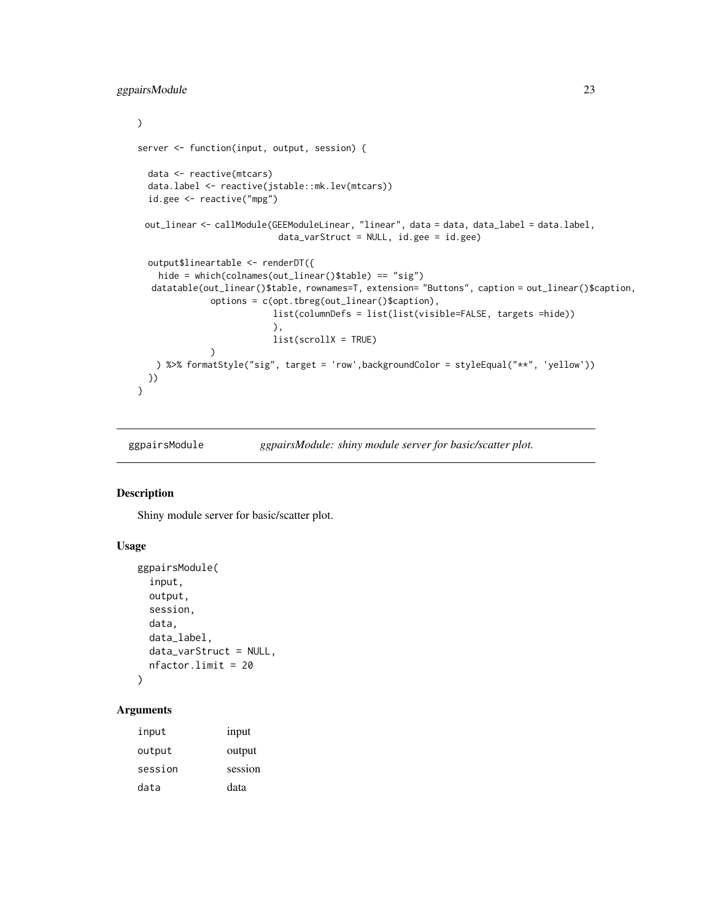```
\mathcal{L}server <- function(input, output, session) {
 data <- reactive(mtcars)
 data.label <- reactive(jstable::mk.lev(mtcars))
 id.gee <- reactive("mpg")
 out_linear <- callModule(GEEModuleLinear, "linear", data = data, data_label = data.label,
                            data_varStruct = NULL, id.gee = id.gee)
 output$lineartable <- renderDT({
   hide = which(colnames(out_linear()$table) == "sig")
  datatable(out_linear()$table, rownames=T, extension= "Buttons", caption = out_linear()$caption,
              options = c(opt.tbreg(out_linear()$caption),
                           list(columnDefs = list(list(visible=FALSE, targets =hide))
                           ),
                           list(scrollX = TRUE)
              \mathcal{L}) %>% formatStyle("sig", target = 'row',backgroundColor = styleEqual("**", 'yellow'))
 })
}
```

```
ggpairsModule ggpairsModule: shiny module server for basic/scatter plot.
```
## Description

Shiny module server for basic/scatter plot.

#### Usage

```
ggpairsModule(
  input,
 output,
  session,
 data,
  data_label,
  data_varStruct = NULL,
 nfactor.limit = 20
)
```
# Arguments

| input   | input   |
|---------|---------|
| output  | output  |
| session | session |
| data    | data    |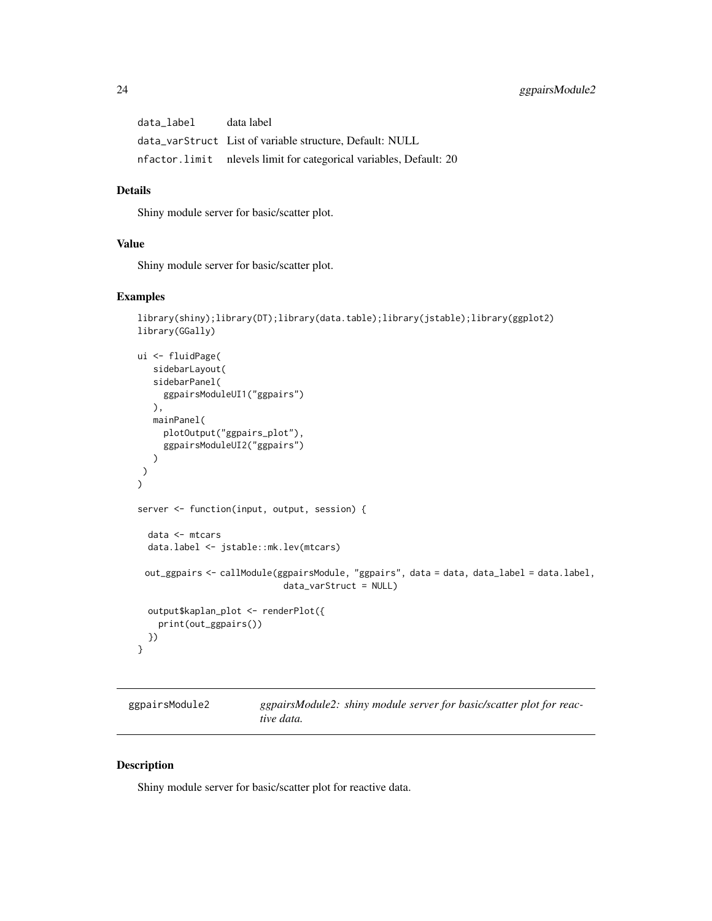<span id="page-23-0"></span>data\_label data label data\_varStruct List of variable structure, Default: NULL nfactor.limit nlevels limit for categorical variables, Default: 20

## Details

Shiny module server for basic/scatter plot.

# Value

Shiny module server for basic/scatter plot.

#### Examples

```
library(shiny);library(DT);library(data.table);library(jstable);library(ggplot2)
library(GGally)
ui <- fluidPage(
  sidebarLayout(
  sidebarPanel(
    ggpairsModuleUI1("ggpairs")
  ),
  mainPanel(
    plotOutput("ggpairs_plot"),
     ggpairsModuleUI2("ggpairs")
  )
)
\overline{)}server <- function(input, output, session) {
 data <- mtcars
 data.label <- jstable::mk.lev(mtcars)
 out_ggpairs <- callModule(ggpairsModule, "ggpairs", data = data, data_label = data.label,
                             data_varStruct = NULL)
 output$kaplan_plot <- renderPlot({
   print(out_ggpairs())
 })
}
```
ggpairsModule2 *ggpairsModule2: shiny module server for basic/scatter plot for reactive data.*

#### Description

Shiny module server for basic/scatter plot for reactive data.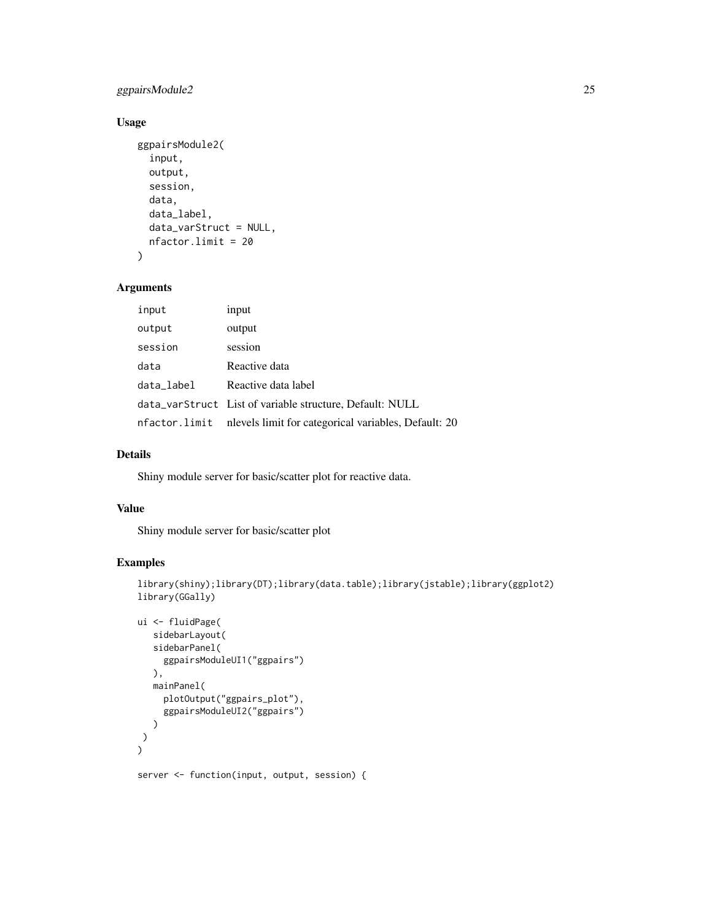## ggpairsModule2 25

## Usage

```
ggpairsModule2(
  input,
  output,
  session,
  data,
  data_label,
  data_varStruct = NULL,
  nfactor.limit = 20
\mathcal{L}
```
## Arguments

| input      | input                                                              |
|------------|--------------------------------------------------------------------|
| output     | output                                                             |
| session    | session                                                            |
| data       | Reactive data                                                      |
| data_label | Reactive data label                                                |
|            | data_varStruct List of variable structure, Default: NULL           |
|            | nfactor.limit nlevels limit for categorical variables, Default: 20 |

## Details

Shiny module server for basic/scatter plot for reactive data.

#### Value

Shiny module server for basic/scatter plot

```
library(shiny);library(DT);library(data.table);library(jstable);library(ggplot2)
library(GGally)
```

```
ui <- fluidPage(
   sidebarLayout(
   sidebarPanel(
     ggpairsModuleUI1("ggpairs")
  ),
  mainPanel(
     plotOutput("ggpairs_plot"),
     ggpairsModuleUI2("ggpairs")
  )
 )
)
server <- function(input, output, session) {
```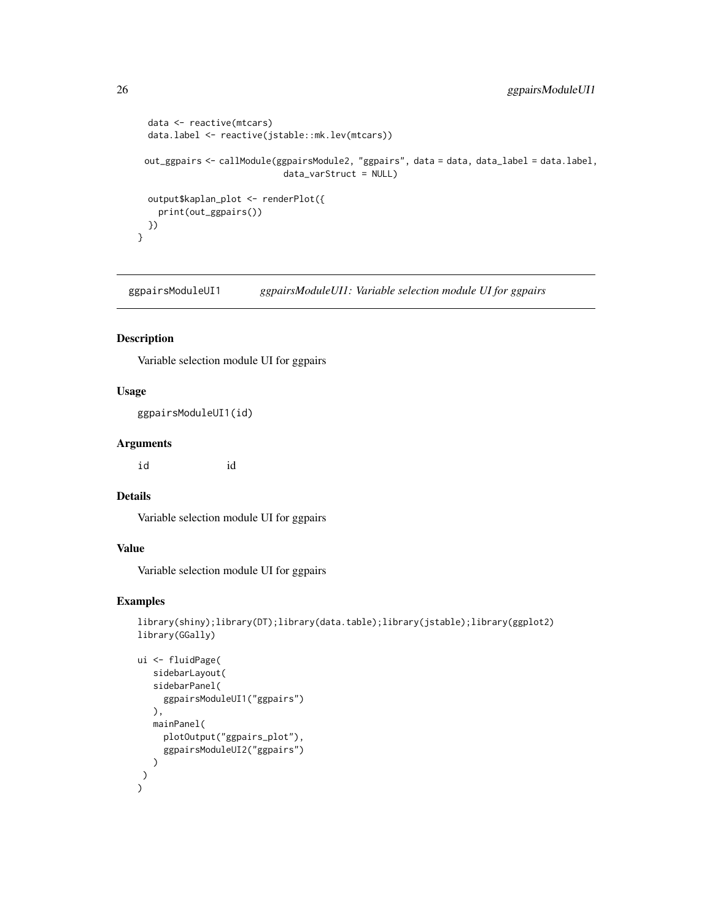```
data <- reactive(mtcars)
data.label <- reactive(jstable::mk.lev(mtcars))
out_ggpairs <- callModule(ggpairsModule2, "ggpairs", data = data, data_label = data.label,
                           data_varStruct = NULL)
output$kaplan_plot <- renderPlot({
  print(out_ggpairs())
})
```
ggpairsModuleUI1 *ggpairsModuleUI1: Variable selection module UI for ggpairs*

## Description

}

Variable selection module UI for ggpairs

# Usage

ggpairsModuleUI1(id)

# Arguments

id id

## Details

Variable selection module UI for ggpairs

# Value

Variable selection module UI for ggpairs

```
library(shiny);library(DT);library(data.table);library(jstable);library(ggplot2)
library(GGally)
```

```
ui <- fluidPage(
   sidebarLayout(
   sidebarPanel(
     ggpairsModuleUI1("ggpairs")
   ),
   mainPanel(
     plotOutput("ggpairs_plot"),
     ggpairsModuleUI2("ggpairs")
   )
\lambda)
```
<span id="page-25-0"></span>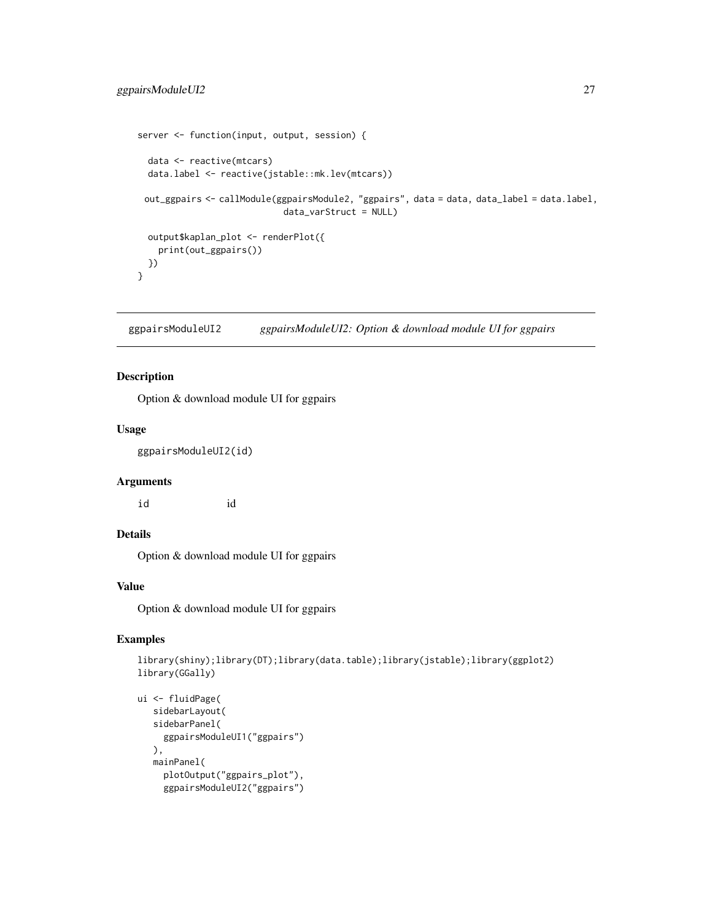```
server <- function(input, output, session) {
 data <- reactive(mtcars)
 data.label <- reactive(jstable::mk.lev(mtcars))
 out_ggpairs <- callModule(ggpairsModule2, "ggpairs", data = data, data_label = data.label,
                            data_varStruct = NULL)
 output$kaplan_plot <- renderPlot({
   print(out_ggpairs())
 })
}
```
ggpairsModuleUI2 *ggpairsModuleUI2: Option & download module UI for ggpairs*

## Description

Option & download module UI for ggpairs

#### Usage

ggpairsModuleUI2(id)

#### Arguments

id id

#### Details

Option & download module UI for ggpairs

#### Value

Option & download module UI for ggpairs

```
library(shiny);library(DT);library(data.table);library(jstable);library(ggplot2)
library(GGally)
```

```
ui <- fluidPage(
  sidebarLayout(
  sidebarPanel(
    ggpairsModuleUI1("ggpairs")
  ),
  mainPanel(
    plotOutput("ggpairs_plot"),
     ggpairsModuleUI2("ggpairs")
```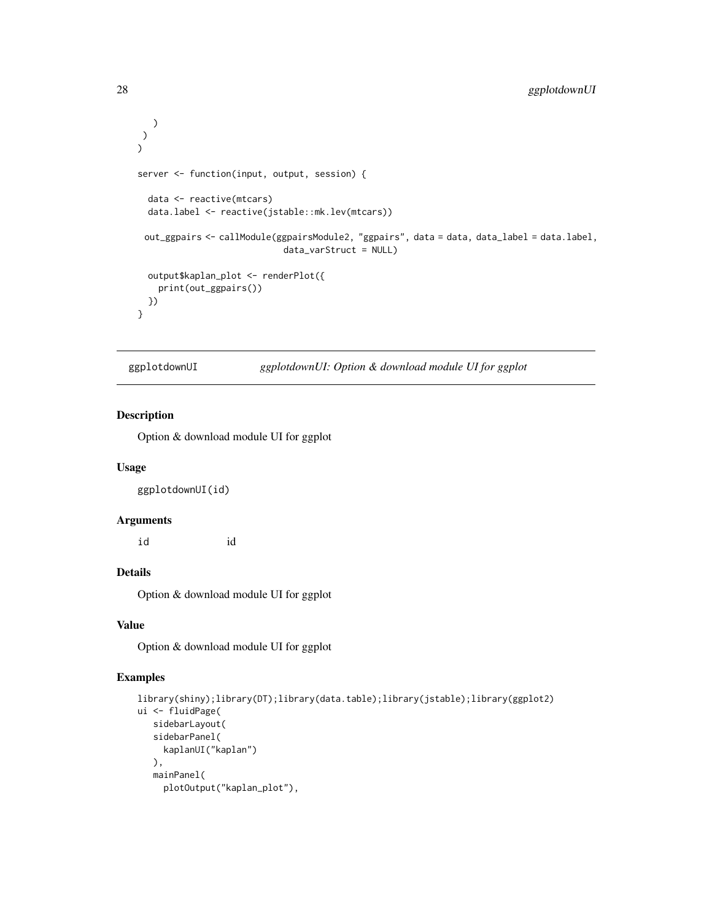```
)
\mathcal{L})
server <- function(input, output, session) {
 data <- reactive(mtcars)
 data.label <- reactive(jstable::mk.lev(mtcars))
 out_ggpairs <- callModule(ggpairsModule2, "ggpairs", data = data, data_label = data.label,
                             data_varStruct = NULL)
 output$kaplan_plot <- renderPlot({
    print(out_ggpairs())
 })
}
```
ggplotdownUI *ggplotdownUI: Option & download module UI for ggplot*

#### Description

Option & download module UI for ggplot

#### Usage

ggplotdownUI(id)

#### Arguments

id id

# Details

Option & download module UI for ggplot

#### Value

Option & download module UI for ggplot

```
library(shiny);library(DT);library(data.table);library(jstable);library(ggplot2)
ui <- fluidPage(
   sidebarLayout(
   sidebarPanel(
     kaplanUI("kaplan")
  ),
   mainPanel(
     plotOutput("kaplan_plot"),
```
<span id="page-27-0"></span>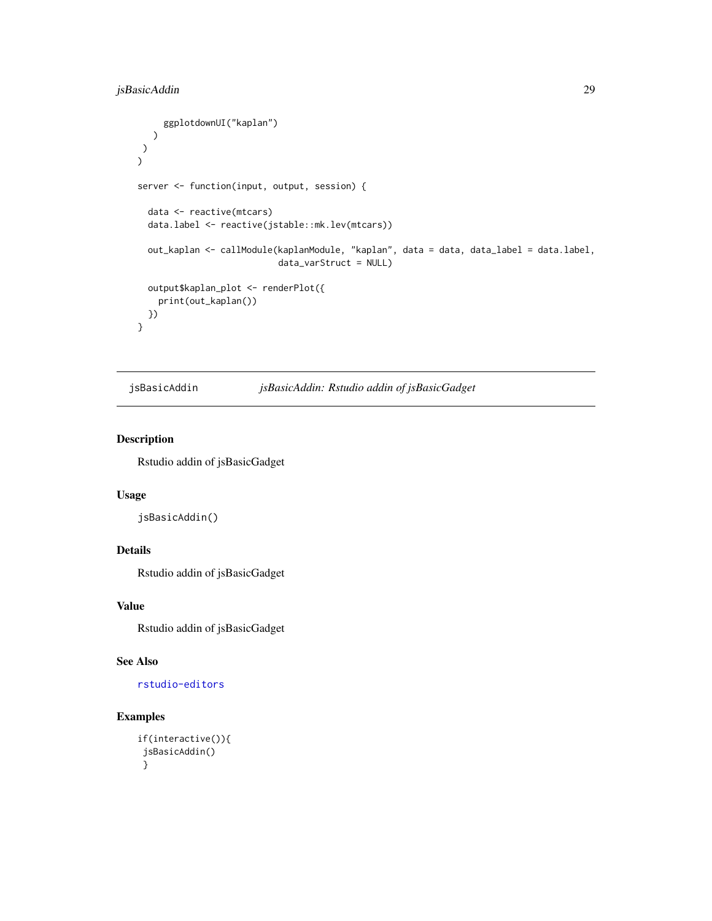```
ggplotdownUI("kaplan")
  )
 )
)
server <- function(input, output, session) {
 data <- reactive(mtcars)
 data.label <- reactive(jstable::mk.lev(mtcars))
 out_kaplan <- callModule(kaplanModule, "kaplan", data = data, data_label = data.label,
                           data_varStruct = NULL)
 output$kaplan_plot <- renderPlot({
   print(out_kaplan())
 })
}
```

```
jsBasicAddin jsBasicAddin: Rstudio addin of jsBasicGadget
```
#### Description

Rstudio addin of jsBasicGadget

## Usage

jsBasicAddin()

# Details

Rstudio addin of jsBasicGadget

## Value

Rstudio addin of jsBasicGadget

## See Also

[rstudio-editors](#page-0-0)

```
if(interactive()){
jsBasicAddin()
}
```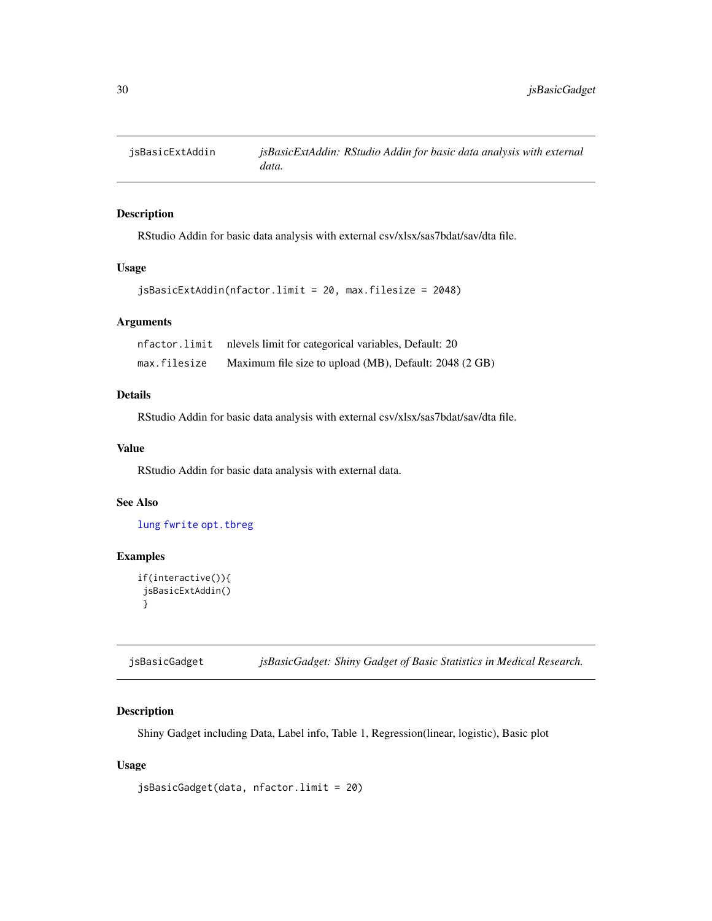<span id="page-29-0"></span>

#### Description

RStudio Addin for basic data analysis with external csv/xlsx/sas7bdat/sav/dta file.

## Usage

```
jsBasicExtAddin(nfactor.limit = 20, max.filesize = 2048)
```
#### Arguments

| nfactor.limit | nlevels limit for categorical variables, Default: 20   |
|---------------|--------------------------------------------------------|
| max.filesize  | Maximum file size to upload (MB), Default: 2048 (2 GB) |

#### Details

RStudio Addin for basic data analysis with external csv/xlsx/sas7bdat/sav/dta file.

## Value

RStudio Addin for basic data analysis with external data.

#### See Also

[lung](#page-0-0) [fwrite](#page-0-0) [opt.tbreg](#page-0-0)

## Examples

```
if(interactive()){
jsBasicExtAddin()
}
```
jsBasicGadget *jsBasicGadget: Shiny Gadget of Basic Statistics in Medical Research.*

## Description

Shiny Gadget including Data, Label info, Table 1, Regression(linear, logistic), Basic plot

#### Usage

```
jsBasicGadget(data, nfactor.limit = 20)
```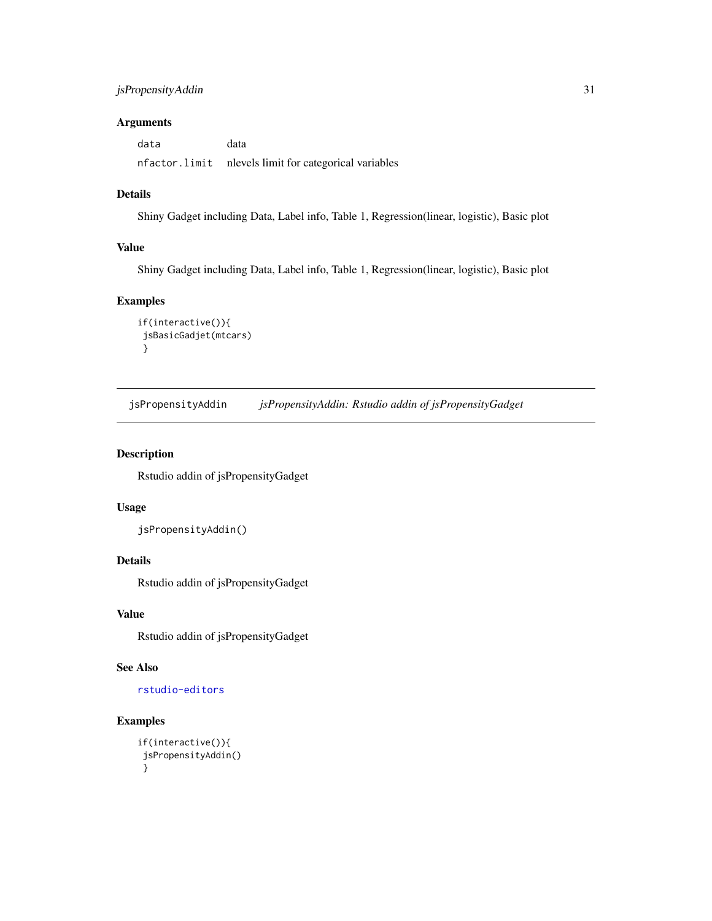## <span id="page-30-0"></span>jsPropensityAddin 31

## Arguments

data data nfactor.limit nlevels limit for categorical variables

## Details

Shiny Gadget including Data, Label info, Table 1, Regression(linear, logistic), Basic plot

#### Value

Shiny Gadget including Data, Label info, Table 1, Regression(linear, logistic), Basic plot

## Examples

```
if(interactive()){
jsBasicGadjet(mtcars)
}
```
jsPropensityAddin *jsPropensityAddin: Rstudio addin of jsPropensityGadget*

## Description

Rstudio addin of jsPropensityGadget

#### Usage

```
jsPropensityAddin()
```
# Details

Rstudio addin of jsPropensityGadget

#### Value

Rstudio addin of jsPropensityGadget

# See Also

[rstudio-editors](#page-0-0)

```
if(interactive()){
jsPropensityAddin()
}
```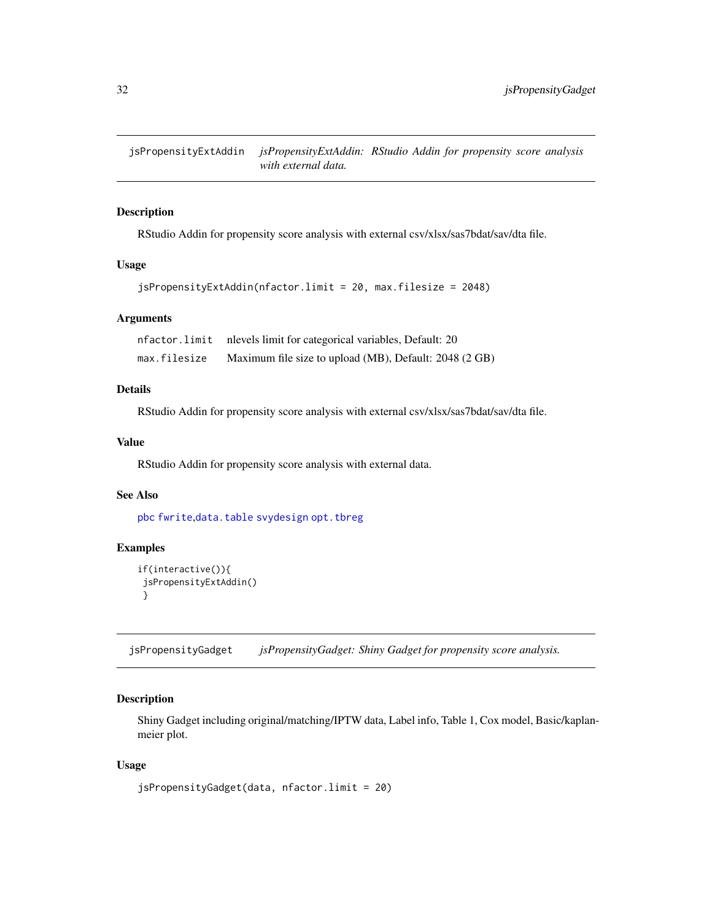<span id="page-31-0"></span>jsPropensityExtAddin *jsPropensityExtAddin: RStudio Addin for propensity score analysis with external data.*

## Description

RStudio Addin for propensity score analysis with external csv/xlsx/sas7bdat/sav/dta file.

#### Usage

```
jsPropensityExtAddin(nfactor.limit = 20, max.filesize = 2048)
```
#### Arguments

|              | nfactor.limit nlevels limit for categorical variables, Default: 20 |
|--------------|--------------------------------------------------------------------|
| max.filesize | Maximum file size to upload (MB), Default: 2048 (2 GB)             |

# Details

RStudio Addin for propensity score analysis with external csv/xlsx/sas7bdat/sav/dta file.

## Value

RStudio Addin for propensity score analysis with external data.

# See Also

[pbc](#page-0-0) [fwrite](#page-0-0),[data.table](#page-0-0) [svydesign](#page-0-0) [opt.tbreg](#page-0-0)

## Examples

```
if(interactive()){
 jsPropensityExtAddin()
}
```
jsPropensityGadget *jsPropensityGadget: Shiny Gadget for propensity score analysis.*

# Description

Shiny Gadget including original/matching/IPTW data, Label info, Table 1, Cox model, Basic/kaplanmeier plot.

#### Usage

jsPropensityGadget(data, nfactor.limit = 20)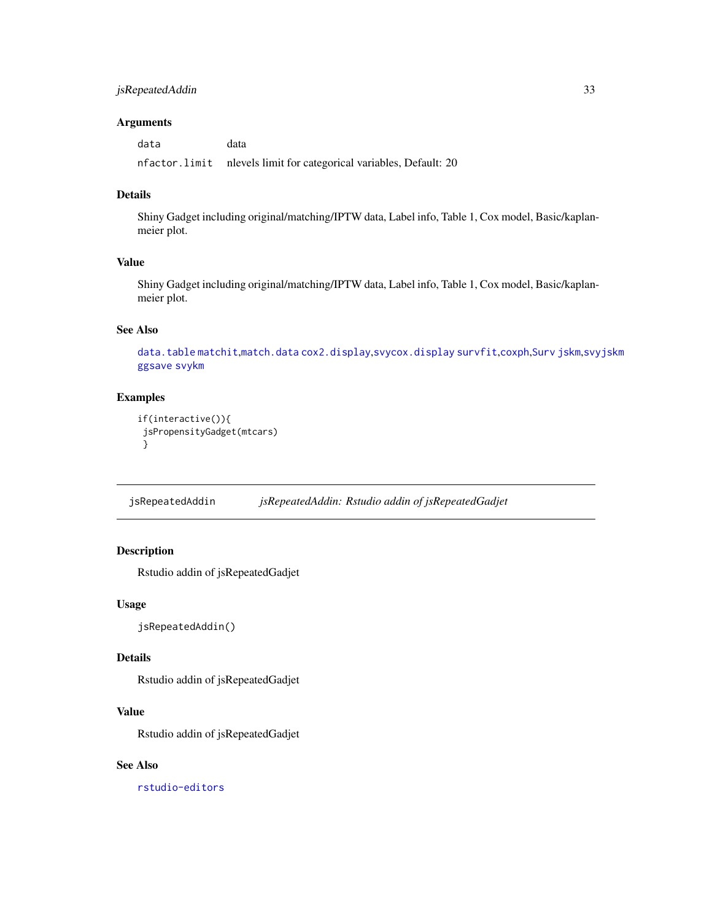## <span id="page-32-0"></span>jsRepeatedAddin 33

#### Arguments

data data nfactor.limit nlevels limit for categorical variables, Default: 20

## Details

Shiny Gadget including original/matching/IPTW data, Label info, Table 1, Cox model, Basic/kaplanmeier plot.

## Value

Shiny Gadget including original/matching/IPTW data, Label info, Table 1, Cox model, Basic/kaplanmeier plot.

#### See Also

[data.table](#page-0-0) [matchit](#page-0-0),[match.data](#page-0-0) [cox2.display](#page-0-0),[svycox.display](#page-0-0) [survfit](#page-0-0),[coxph](#page-0-0),[Surv](#page-0-0) [jskm](#page-0-0),[svyjskm](#page-0-0) [ggsave](#page-0-0) [svykm](#page-0-0)

## Examples

```
if(interactive()){
jsPropensityGadget(mtcars)
}
```
jsRepeatedAddin *jsRepeatedAddin: Rstudio addin of jsRepeatedGadjet*

# Description

Rstudio addin of jsRepeatedGadjet

#### Usage

```
jsRepeatedAddin()
```
## Details

Rstudio addin of jsRepeatedGadjet

## Value

Rstudio addin of jsRepeatedGadjet

# See Also

[rstudio-editors](#page-0-0)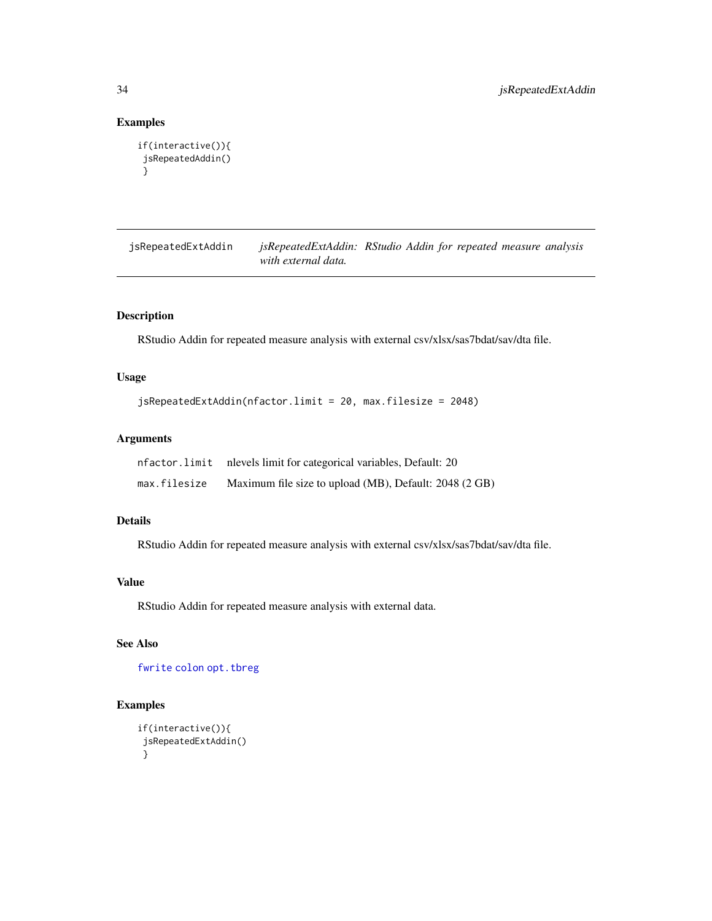## Examples

```
if(interactive()){
jsRepeatedAddin()
}
```
jsRepeatedExtAddin *jsRepeatedExtAddin: RStudio Addin for repeated measure analysis with external data.*

## Description

RStudio Addin for repeated measure analysis with external csv/xlsx/sas7bdat/sav/dta file.

## Usage

```
jsRepeatedExtAddin(nfactor.limit = 20, max.filesize = 2048)
```
## Arguments

| nfactor.limit | nlevels limit for categorical variables, Default: 20   |
|---------------|--------------------------------------------------------|
| max.filesize  | Maximum file size to upload (MB), Default: 2048 (2 GB) |

## Details

RStudio Addin for repeated measure analysis with external csv/xlsx/sas7bdat/sav/dta file.

# Value

RStudio Addin for repeated measure analysis with external data.

# See Also

[fwrite](#page-0-0) [colon](#page-0-0) [opt.tbreg](#page-0-0)

```
if(interactive()){
jsRepeatedExtAddin()
}
```
<span id="page-33-0"></span>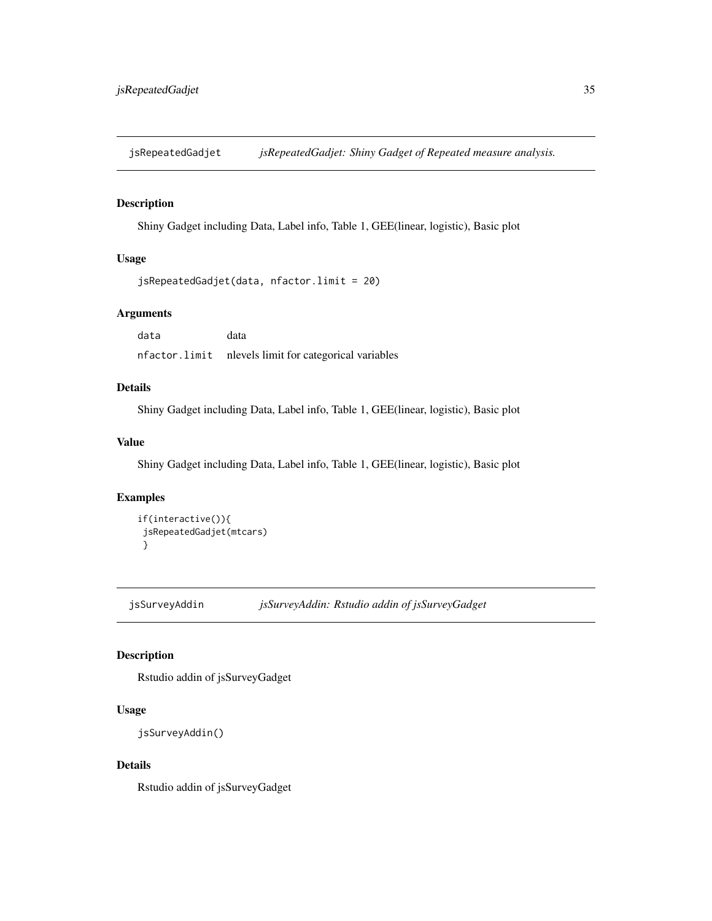<span id="page-34-0"></span>jsRepeatedGadjet *jsRepeatedGadjet: Shiny Gadget of Repeated measure analysis.*

## Description

Shiny Gadget including Data, Label info, Table 1, GEE(linear, logistic), Basic plot

# Usage

```
jsRepeatedGadjet(data, nfactor.limit = 20)
```
# Arguments

data data nfactor.limit nlevels limit for categorical variables

# Details

Shiny Gadget including Data, Label info, Table 1, GEE(linear, logistic), Basic plot

#### Value

Shiny Gadget including Data, Label info, Table 1, GEE(linear, logistic), Basic plot

#### Examples

```
if(interactive()){
jsRepeatedGadjet(mtcars)
}
```
jsSurveyAddin *jsSurveyAddin: Rstudio addin of jsSurveyGadget*

## Description

Rstudio addin of jsSurveyGadget

# Usage

```
jsSurveyAddin()
```
## Details

Rstudio addin of jsSurveyGadget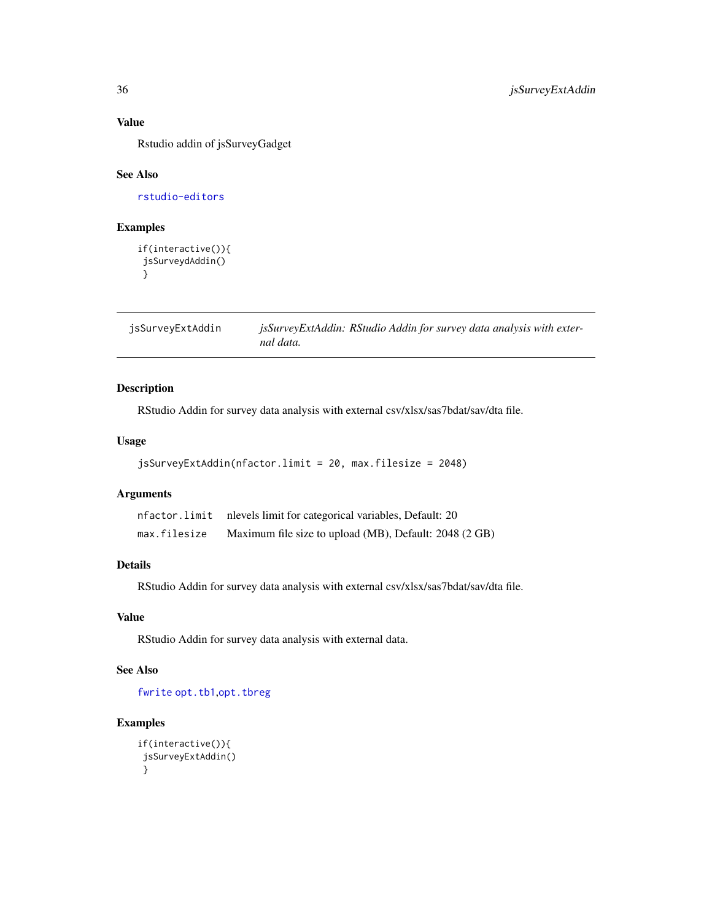## Value

Rstudio addin of jsSurveyGadget

#### See Also

[rstudio-editors](#page-0-0)

# Examples

```
if(interactive()){
jsSurveydAddin()
}
```
jsSurveyExtAddin *jsSurveyExtAddin: RStudio Addin for survey data analysis with external data.*

## Description

RStudio Addin for survey data analysis with external csv/xlsx/sas7bdat/sav/dta file.

# Usage

```
jsSurveyExtAddin(nfactor.limit = 20, max.filesize = 2048)
```
### Arguments

| nfactor.limit | nlevels limit for categorical variables, Default: 20   |
|---------------|--------------------------------------------------------|
| max.filesize  | Maximum file size to upload (MB), Default: 2048 (2 GB) |

## Details

RStudio Addin for survey data analysis with external csv/xlsx/sas7bdat/sav/dta file.

## Value

RStudio Addin for survey data analysis with external data.

## See Also

[fwrite](#page-0-0) [opt.tb1](#page-0-0),[opt.tbreg](#page-0-0)

```
if(interactive()){
jsSurveyExtAddin()
}
```
<span id="page-35-0"></span>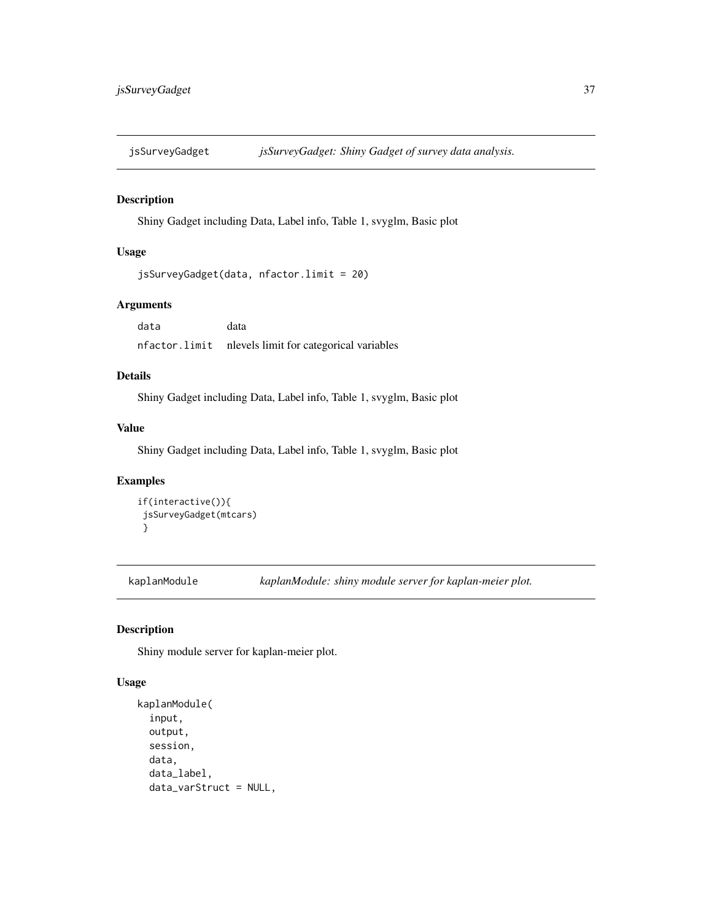## Description

Shiny Gadget including Data, Label info, Table 1, svyglm, Basic plot

# Usage

```
jsSurveyGadget(data, nfactor.limit = 20)
```
## Arguments

data data nfactor.limit nlevels limit for categorical variables

### Details

Shiny Gadget including Data, Label info, Table 1, svyglm, Basic plot

### Value

Shiny Gadget including Data, Label info, Table 1, svyglm, Basic plot

### Examples

```
if(interactive()){
jsSurveyGadget(mtcars)
}
```
kaplanModule *kaplanModule: shiny module server for kaplan-meier plot.*

#### Description

Shiny module server for kaplan-meier plot.

#### Usage

```
kaplanModule(
  input,
 output,
  session,
  data,
  data_label,
  data_varStruct = NULL,
```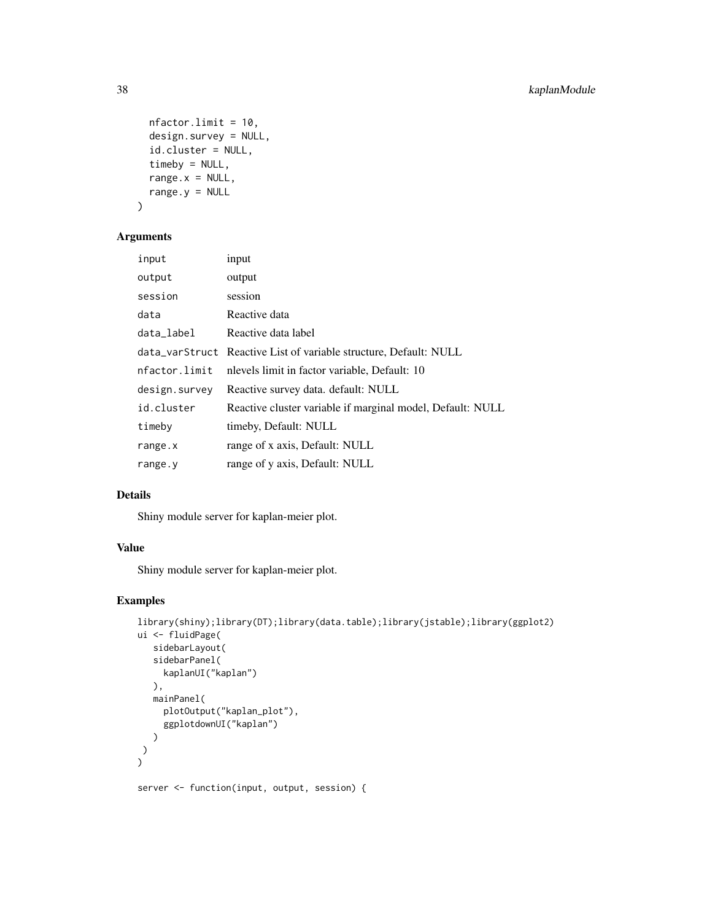```
nfactor.limit = 10,
 design.survey = NULL,
  id.cluster = NULL,
 timeby = NULL,
 range.x = NULL,
 range.y = NULL)
```
### Arguments

| input         | input                                                             |
|---------------|-------------------------------------------------------------------|
| output        | output                                                            |
| session       | session                                                           |
| data          | Reactive data                                                     |
| data_label    | Reactive data label                                               |
|               | data_varStruct Reactive List of variable structure, Default: NULL |
| nfactor.limit | nlevels limit in factor variable, Default: 10                     |
| design.survey | Reactive survey data. default: NULL                               |
| id.cluster    | Reactive cluster variable if marginal model, Default: NULL        |
| timeby        | timeby, Default: NULL                                             |
| range.x       | range of x axis, Default: NULL                                    |
| range.y       | range of y axis, Default: NULL                                    |

### Details

Shiny module server for kaplan-meier plot.

## Value

Shiny module server for kaplan-meier plot.

# Examples

```
library(shiny);library(DT);library(data.table);library(jstable);library(ggplot2)
ui <- fluidPage(
  sidebarLayout(
   sidebarPanel(
     kaplanUI("kaplan")
  ),
  mainPanel(
     plotOutput("kaplan_plot"),
     ggplotdownUI("kaplan")
  )
)
\mathcal{L}
```
server <- function(input, output, session) {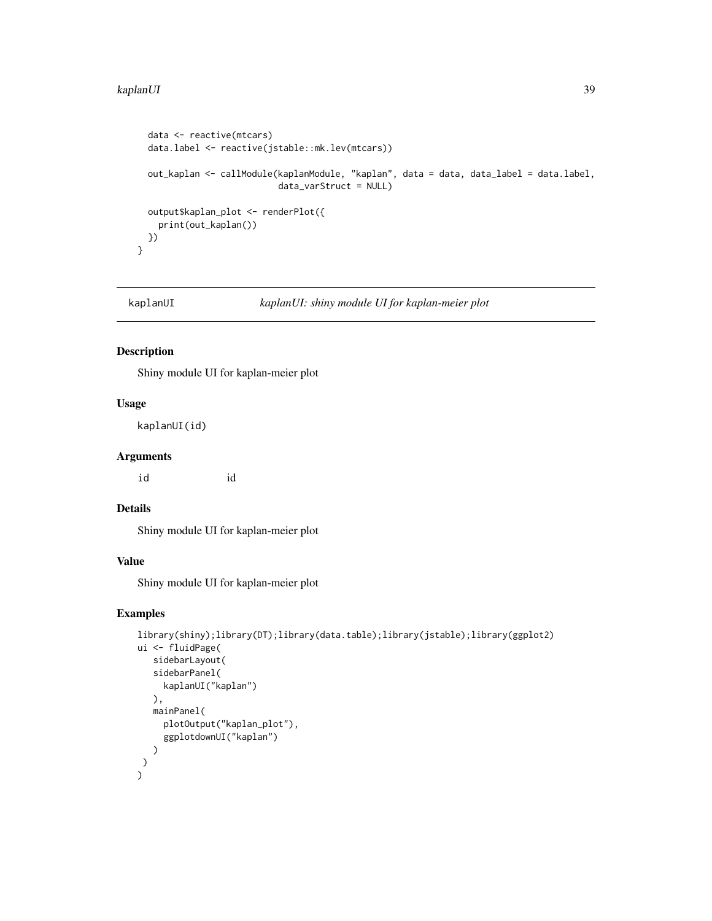#### kaplanUI 39

```
data <- reactive(mtcars)
data.label <- reactive(jstable::mk.lev(mtcars))
out_kaplan <- callModule(kaplanModule, "kaplan", data = data, data_label = data.label,
                         data_varStruct = NULL)
output$kaplan_plot <- renderPlot({
 print(out_kaplan())
})
```
}

kaplanUI *kaplanUI: shiny module UI for kaplan-meier plot*

### Description

Shiny module UI for kaplan-meier plot

### Usage

kaplanUI(id)

#### Arguments

id id

#### Details

Shiny module UI for kaplan-meier plot

#### Value

Shiny module UI for kaplan-meier plot

```
library(shiny);library(DT);library(data.table);library(jstable);library(ggplot2)
ui <- fluidPage(
   sidebarLayout(
   sidebarPanel(
     kaplanUI("kaplan")
   ),
   mainPanel(
     plotOutput("kaplan_plot"),
     ggplotdownUI("kaplan")
  )
 )
)
```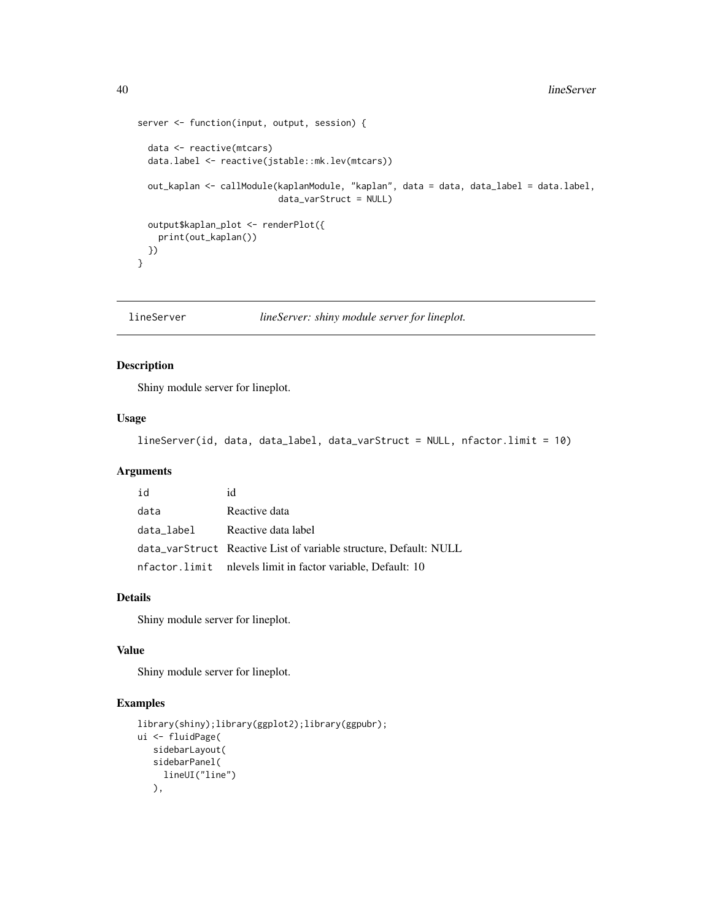```
server <- function(input, output, session) {
 data <- reactive(mtcars)
 data.label <- reactive(jstable::mk.lev(mtcars))
 out_kaplan <- callModule(kaplanModule, "kaplan", data = data, data_label = data.label,
                           data_varStruct = NULL)
 output$kaplan_plot <- renderPlot({
   print(out_kaplan())
 })
}
```
lineServer *lineServer: shiny module server for lineplot.*

### Description

Shiny module server for lineplot.

#### Usage

lineServer(id, data, data\_label, data\_varStruct = NULL, nfactor.limit = 10)

# Arguments

| id         | id                                                                |
|------------|-------------------------------------------------------------------|
| data       | Reactive data                                                     |
| data label | Reactive data label                                               |
|            | data_varStruct Reactive List of variable structure, Default: NULL |
|            | nfactor.limit nlevels limit in factor variable, Default: 10       |

### Details

Shiny module server for lineplot.

#### Value

Shiny module server for lineplot.

```
library(shiny);library(ggplot2);library(ggpubr);
ui <- fluidPage(
  sidebarLayout(
  sidebarPanel(
    lineUI("line")
  ),
```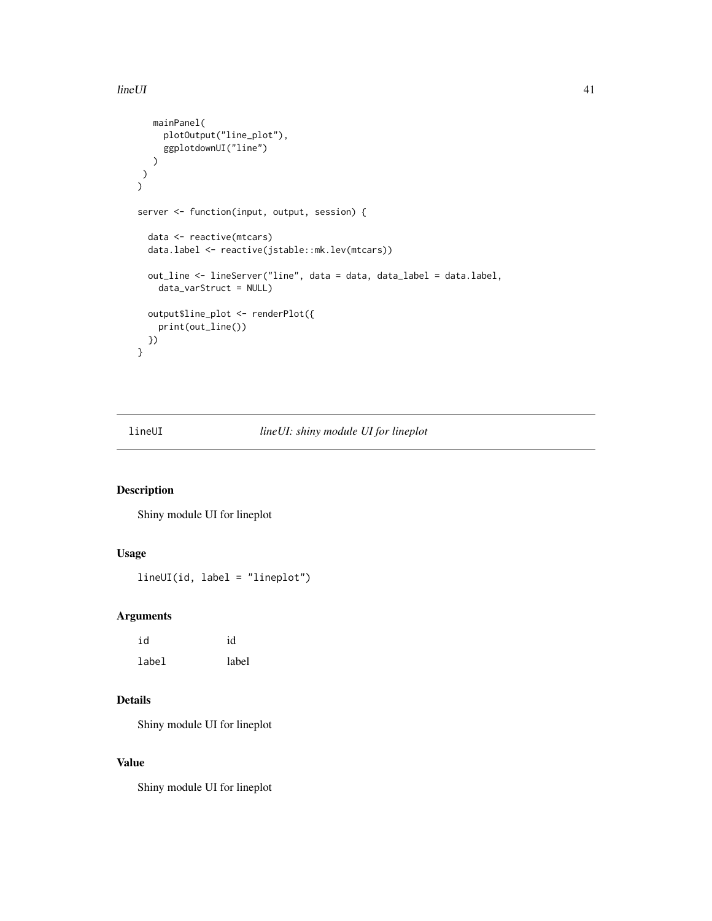#### $lineUI$  41

```
mainPanel(
     plotOutput("line_plot"),
     ggplotdownUI("line")
  \lambda)
)
server <- function(input, output, session) {
  data <- reactive(mtcars)
  data.label <- reactive(jstable::mk.lev(mtcars))
  out_line <- lineServer("line", data = data, data_label = data.label,
    data_varStruct = NULL)
  output$line_plot <- renderPlot({
   print(out_line())
 })
}
```
# lineUI *lineUI: shiny module UI for lineplot*

## Description

Shiny module UI for lineplot

# Usage

lineUI(id, label = "lineplot")

#### Arguments

| id    | id    |
|-------|-------|
| label | label |

## Details

Shiny module UI for lineplot

# Value

Shiny module UI for lineplot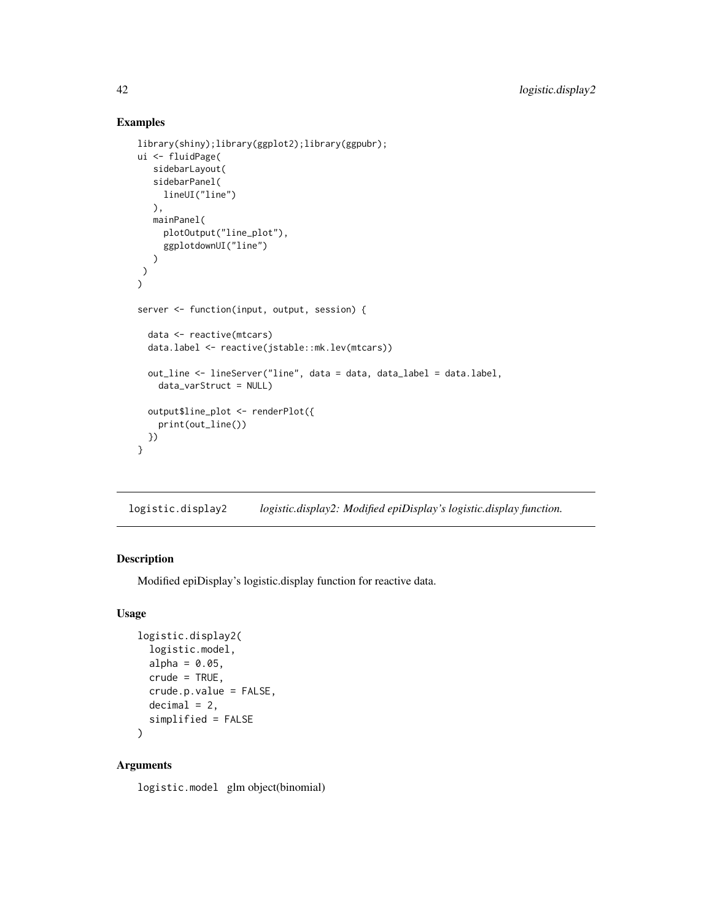## Examples

```
library(shiny);library(ggplot2);library(ggpubr);
ui <- fluidPage(
   sidebarLayout(
   sidebarPanel(
     lineUI("line")
   ),
   mainPanel(
     plotOutput("line_plot"),
     ggplotdownUI("line")
  )
)
\overline{)}server <- function(input, output, session) {
  data <- reactive(mtcars)
  data.label <- reactive(jstable::mk.lev(mtcars))
  out_line <- lineServer("line", data = data, data_label = data.label,
    data_varStruct = NULL)
  output$line_plot <- renderPlot({
    print(out_line())
 })
}
```
logistic.display2 *logistic.display2: Modified epiDisplay's logistic.display function.*

#### Description

Modified epiDisplay's logistic.display function for reactive data.

## Usage

```
logistic.display2(
  logistic.model,
  alpha = 0.05,
  crude = TRUE,
  crude.p.value = FALSE,
  decimal = 2,
  simplified = FALSE
```
)

### Arguments

logistic.model glm object(binomial)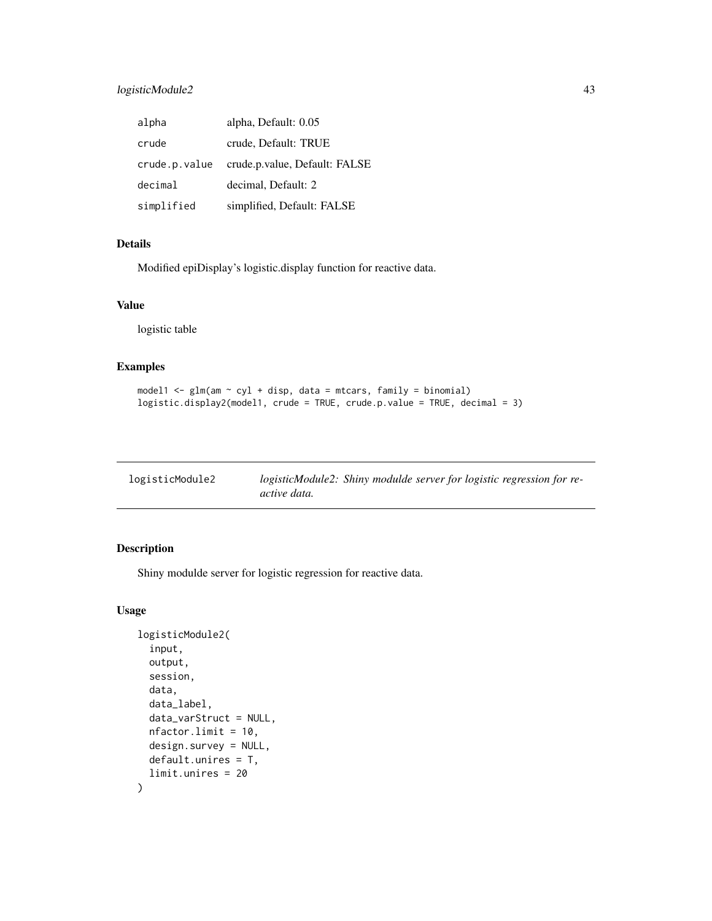### logisticModule2 43

| alpha         | alpha, Default: 0.05          |
|---------------|-------------------------------|
| crude         | crude, Default: TRUE          |
| crude.p.value | crude.p.value, Default: FALSE |
| decimal       | decimal, Default: 2           |
| simplified    | simplified, Default: FALSE    |

# Details

Modified epiDisplay's logistic.display function for reactive data.

### Value

logistic table

### Examples

```
model1 <- glm(am \sim cyl + disp, data = mtcars, family = binomial)logistic.display2(model1, crude = TRUE, crude.p.value = TRUE, decimal = 3)
```

| logisticModule2 | logisticModule2: Shiny modulde server for logistic regression for re- |  |
|-----------------|-----------------------------------------------------------------------|--|
|                 | <i>active data.</i>                                                   |  |

### Description

Shiny modulde server for logistic regression for reactive data.

### Usage

```
logisticModule2(
  input,
  output,
  session,
  data,
  data_label,
  data_varStruct = NULL,
 nfactor.limit = 10,
  design.survey = NULL,
  default.unires = T,
  limit.unires = 20
\mathcal{L}
```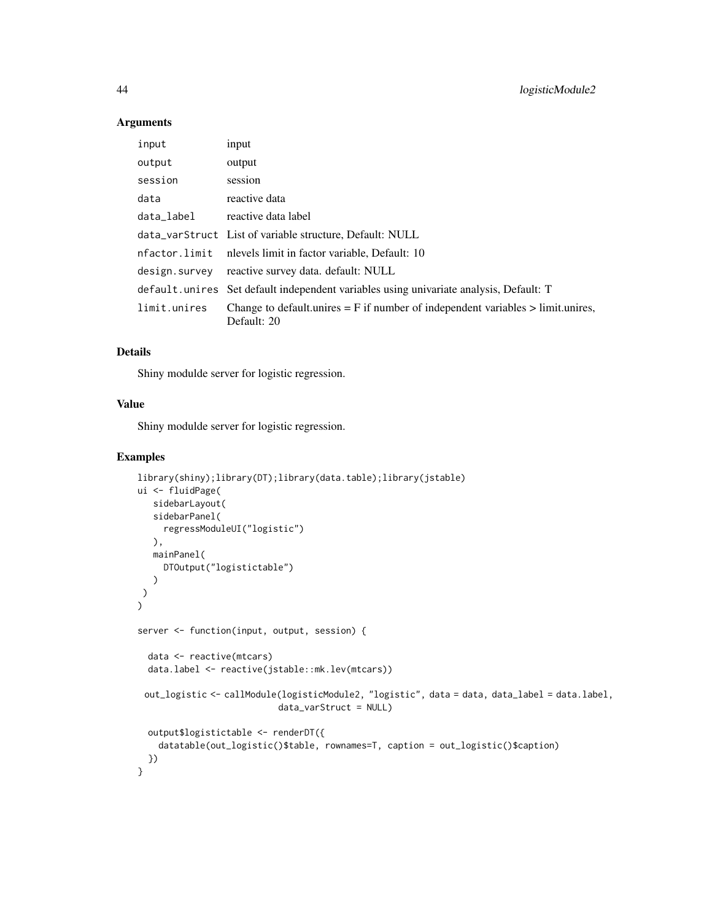#### Arguments

| input         | input                                                                                              |
|---------------|----------------------------------------------------------------------------------------------------|
| output        | output                                                                                             |
| session       | session                                                                                            |
| data          | reactive data                                                                                      |
| data_label    | reactive data label                                                                                |
|               | data_varStruct List of variable structure, Default: NULL                                           |
|               | nfactor.limit nlevels limit in factor variable, Default: 10                                        |
| design.survey | reactive survey data. default: NULL                                                                |
|               | default. unires Set default independent variables using univariate analysis, Default: T            |
| limit.unires  | Change to default unires $=$ F if number of independent variables $>$ limit unires,<br>Default: 20 |

# Details

Shiny modulde server for logistic regression.

### Value

Shiny modulde server for logistic regression.

```
library(shiny);library(DT);library(data.table);library(jstable)
ui <- fluidPage(
  sidebarLayout(
   sidebarPanel(
    regressModuleUI("logistic")
  ),
  mainPanel(
    DTOutput("logistictable")
  )
)
)
server <- function(input, output, session) {
  data <- reactive(mtcars)
  data.label <- reactive(jstable::mk.lev(mtcars))
 out_logistic <- callModule(logisticModule2, "logistic", data = data, data_label = data.label,
                           data_varStruct = NULL)
  output$logistictable <- renderDT({
    datatable(out_logistic()$table, rownames=T, caption = out_logistic()$caption)
  })
}
```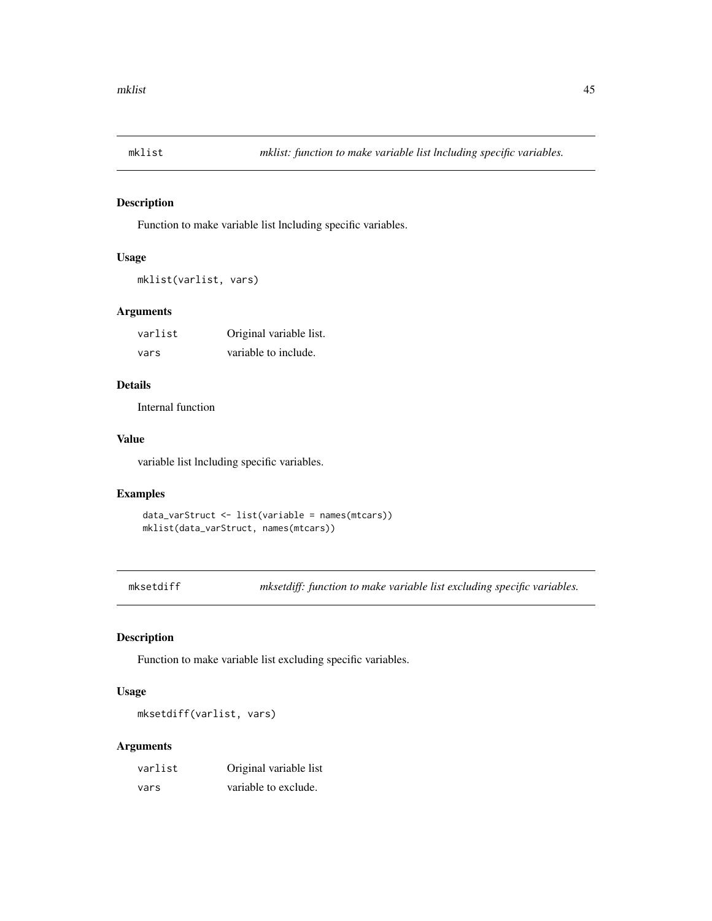## Description

Function to make variable list lncluding specific variables.

### Usage

mklist(varlist, vars)

#### Arguments

| varlist | Original variable list. |
|---------|-------------------------|
| vars    | variable to include.    |

# Details

Internal function

### Value

variable list lncluding specific variables.

### Examples

```
data_varStruct <- list(variable = names(mtcars))
mklist(data_varStruct, names(mtcars))
```
mksetdiff *mksetdiff: function to make variable list excluding specific variables.*

### Description

Function to make variable list excluding specific variables.

## Usage

mksetdiff(varlist, vars)

| varlist | Original variable list |
|---------|------------------------|
| vars    | variable to exclude.   |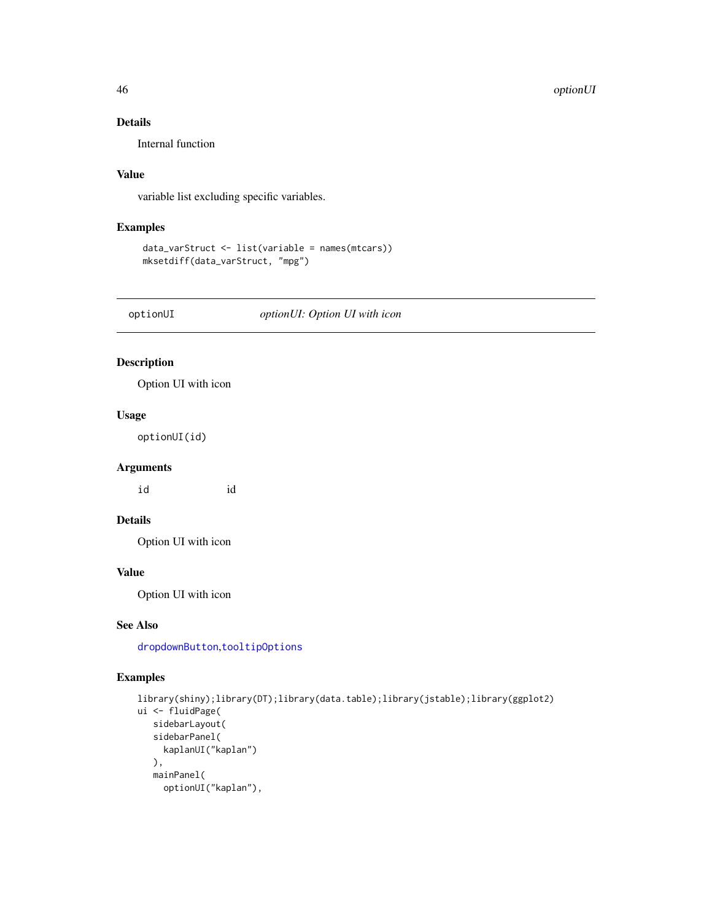#### 46 optionUI

# Details

Internal function

## Value

variable list excluding specific variables.

# Examples

```
data_varStruct <- list(variable = names(mtcars))
mksetdiff(data_varStruct, "mpg")
```
optionUI *optionUI: Option UI with icon*

# Description

Option UI with icon

### Usage

optionUI(id)

### Arguments

id id

# Details

Option UI with icon

# Value

Option UI with icon

### See Also

[dropdownButton](#page-0-0),[tooltipOptions](#page-0-0)

```
library(shiny);library(DT);library(data.table);library(jstable);library(ggplot2)
ui <- fluidPage(
   sidebarLayout(
   sidebarPanel(
     kaplanUI("kaplan")
  ),
  mainPanel(
     optionUI("kaplan"),
```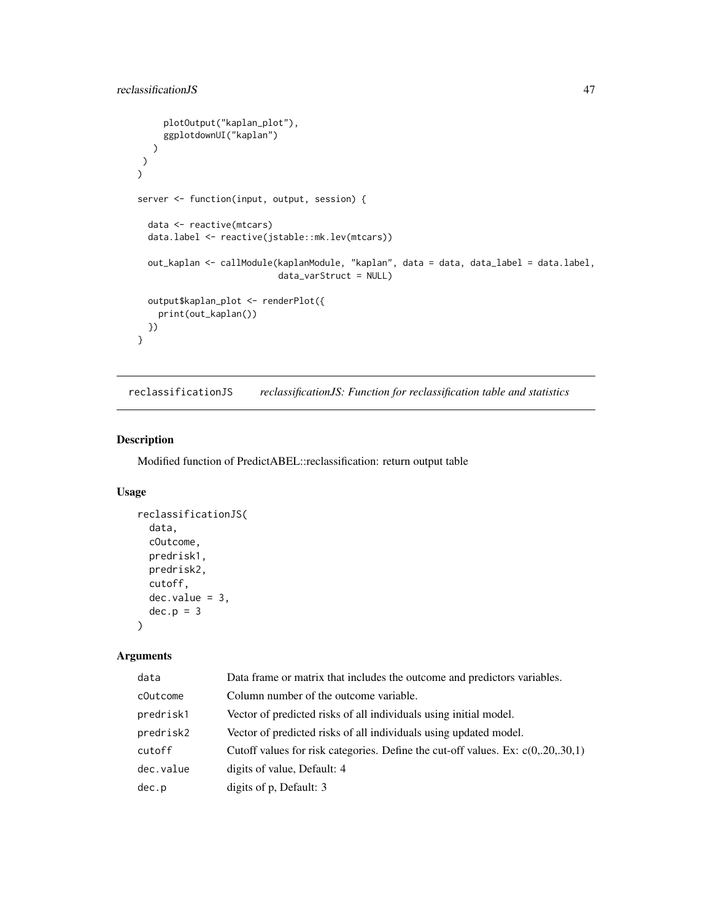```
plotOutput("kaplan_plot"),
     ggplotdownUI("kaplan")
  )
\lambda)
server <- function(input, output, session) {
 data <- reactive(mtcars)
 data.label <- reactive(jstable::mk.lev(mtcars))
 out_kaplan <- callModule(kaplanModule, "kaplan", data = data, data_label = data.label,
                           data_varStruct = NULL)
 output$kaplan_plot <- renderPlot({
   print(out_kaplan())
 })
}
```
reclassificationJS *reclassificationJS: Function for reclassification table and statistics*

## Description

Modified function of PredictABEL::reclassification: return output table

### Usage

```
reclassificationJS(
  data,
  cOutcome,
 predrisk1,
 predrisk2,
  cutoff,
 dec.value = 3,
  dec.p = 3)
```

| data      | Data frame or matrix that includes the outcome and predictors variables.            |
|-----------|-------------------------------------------------------------------------------------|
| cOutcome  | Column number of the outcome variable.                                              |
| predrisk1 | Vector of predicted risks of all individuals using initial model.                   |
| predrisk2 | Vector of predicted risks of all individuals using updated model.                   |
| cutoff    | Cutoff values for risk categories. Define the cut-off values. Ex: $c(0, 20, 30, 1)$ |
| dec.value | digits of value, Default: 4                                                         |
| dec.p     | digits of p, Default: 3                                                             |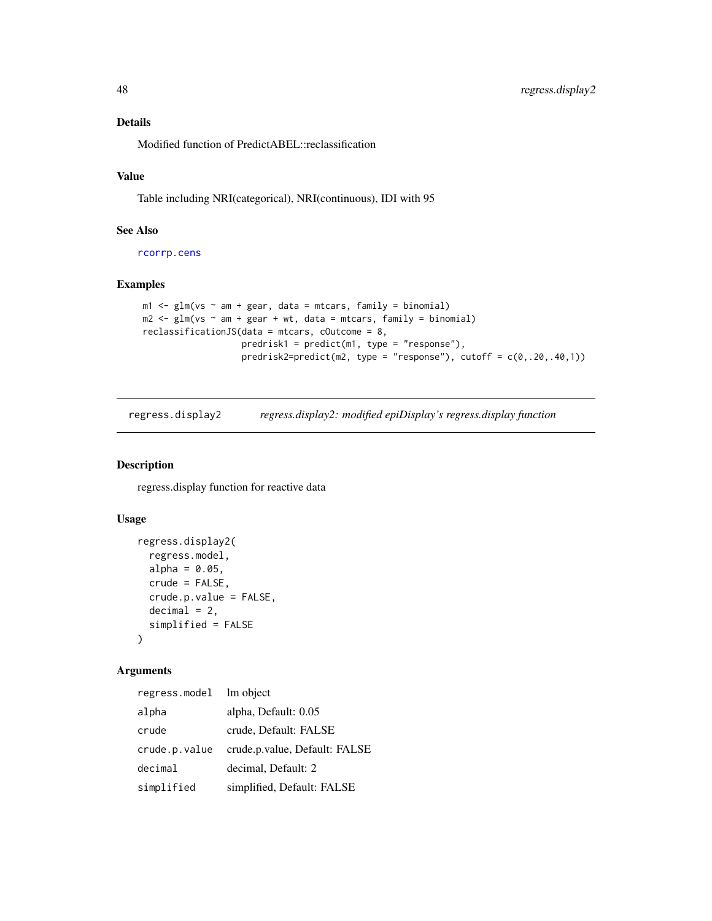### Details

Modified function of PredictABEL::reclassification

# Value

Table including NRI(categorical), NRI(continuous), IDI with 95

### See Also

[rcorrp.cens](#page-0-0)

### Examples

```
m1 \leq -g1m(vs \sim am + gear, data = mtcars, family = binomial)m2 \leq -g \ln(vs \sim am + gear + wt, data = mtcars, family = binomial)reclassificationJS(data = mtcars, cOutcome = 8,
                   predrisk1 = predict(m1, type = "response"),
                   predrisk2=predict(m2, type = "response"), cutoff = c(0,.20,.40,1))
```
regress.display2 *regress.display2: modified epiDisplay's regress.display function*

### Description

regress.display function for reactive data

## Usage

```
regress.display2(
  regress.model,
 alpha = 0.05,
 crude = FALSE,
 crude.p.value = FALSE,
 decimal = 2,simplified = FALSE
)
```

| regress.model | lm object                     |
|---------------|-------------------------------|
| alpha         | alpha, Default: 0.05          |
| crude         | crude, Default: FALSE         |
| crude.p.value | crude.p.value, Default: FALSE |
| decimal       | decimal, Default: 2           |
| simplified    | simplified, Default: FALSE    |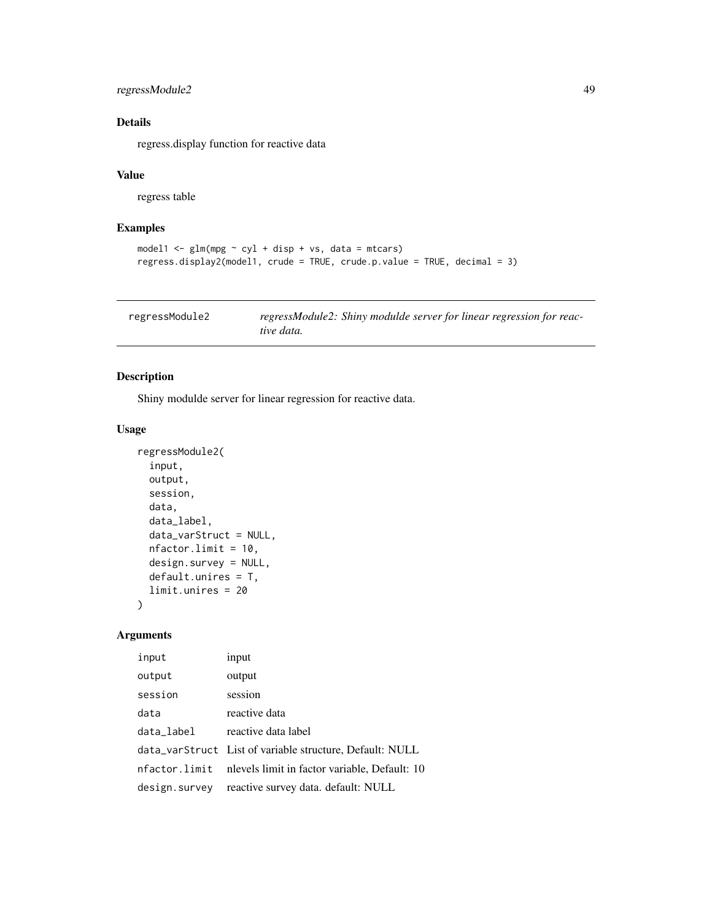# regressModule2 49

# Details

regress.display function for reactive data

### Value

regress table

# Examples

```
model1 \leq glm(mpg \sim cyl + disp + vs, data = mtcars)
regress.display2(model1, crude = TRUE, crude.p.value = TRUE, decimal = 3)
```

| regressModule2 | regressModule2: Shiny modulde server for linear regression for reac- |
|----------------|----------------------------------------------------------------------|
|                | tive data.                                                           |

### Description

Shiny modulde server for linear regression for reactive data.

### Usage

```
regressModule2(
  input,
 output,
 session,
 data,
  data_label,
 data_varStruct = NULL,
 nfactor.limit = 10,
 design.survey = NULL,
 default.unires = T,
 limit.unires = 20
)
```

| input         | input                                                    |
|---------------|----------------------------------------------------------|
| output        | output                                                   |
| session       | session                                                  |
| data          | reactive data                                            |
| data_label    | reactive data label                                      |
|               | data_varStruct List of variable structure, Default: NULL |
| nfactor.limit | nlevels limit in factor variable, Default: 10            |
| design.survey | reactive survey data. default: NULL                      |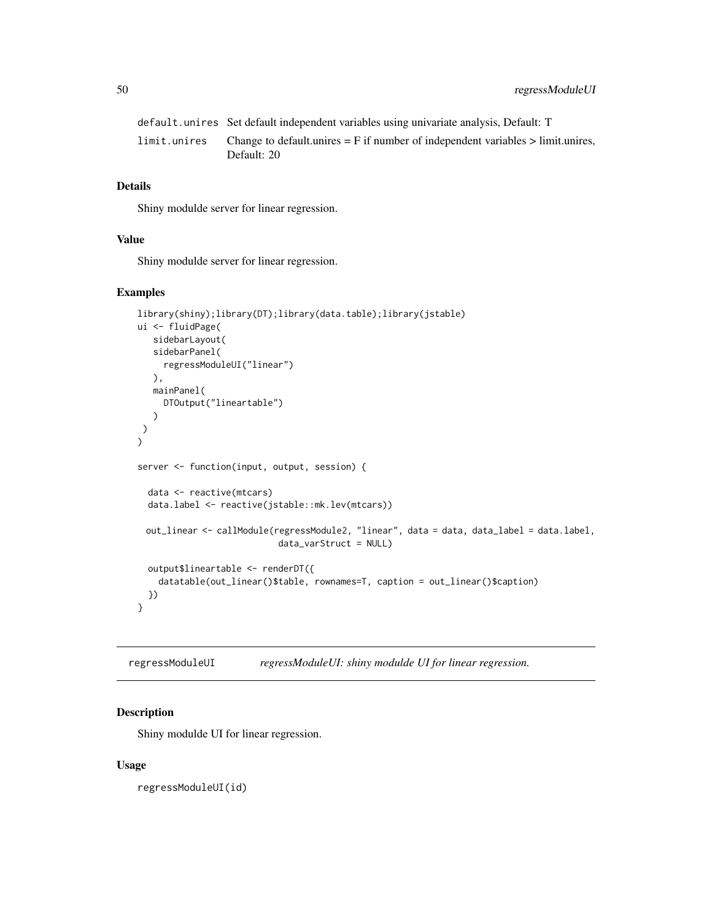|              | default.unires Set default independent variables using univariate analysis, Default: T             |
|--------------|----------------------------------------------------------------------------------------------------|
| limit.unires | Change to default unires $=$ F if number of independent variables $>$ limit unires,<br>Default: 20 |

# Details

Shiny modulde server for linear regression.

#### Value

Shiny modulde server for linear regression.

#### Examples

```
library(shiny);library(DT);library(data.table);library(jstable)
ui <- fluidPage(
   sidebarLayout(
   sidebarPanel(
     regressModuleUI("linear")
  ),
  mainPanel(
    DTOutput("lineartable")
   )
 )
)
server <- function(input, output, session) {
  data <- reactive(mtcars)
  data.label <- reactive(jstable::mk.lev(mtcars))
 out_linear <- callModule(regressModule2, "linear", data = data, data_label = data.label,
                           data_varStruct = NULL)
  output$lineartable <- renderDT({
    datatable(out_linear()$table, rownames=T, caption = out_linear()$caption)
  })
}
```
regressModuleUI *regressModuleUI: shiny modulde UI for linear regression.*

#### Description

Shiny modulde UI for linear regression.

#### Usage

regressModuleUI(id)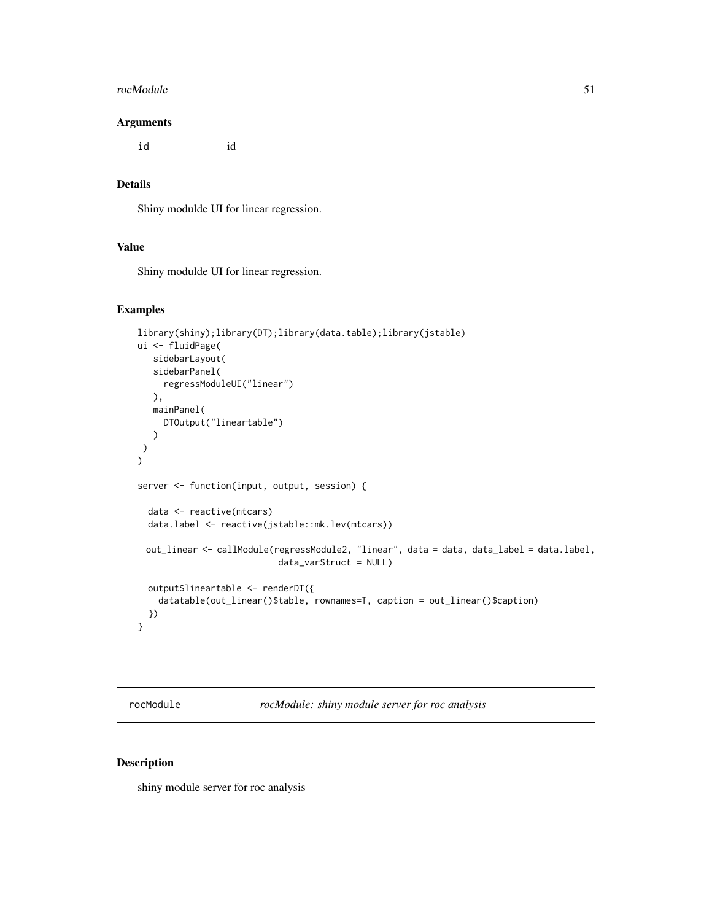#### rocModule 51

#### Arguments

id id

### Details

Shiny modulde UI for linear regression.

### Value

Shiny modulde UI for linear regression.

#### Examples

```
library(shiny);library(DT);library(data.table);library(jstable)
ui <- fluidPage(
  sidebarLayout(
   sidebarPanel(
     regressModuleUI("linear")
  ),
  mainPanel(
     DTOutput("lineartable")
   )
)
\mathcal{L}server <- function(input, output, session) {
  data <- reactive(mtcars)
  data.label <- reactive(jstable::mk.lev(mtcars))
 out_linear <- callModule(regressModule2, "linear", data = data, data_label = data.label,
                           data_varStruct = NULL)
  output$lineartable <- renderDT({
    datatable(out_linear()$table, rownames=T, caption = out_linear()$caption)
  })
}
```
rocModule *rocModule: shiny module server for roc analysis*

## Description

shiny module server for roc analysis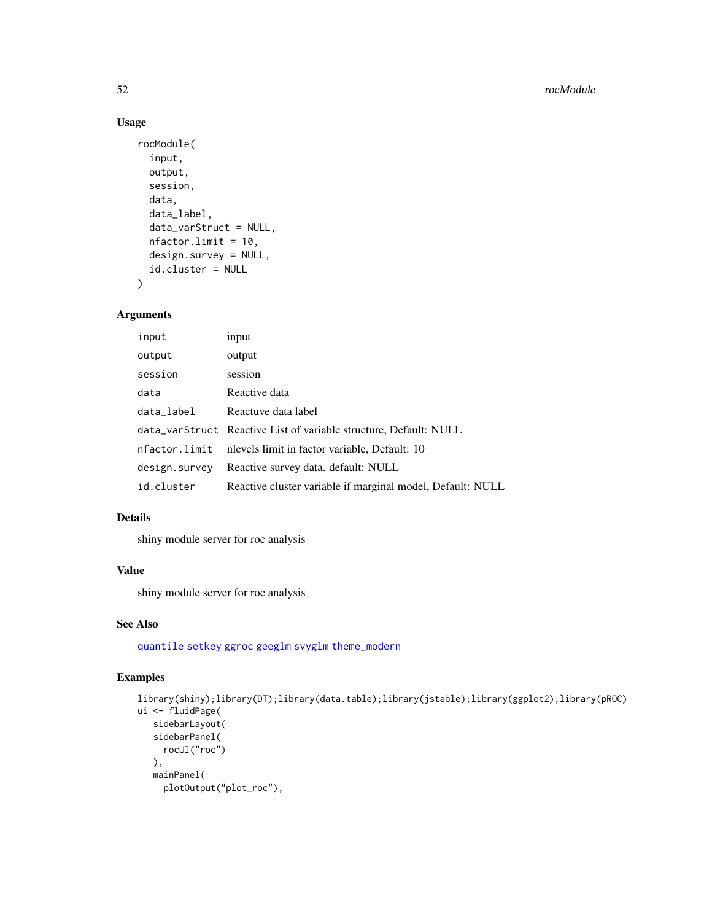# Usage

```
rocModule(
  input,
  output,
  session,
  data,
  data_label,
  data_varStruct = NULL,
  nfactor.limit = 10,
  design.survey = NULL,
  id.cluster = NULL
\mathcal{E}
```
## Arguments

| input         | input                                                             |
|---------------|-------------------------------------------------------------------|
| output        | output                                                            |
| session       | session                                                           |
| data          | Reactive data                                                     |
| data_label    | Reactuve data label                                               |
|               | data_varStruct Reactive List of variable structure, Default: NULL |
| nfactor.limit | nlevels limit in factor variable, Default: 10                     |
| design.survey | Reactive survey data. default: NULL                               |
| id.cluster    | Reactive cluster variable if marginal model, Default: NULL        |
|               |                                                                   |

# Details

shiny module server for roc analysis

## Value

shiny module server for roc analysis

### See Also

[quantile](#page-0-0) [setkey](#page-0-0) [ggroc](#page-0-0) [geeglm](#page-0-0) [svyglm](#page-0-0) [theme\\_modern](#page-0-0)

```
library(shiny);library(DT);library(data.table);library(jstable);library(ggplot2);library(pROC)
ui <- fluidPage(
  sidebarLayout(
   sidebarPanel(
    rocUI("roc")
  ),
  mainPanel(
    plotOutput("plot_roc"),
```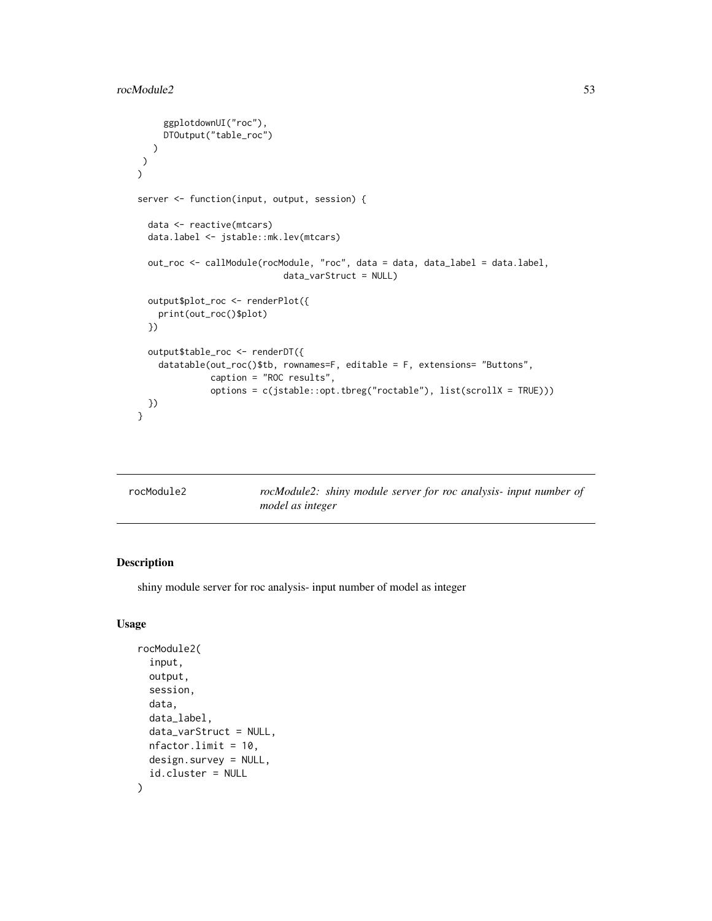```
ggplotdownUI("roc"),
    DTOutput("table_roc")
  )
\lambda)
server <- function(input, output, session) {
 data <- reactive(mtcars)
 data.label <- jstable::mk.lev(mtcars)
 out_roc <- callModule(rocModule, "roc", data = data, data_label = data.label,
                            data_varStruct = NULL)
 output$plot_roc <- renderPlot({
   print(out_roc()$plot)
 })
 output$table_roc <- renderDT({
    datatable(out_roc()$tb, rownames=F, editable = F, extensions= "Buttons",
              caption = "ROC results",
              options = c(jstable::opt.tbreg("roctable"), list(scrollX = TRUE)))
 })
}
```

| rocModule2 | rocModule2: shiny module server for roc analysis- input number of |
|------------|-------------------------------------------------------------------|
|            | model as integer                                                  |

## Description

shiny module server for roc analysis- input number of model as integer

### Usage

```
rocModule2(
  input,
  output,
  session,
  data,
  data_label,
  data_varStruct = NULL,
 nfactor.limit = 10,
  design.survey = NULL,
  id.cluster = NULL
)
```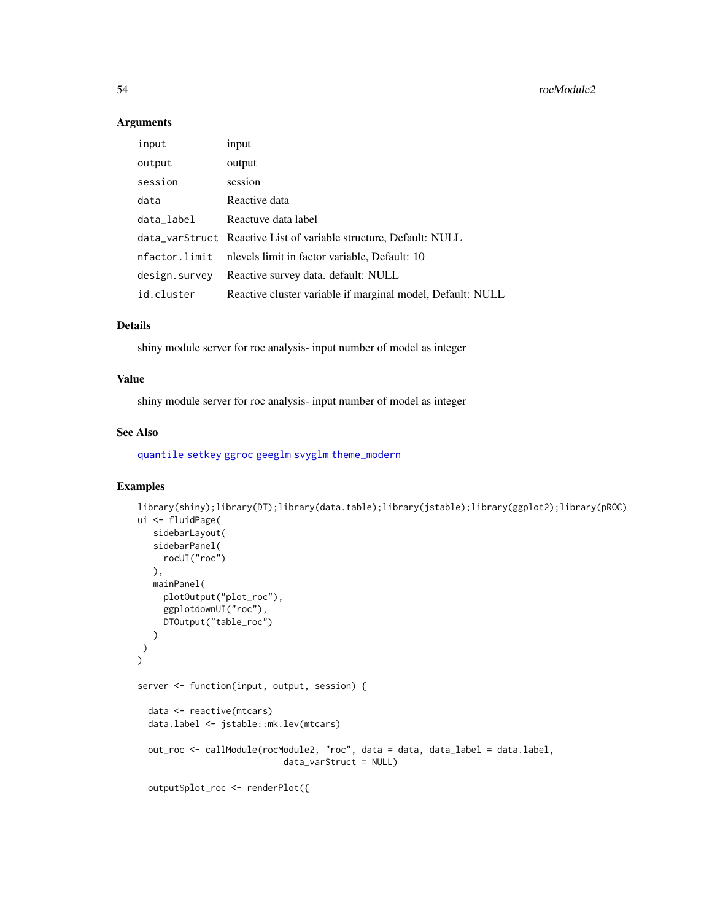#### Arguments

| input         | input                                                             |
|---------------|-------------------------------------------------------------------|
| output        | output                                                            |
| session       | session                                                           |
| data          | Reactive data                                                     |
| data_label    | Reactuve data label                                               |
|               | data_varStruct Reactive List of variable structure, Default: NULL |
| nfactor.limit | nlevels limit in factor variable, Default: 10                     |
| design.survey | Reactive survey data. default: NULL                               |
| id.cluster    | Reactive cluster variable if marginal model, Default: NULL        |

### Details

shiny module server for roc analysis- input number of model as integer

# Value

shiny module server for roc analysis- input number of model as integer

#### See Also

[quantile](#page-0-0) [setkey](#page-0-0) [ggroc](#page-0-0) [geeglm](#page-0-0) [svyglm](#page-0-0) [theme\\_modern](#page-0-0)

```
library(shiny);library(DT);library(data.table);library(jstable);library(ggplot2);library(pROC)
ui <- fluidPage(
   sidebarLayout(
   sidebarPanel(
    rocUI("roc")
  ),
  mainPanel(
    plotOutput("plot_roc"),
     ggplotdownUI("roc"),
    DTOutput("table_roc")
  )
)
\mathcal{L}server <- function(input, output, session) {
  data <- reactive(mtcars)
  data.label <- jstable::mk.lev(mtcars)
  out_roc <- callModule(rocModule2, "roc", data = data, data_label = data.label,
                            data_varStruct = NULL)
  output$plot_roc <- renderPlot({
```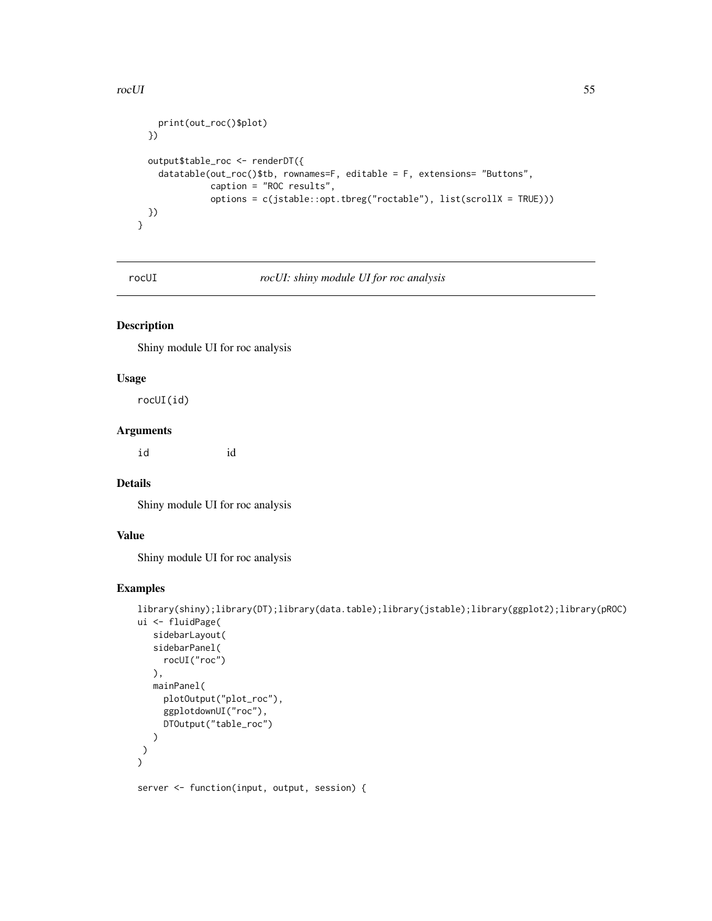#### rocUI 55

```
print(out_roc()$plot)
 })
 output$table_roc <- renderDT({
   datatable(out_roc()$tb, rownames=F, editable = F, extensions= "Buttons",
             caption = "ROC results",
             options = c(jstable::opt.tbreg("roctable"), list(scrollX = TRUE)))
 })
}
```
rocUI *rocUI: shiny module UI for roc analysis*

# Description

Shiny module UI for roc analysis

## Usage

rocUI(id)

### Arguments

id id

### Details

Shiny module UI for roc analysis

### Value

Shiny module UI for roc analysis

### Examples

```
library(shiny);library(DT);library(data.table);library(jstable);library(ggplot2);library(pROC)
ui <- fluidPage(
   sidebarLayout(
   sidebarPanel(
     rocUI("roc")
   ),
   mainPanel(
     plotOutput("plot_roc"),
     ggplotdownUI("roc"),
     DTOutput("table_roc")
   )
)
\mathcal{L}
```
server <- function(input, output, session) {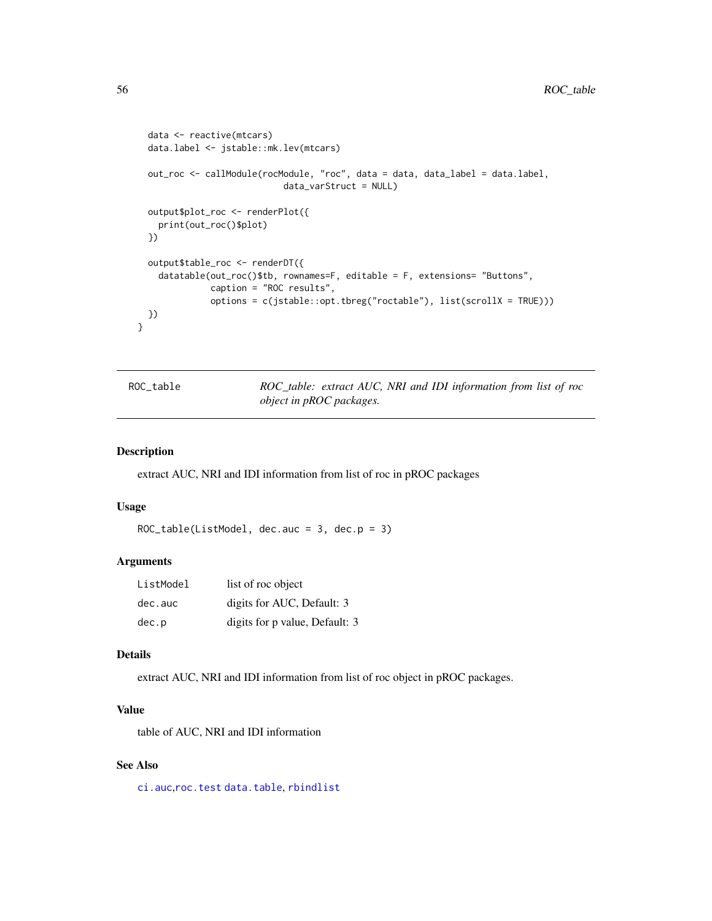```
data <- reactive(mtcars)
 data.label <- jstable::mk.lev(mtcars)
 out_roc <- callModule(rocModule, "roc", data = data, data_label = data.label,
                            data_varStruct = NULL)
 output$plot_roc <- renderPlot({
   print(out_roc()$plot)
 })
 output$table_roc <- renderDT({
   datatable(out_roc()$tb, rownames=F, editable = F, extensions= "Buttons",
              caption = "ROC results",
              options = c(jstable::opt.tbreg("roctable"), list(scrollX = TRUE)))
 })
}
```

| ROC_table | ROC_table: extract AUC, NRI and IDI information from list of roc |  |  |  |  |
|-----------|------------------------------------------------------------------|--|--|--|--|
|           | <i>object in pROC packages.</i>                                  |  |  |  |  |

#### Description

extract AUC, NRI and IDI information from list of roc in pROC packages

#### Usage

```
ROC_table(ListModel, dec.auc = 3, dec.p = 3)
```
## Arguments

| ListModel | list of roc object             |
|-----------|--------------------------------|
| dec.auc   | digits for AUC, Default: 3     |
| dec.p     | digits for p value, Default: 3 |

### Details

extract AUC, NRI and IDI information from list of roc object in pROC packages.

### Value

table of AUC, NRI and IDI information

### See Also

[ci.auc](#page-0-0),[roc.test](#page-0-0) [data.table](#page-0-0), [rbindlist](#page-0-0)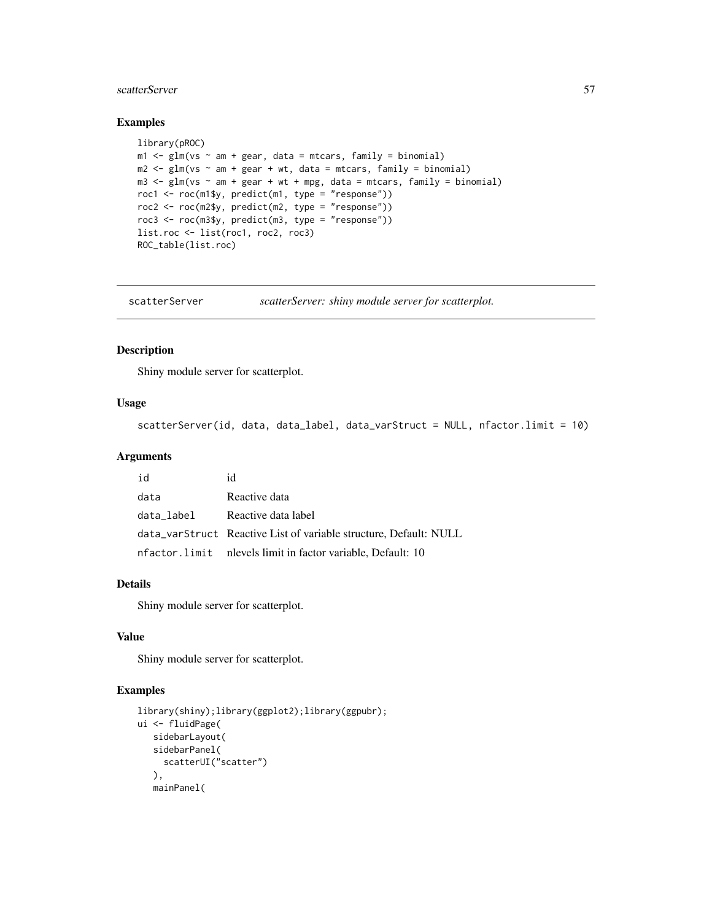#### scatterServer 57

### Examples

```
library(pROC)
m1 \leq -g \ln(vs \sim am + gear, data = mtcars, family = binomial)m2 \leq glm(vs \sim am + gear + wt, data = mtcars, family = binomial)m3 \leq glm(vs \sim am + gear + wt + mpg, data = mtcars, family = binomial)roc1 <- roc(m1$y, predict(m1, type = "response"))
roc2 <- roc(m2$y, predict(m2, type = "response"))
roc3 <- roc(m3$y, predict(m3, type = "response"))
list.roc <- list(roc1, roc2, roc3)
ROC_table(list.roc)
```
scatterServer *scatterServer: shiny module server for scatterplot.*

#### Description

Shiny module server for scatterplot.

### Usage

scatterServer(id, data, data\_label, data\_varStruct = NULL, nfactor.limit = 10)

#### Arguments

| id         | id                                                                |
|------------|-------------------------------------------------------------------|
| data       | Reactive data                                                     |
| data_label | Reactive data label                                               |
|            | data_varStruct Reactive List of variable structure, Default: NULL |
|            | nfactor.limit nlevels limit in factor variable, Default: 10       |

### Details

Shiny module server for scatterplot.

#### Value

Shiny module server for scatterplot.

```
library(shiny);library(ggplot2);library(ggpubr);
ui <- fluidPage(
   sidebarLayout(
  sidebarPanel(
    scatterUI("scatter")
  ),
   mainPanel(
```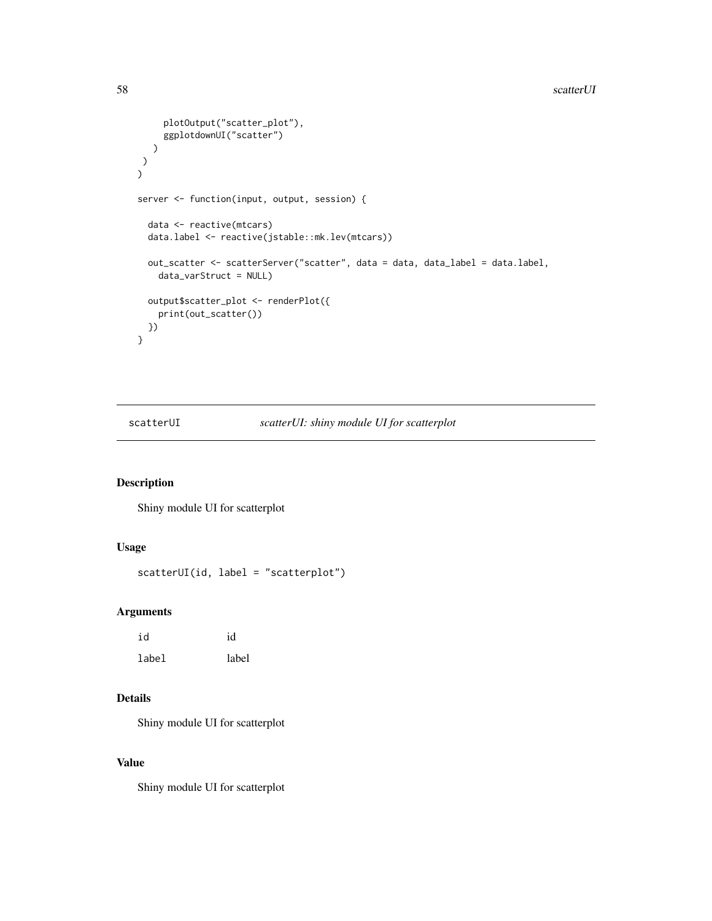```
plotOutput("scatter_plot"),
     ggplotdownUI("scatter")
  )
\lambda)
server <- function(input, output, session) {
 data <- reactive(mtcars)
 data.label <- reactive(jstable::mk.lev(mtcars))
 out_scatter <- scatterServer("scatter", data = data, data_label = data.label,
   data_varStruct = NULL)
 output$scatter_plot <- renderPlot({
   print(out_scatter())
 })
}
```
scatterUI *scatterUI: shiny module UI for scatterplot*

### Description

Shiny module UI for scatterplot

### Usage

```
scatterUI(id, label = "scatterplot")
```
### Arguments

| id    | id    |
|-------|-------|
| label | label |

# Details

Shiny module UI for scatterplot

# Value

Shiny module UI for scatterplot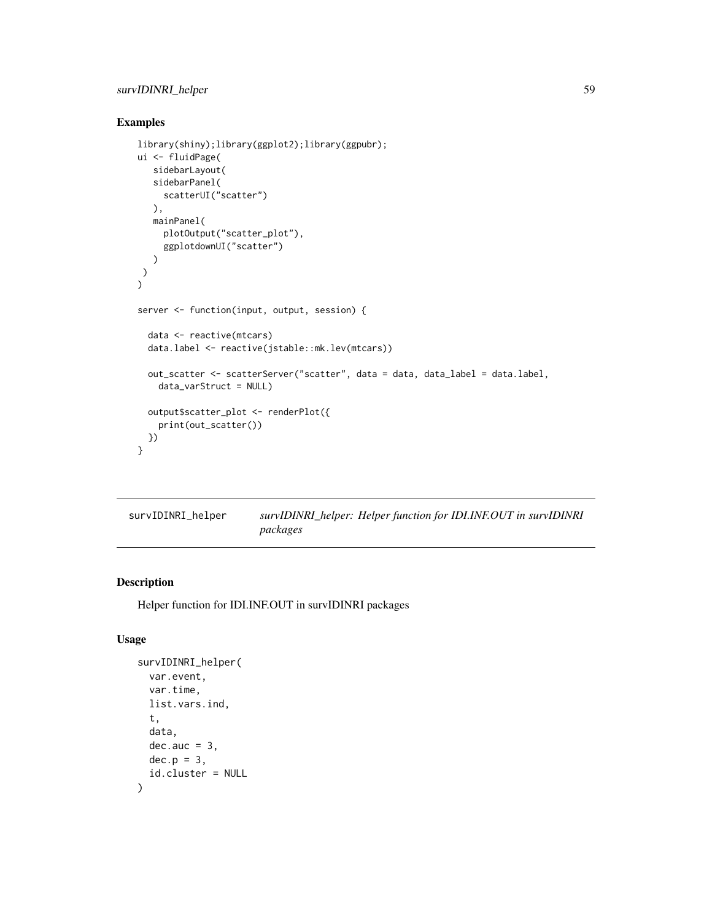### survIDINRI\_helper 59

# Examples

```
library(shiny);library(ggplot2);library(ggpubr);
ui <- fluidPage(
   sidebarLayout(
   sidebarPanel(
     scatterUI("scatter")
   ),
  mainPanel(
     plotOutput("scatter_plot"),
     ggplotdownUI("scatter")
  )
\lambda\mathcal{L}server <- function(input, output, session) {
  data <- reactive(mtcars)
  data.label <- reactive(jstable::mk.lev(mtcars))
  out_scatter <- scatterServer("scatter", data = data, data_label = data.label,
    data_varStruct = NULL)
  output$scatter_plot <- renderPlot({
    print(out_scatter())
  })
}
```

| survIDINRI_helper | survIDINRI_helper: Helper function for IDI.INF.OUT in survIDINRI |
|-------------------|------------------------------------------------------------------|
|                   | packages                                                         |

# Description

Helper function for IDI.INF.OUT in survIDINRI packages

# Usage

```
survIDINRI_helper(
 var.event,
  var.time,
 list.vars.ind,
  t,
 data,
 dec.auc = 3,
 dec.p = 3,
  id.cluster = NULL
)
```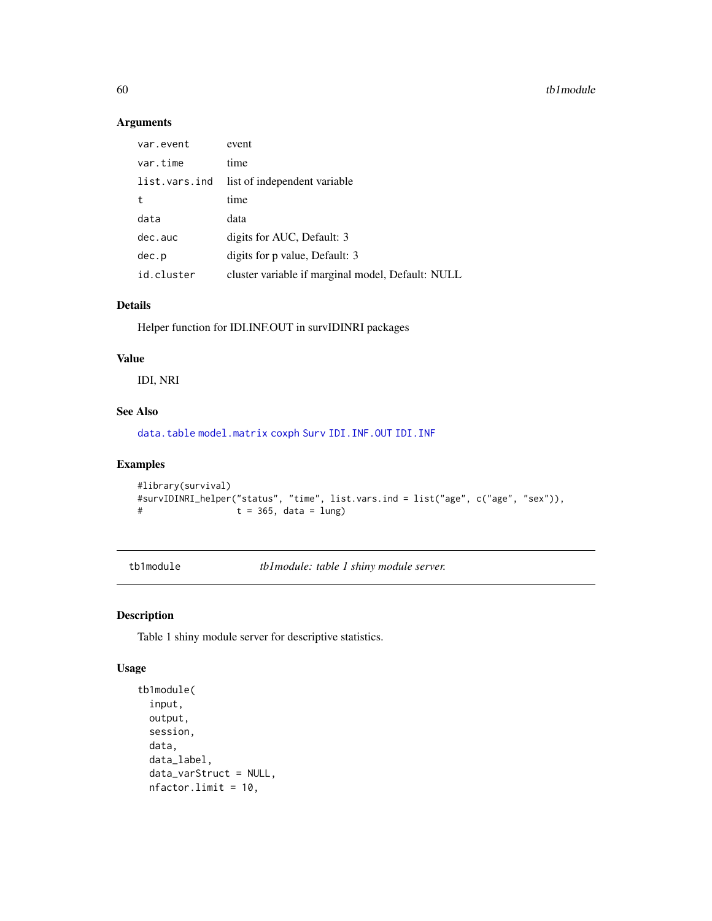### Arguments

| var.event     | event                                             |
|---------------|---------------------------------------------------|
| var.time      | time                                              |
| list.vars.ind | list of independent variable                      |
| t             | time                                              |
| data          | data                                              |
| dec.auc       | digits for AUC, Default: 3                        |
| dec.p         | digits for p value, Default: 3                    |
| id.cluster    | cluster variable if marginal model, Default: NULL |

### Details

Helper function for IDI.INF.OUT in survIDINRI packages

# Value

IDI, NRI

## See Also

[data.table](#page-0-0) [model.matrix](#page-0-0) [coxph](#page-0-0) [Surv](#page-0-0) [IDI.INF.OUT](#page-0-0) [IDI.INF](#page-0-0)

### Examples

```
#library(survival)
#survIDINRI_helper("status", "time", list.vars.ind = list("age", c("age", "sex")),
# t = 365, data = lung)
```
tb1module *tb1module: table 1 shiny module server.*

### Description

Table 1 shiny module server for descriptive statistics.

### Usage

```
tb1module(
  input,
 output,
 session,
 data,
 data_label,
  data_varStruct = NULL,
 nfactor.limit = 10,
```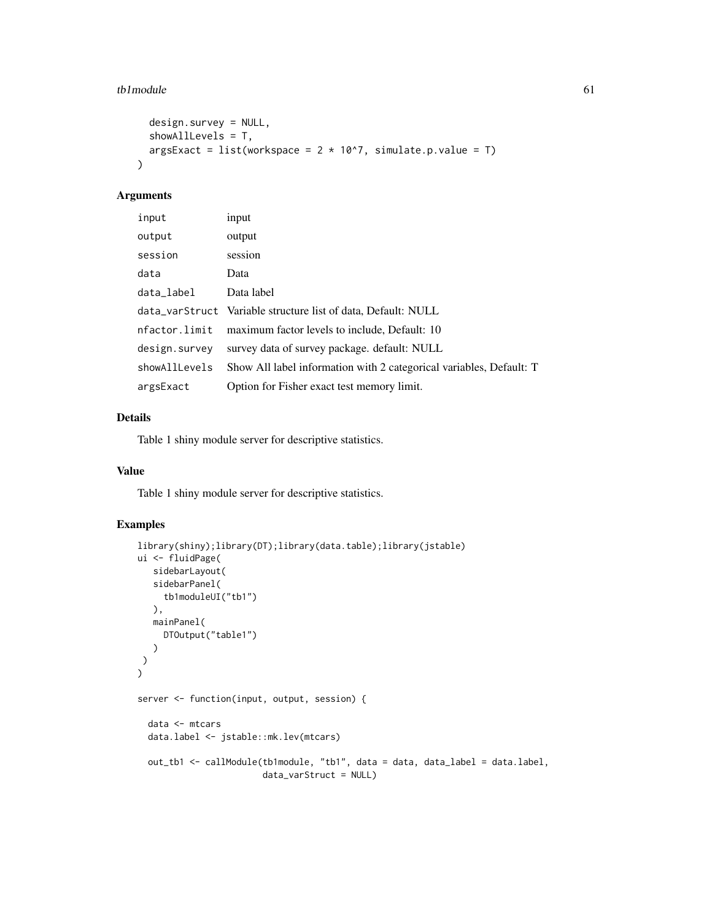#### $t$ b1module 61

```
design.survey = NULL,
  showAllLevels = T,
  argsExact = list(workspace = 2 * 10^2, simulate.p.value = T)
\mathcal{L}
```
### Arguments

| input         | input                                                               |
|---------------|---------------------------------------------------------------------|
| output        | output                                                              |
| session       | session                                                             |
| data          | Data                                                                |
| data_label    | Data label                                                          |
|               | data_varStruct Variable structure list of data, Default: NULL       |
| nfactor.limit | maximum factor levels to include, Default: 10                       |
| design.survey | survey data of survey package. default: NULL                        |
| showAllLevels | Show All label information with 2 categorical variables, Default: T |
| argsExact     | Option for Fisher exact test memory limit.                          |

### Details

Table 1 shiny module server for descriptive statistics.

#### Value

Table 1 shiny module server for descriptive statistics.

```
library(shiny);library(DT);library(data.table);library(jstable)
ui <- fluidPage(
  sidebarLayout(
   sidebarPanel(
     tb1moduleUI("tb1")
  ),
  mainPanel(
     DTOutput("table1")
   )
)
\mathcal{L}server <- function(input, output, session) {
  data <- mtcars
  data.label <- jstable::mk.lev(mtcars)
  out_tb1 <- callModule(tb1module, "tb1", data = data, data_label = data.label,
                        data_varStruct = NULL)
```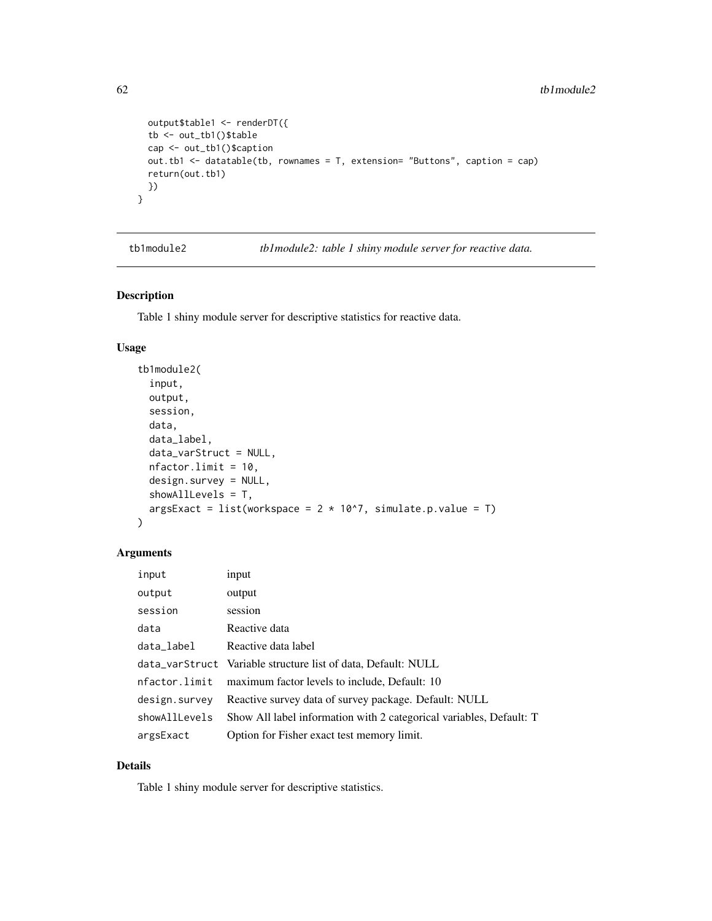```
output$table1 <- renderDT({
tb <- out_tb1()$table
cap <- out_tb1()$caption
out.tb1 <- datatable(tb, rownames = T, extension= "Buttons", caption = cap)
return(out.tb1)
})
```
tb1module2 *tb1module2: table 1 shiny module server for reactive data.*

### Description

}

Table 1 shiny module server for descriptive statistics for reactive data.

### Usage

```
tb1module2(
  input,
  output,
  session,
  data,
  data_label,
  data_varStruct = NULL,
  nfactor.limit = 10,
  design.survey = NULL,
  showAllLevels = T,
  argsExact = list(workspace = 2 * 10^2, simulate.p.value = T)
)
```
### Arguments

| input         | input                                                               |
|---------------|---------------------------------------------------------------------|
| output        | output                                                              |
| session       | session                                                             |
| data          | Reactive data                                                       |
| data_label    | Reactive data label                                                 |
|               | data_varStruct Variable structure list of data, Default: NULL       |
| nfactor.limit | maximum factor levels to include, Default: 10                       |
| design.survey | Reactive survey data of survey package. Default: NULL               |
| showAllLevels | Show All label information with 2 categorical variables, Default: T |
| argsExact     | Option for Fisher exact test memory limit.                          |

# Details

Table 1 shiny module server for descriptive statistics.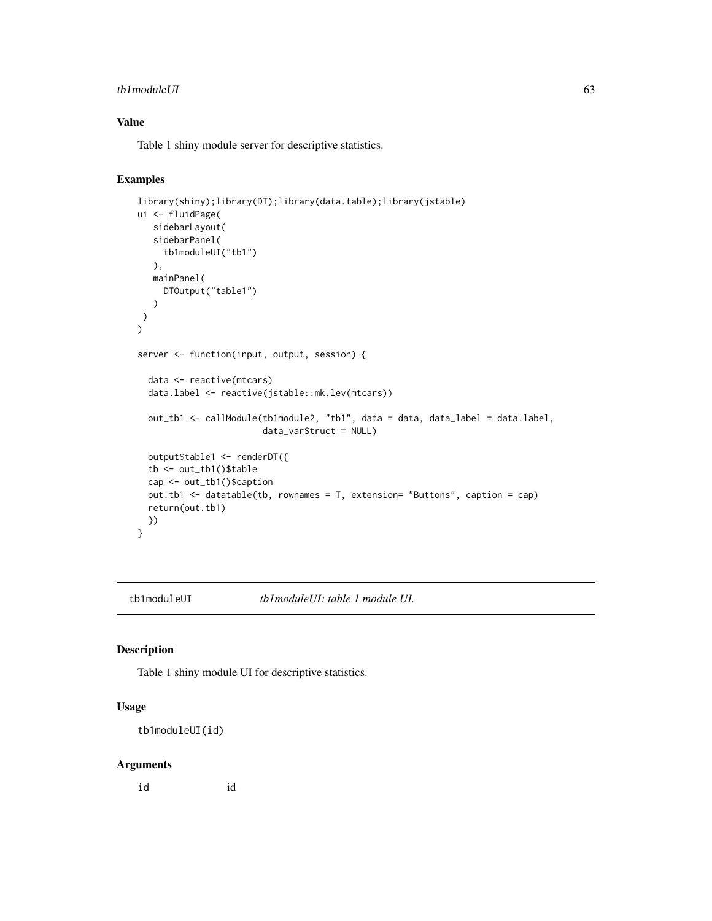#### tb1moduleUI 63

# Value

Table 1 shiny module server for descriptive statistics.

# Examples

```
library(shiny);library(DT);library(data.table);library(jstable)
ui <- fluidPage(
  sidebarLayout(
  sidebarPanel(
     tb1moduleUI("tb1")
  ),
  mainPanel(
    DTOutput("table1")
  )
)
)
server <- function(input, output, session) {
 data <- reactive(mtcars)
 data.label <- reactive(jstable::mk.lev(mtcars))
 out_tb1 <- callModule(tb1module2, "tb1", data = data, data_label = data.label,
                       data_varStruct = NULL)
 output$table1 <- renderDT({
 tb <- out_tb1()$table
 cap <- out_tb1()$caption
 out.tb1 <- datatable(tb, rownames = T, extension= "Buttons", caption = cap)
 return(out.tb1)
 })
}
```
tb1moduleUI *tb1moduleUI: table 1 module UI.*

#### Description

Table 1 shiny module UI for descriptive statistics.

### Usage

```
tb1moduleUI(id)
```
#### Arguments

id id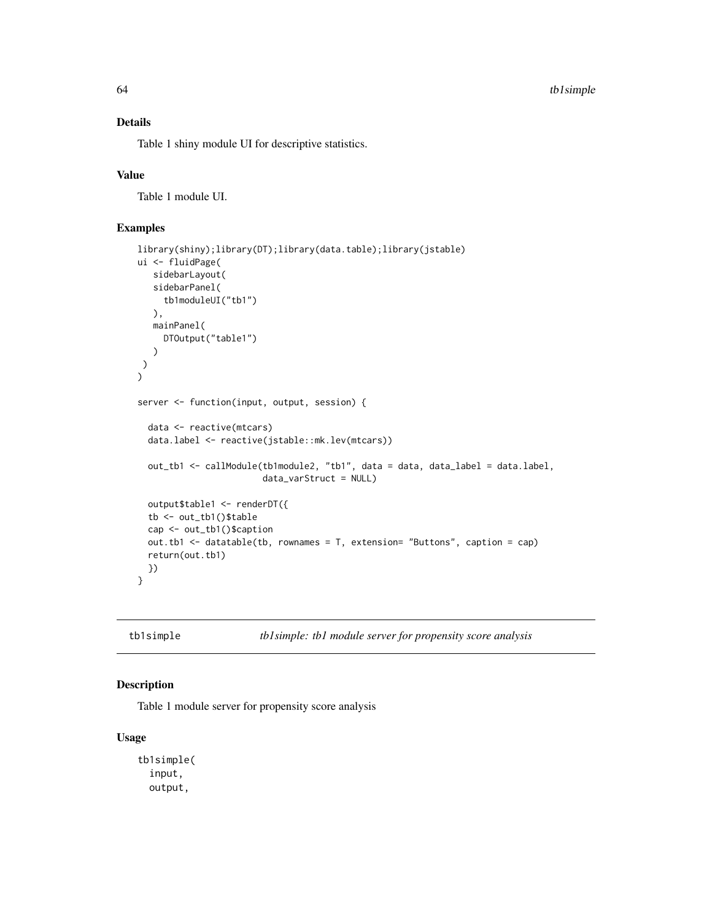### Details

Table 1 shiny module UI for descriptive statistics.

#### Value

Table 1 module UI.

# Examples

```
library(shiny);library(DT);library(data.table);library(jstable)
ui <- fluidPage(
  sidebarLayout(
  sidebarPanel(
     tb1moduleUI("tb1")
  ),
  mainPanel(
    DTOutput("table1")
   )
)
)
server <- function(input, output, session) {
 data <- reactive(mtcars)
 data.label <- reactive(jstable::mk.lev(mtcars))
 out_tb1 <- callModule(tb1module2, "tb1", data = data, data_label = data.label,
                        data_varStruct = NULL)
 output$table1 <- renderDT({
 tb <- out_tb1()$table
 cap <- out_tb1()$caption
 out.tb1 <- datatable(tb, rownames = T, extension= "Buttons", caption = cap)
 return(out.tb1)
 })
}
```
tb1simple *tb1simple: tb1 module server for propensity score analysis*

### Description

Table 1 module server for propensity score analysis

### Usage

```
tb1simple(
  input,
  output,
```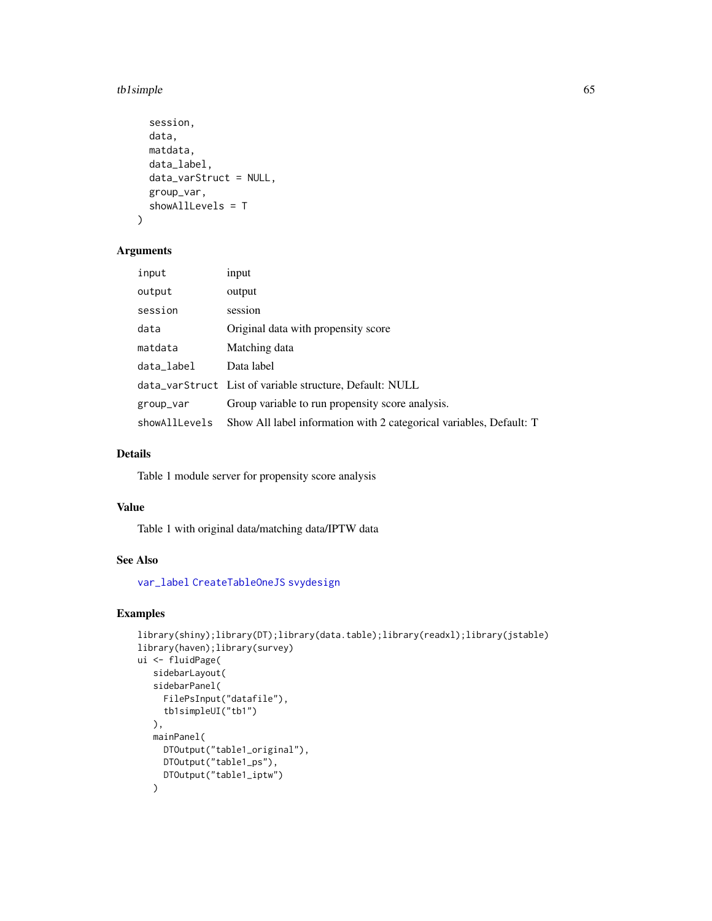#### tb1simple 65

```
session,
  data,
  matdata,
  data_label,
  data_varStruct = NULL,
  group_var,
  showAllLevels = T
\lambda
```
### Arguments

| input         | input                                                               |
|---------------|---------------------------------------------------------------------|
| output        | output                                                              |
| session       | session                                                             |
| data          | Original data with propensity score                                 |
| matdata       | Matching data                                                       |
| data_label    | Data label                                                          |
|               | data_varStruct List of variable structure, Default: NULL            |
| group_var     | Group variable to run propensity score analysis.                    |
| showAllLevels | Show All label information with 2 categorical variables, Default: T |

# Details

Table 1 module server for propensity score analysis

### Value

Table 1 with original data/matching data/IPTW data

## See Also

[var\\_label](#page-0-0) [CreateTableOneJS](#page-0-0) [svydesign](#page-0-0)

```
library(shiny);library(DT);library(data.table);library(readxl);library(jstable)
library(haven);library(survey)
ui <- fluidPage(
   sidebarLayout(
   sidebarPanel(
     FilePsInput("datafile"),
     tb1simpleUI("tb1")
   ),
   mainPanel(
     DTOutput("table1_original"),
     DTOutput("table1_ps"),
     DTOutput("table1_iptw")
   )
```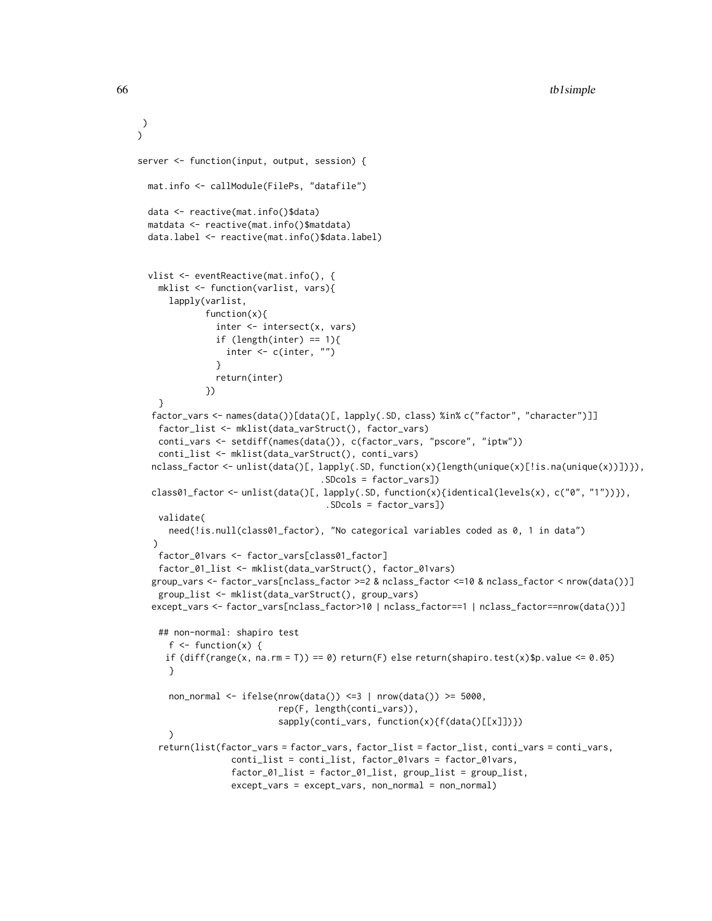```
)
server <- function(input, output, session) {
 mat.info <- callModule(FilePs, "datafile")
 data <- reactive(mat.info()$data)
 matdata <- reactive(mat.info()$matdata)
 data.label <- reactive(mat.info()$data.label)
 vlist <- eventReactive(mat.info(), {
    mklist <- function(varlist, vars){
      lapply(varlist,
             function(x){
               inter <- intersect(x, vars)
               if (length(inter) == 1){
                 inter <- c(inter, "")
               }
               return(inter)
             })
   }
  factor_vars <- names(data())[data()[, lapply(.SD, class) %in% c("factor", "character")]]
   factor_list <- mklist(data_varStruct(), factor_vars)
    conti_vars <- setdiff(names(data()), c(factor_vars, "pscore", "iptw"))
    conti_list <- mklist(data_varStruct(), conti_vars)
  nclass_factor <- unlist(data()[, lapply(.SD, function(x){length(unique(x)[!is.na(unique(x))])}),
                                    .SDcols = factor_vars])
  class01_factor <- unlist(data()[, lapply(.SD, function(x){identical(levels(x), c("0", "1"))}),
                                     .SDcols = factor_vars])
   validate(
      need(!is.null(class01_factor), "No categorical variables coded as 0, 1 in data")
   \lambdafactor_01vars <- factor_vars[class01_factor]
    factor_01_list <- mklist(data_varStruct(), factor_01vars)
  group_vars <- factor_vars[nclass_factor >=2 & nclass_factor <=10 & nclass_factor < nrow(data())]
    group_list <- mklist(data_varStruct(), group_vars)
  except_vars <- factor_vars[nclass_factor>10 | nclass_factor==1 | nclass_factor==nrow(data())]
    ## non-normal: shapiro test
      f \leftarrow function(x) {
     if diff(range(x, na.rm = T)) == 0) return(F) else return(shapiro.test(x)$p.value <= 0.05)
      }
      non_normal <- ifelse(nrow(data()) <=3 | nrow(data()) >= 5000,
                           rep(F, length(conti_vars)),
                           sapply(conti_vars, function(x){f(data()[[x]])})
      \lambdareturn(list(factor_vars = factor_vars, factor_list = factor_list, conti_vars = conti_vars,
                  conti_list = conti_list, factor_01vars = factor_01vars,
                  factor_01_list = factor_01_list, group_list = group_list,
                  except_vars = except_vars, non_normal = non_normal)
```
 $\lambda$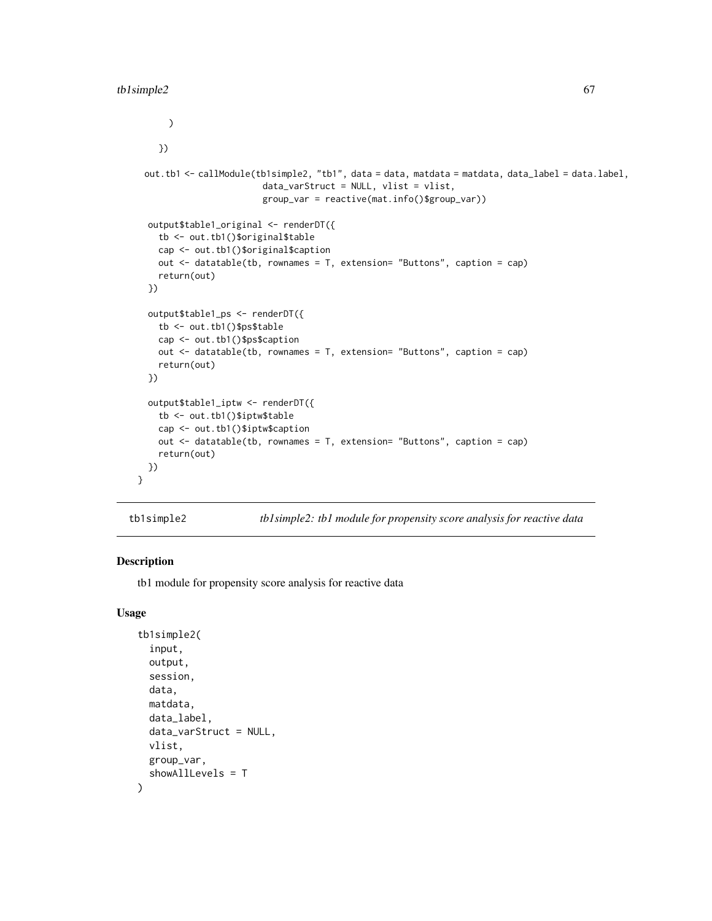```
\mathcal{L}})
 out.tb1 <- callModule(tb1simple2, "tb1", data = data, matdata = matdata, data_label = data.label,
                        data_varStruct = NULL, vlist = vlist,
                        group_var = reactive(mat.info()$group_var))
 output$table1_original <- renderDT({
    tb <- out.tb1()$original$table
   cap <- out.tb1()$original$caption
   out <- datatable(tb, rownames = T, extension= "Buttons", caption = cap)
   return(out)
 })
 output$table1_ps <- renderDT({
   tb <- out.tb1()$ps$table
   cap <- out.tb1()$ps$caption
   out <- datatable(tb, rownames = T, extension= "Buttons", caption = cap)
   return(out)
 })
 output$table1_iptw <- renderDT({
   tb <- out.tb1()$iptw$table
   cap <- out.tb1()$iptw$caption
   out <- datatable(tb, rownames = T, extension= "Buttons", caption = cap)
    return(out)
 })
}
```
tb1simple2 *tb1simple2: tb1 module for propensity score analysis for reactive data*

### Description

tb1 module for propensity score analysis for reactive data

### Usage

```
tb1simple2(
  input,
  output,
  session,
  data,
 matdata,
  data_label,
  data_varStruct = NULL,
 vlist,
  group_var,
  showAllLevels = T
)
```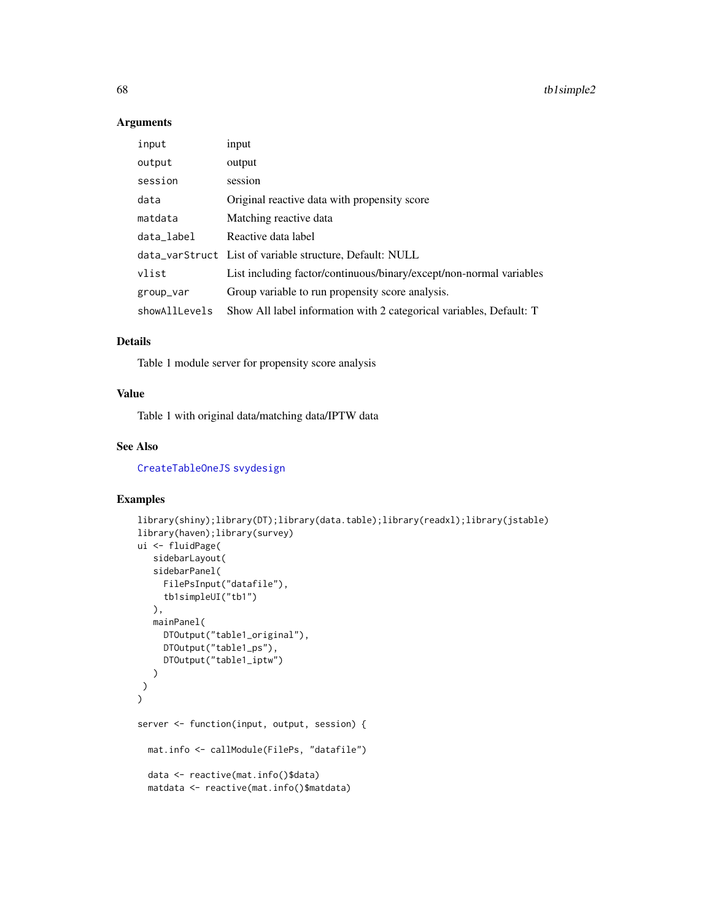### Arguments

| input         | input                                                               |
|---------------|---------------------------------------------------------------------|
| output        | output                                                              |
| session       | session                                                             |
| data          | Original reactive data with propensity score                        |
| matdata       | Matching reactive data                                              |
| data_label    | Reactive data label                                                 |
|               | data_varStruct List of variable structure, Default: NULL            |
| vlist         | List including factor/continuous/binary/except/non-normal variables |
| group_var     | Group variable to run propensity score analysis.                    |
| showAllLevels | Show All label information with 2 categorical variables, Default: T |

### Details

Table 1 module server for propensity score analysis

### Value

Table 1 with original data/matching data/IPTW data

### See Also

[CreateTableOneJS](#page-0-0) [svydesign](#page-0-0)

```
library(shiny);library(DT);library(data.table);library(readxl);library(jstable)
library(haven);library(survey)
ui <- fluidPage(
   sidebarLayout(
   sidebarPanel(
     FilePsInput("datafile"),
     tb1simpleUI("tb1")
  ),
  mainPanel(
     DTOutput("table1_original"),
     DTOutput("table1_ps"),
     DTOutput("table1_iptw")
  )
\lambda\overline{)}server <- function(input, output, session) {
  mat.info <- callModule(FilePs, "datafile")
  data <- reactive(mat.info()$data)
  matdata <- reactive(mat.info()$matdata)
```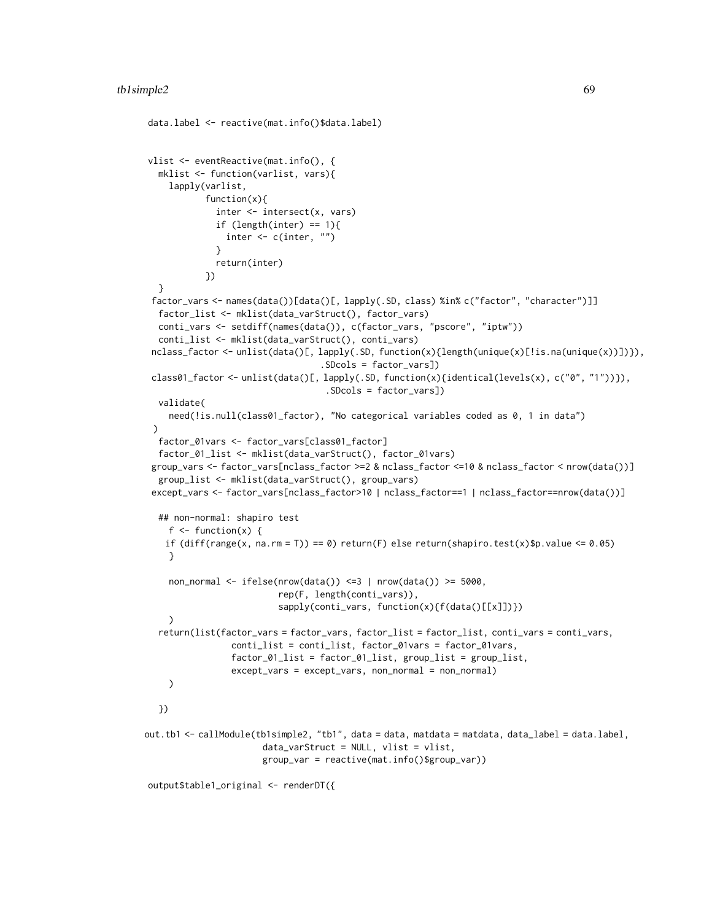```
data.label <- reactive(mat.info()$data.label)
vlist <- eventReactive(mat.info(), {
  mklist <- function(varlist, vars){
    lapply(varlist,
           function(x){
              inter <- intersect(x, vars)
              if (length(inter) == 1){
                inter <- c(inter, "")
             }
             return(inter)
           })
  }
 factor_vars <- names(data())[data()[, lapply(.SD, class) %in% c("factor", "character")]]
  factor_list <- mklist(data_varStruct(), factor_vars)
  conti_vars <- setdiff(names(data()), c(factor_vars, "pscore", "iptw"))
  conti_list <- mklist(data_varStruct(), conti_vars)
 nclass_factor <- unlist(data()[, lapply(.SD, function(x){length(unique(x)[!is.na(unique(x))])}),
                                  .SDcols = factor_vars])
 class01_factor <- unlist(data()[, lapply(.SD, function(x){identical(levels(x), c("0", "1"))}),
                                   .SDcols = factor_vars])
  validate(
    need(!is.null(class01_factor), "No categorical variables coded as 0, 1 in data")
 )
  factor_01vars <- factor_vars[class01_factor]
  factor_01_list <- mklist(data_varStruct(), factor_01vars)
 group_vars <- factor_vars[nclass_factor >=2 & nclass_factor <=10 & nclass_factor < nrow(data())]
  group_list <- mklist(data_varStruct(), group_vars)
 except_vars <- factor_vars[nclass_factor>10 | nclass_factor==1 | nclass_factor==nrow(data())]
  ## non-normal: shapiro test
    f \leftarrow function(x) {
   if diff(range(x, na.rm = T)) == 0) return(F) else return(shapiro.test(x)$p.value <= 0.05)
    }
    non_normal <- ifelse(nrow(data()) <=3 | nrow(data()) >= 5000,
                          rep(F, length(conti_vars)),
                          sapply(conti_vars, function(x){f(data()[[x]])})
    \lambdareturn(list(factor_vars = factor_vars, factor_list = factor_list, conti_vars = conti_vars,
                 conti_list = conti_list, factor_01vars = factor_01vars,
                 factor_01_list = factor_01_list, group_list = group_list,
                 except_vars = except_vars, non_normal = non_normal)
    )
  })
out.tb1 <- callModule(tb1simple2, "tb1", data = data, matdata = matdata, data_label = data.label,
                       data_varStruct = NULL, vlist = vlist,
                       group_var = reactive(mat.info()$group_var))
```
output\$table1\_original <- renderDT({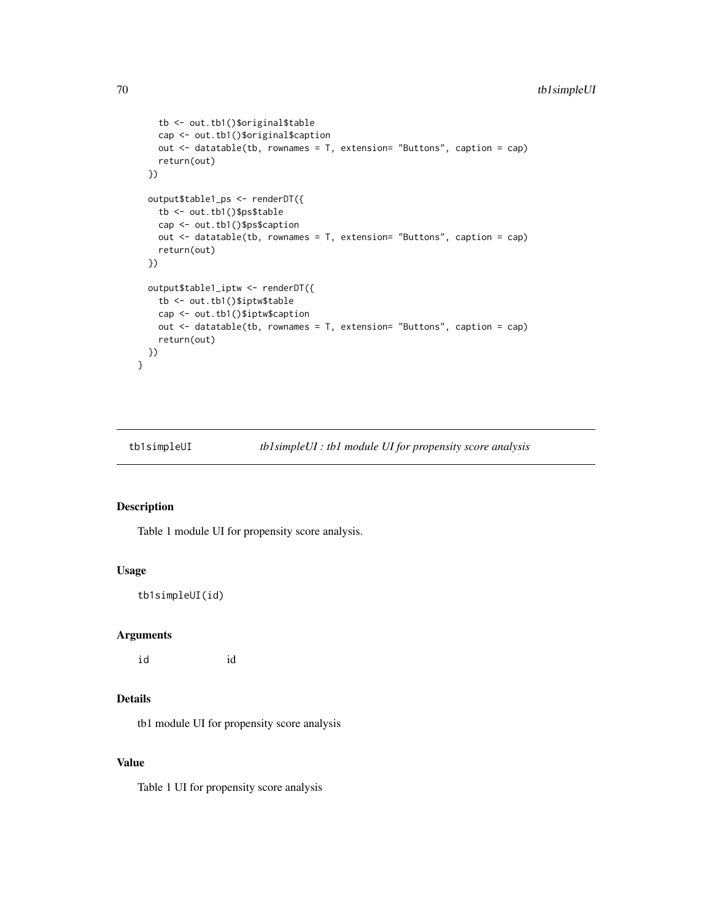```
tb <- out.tb1()$original$table
   cap <- out.tb1()$original$caption
   out <- datatable(tb, rownames = T, extension= "Buttons", caption = cap)
   return(out)
 })
 output$table1_ps <- renderDT({
   tb <- out.tb1()$ps$table
   cap <- out.tb1()$ps$caption
   out <- datatable(tb, rownames = T, extension= "Buttons", caption = cap)
   return(out)
 })
 output$table1_iptw <- renderDT({
   tb <- out.tb1()$iptw$table
   cap <- out.tb1()$iptw$caption
   out <- datatable(tb, rownames = T, extension= "Buttons", caption = cap)
   return(out)
 })
}
```
tb1simpleUI *tb1simpleUI : tb1 module UI for propensity score analysis*

# Description

Table 1 module UI for propensity score analysis.

#### Usage

tb1simpleUI(id)

### Arguments

id id

# Details

tb1 module UI for propensity score analysis

## Value

Table 1 UI for propensity score analysis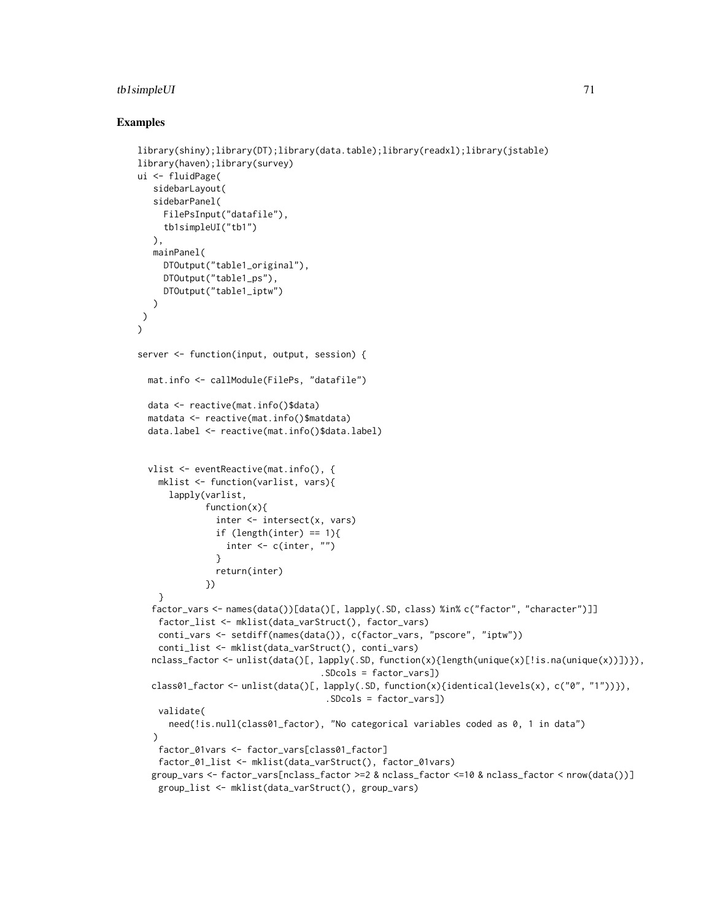## tb1simpleUI 71

```
library(shiny);library(DT);library(data.table);library(readxl);library(jstable)
library(haven);library(survey)
ui <- fluidPage(
   sidebarLayout(
   sidebarPanel(
     FilePsInput("datafile"),
     tb1simpleUI("tb1")
   ),
   mainPanel(
     DTOutput("table1_original"),
     DTOutput("table1_ps"),
     DTOutput("table1_iptw")
   )
)
\mathcal{L}server <- function(input, output, session) {
  mat.info <- callModule(FilePs, "datafile")
  data <- reactive(mat.info()$data)
  matdata <- reactive(mat.info()$matdata)
  data.label <- reactive(mat.info()$data.label)
  vlist <- eventReactive(mat.info(), {
    mklist <- function(varlist, vars){
      lapply(varlist,
             function(x){
               inter <- intersect(x, vars)
               if (length(inter) == 1){
                 inter <- c(inter, "")
               }
               return(inter)
             })
    }
  factor_vars <- names(data())[data()[, lapply(.SD, class) %in% c("factor", "character")]]
    factor_list <- mklist(data_varStruct(), factor_vars)
    conti_vars <- setdiff(names(data()), c(factor_vars, "pscore", "iptw"))
    conti_list <- mklist(data_varStruct(), conti_vars)
  nclass_factor <- unlist(data()[, lapply(.SD, function(x){length(unique(x)[!is.na(unique(x))])}),
                                    .SDcols = factor_vars])
  class01_factor <- unlist(data()[, lapply(.SD, function(x){identical(levels(x), c("0", "1"))}),
                                     .SDcols = factor_vars])
    validate(
      need(!is.null(class01_factor), "No categorical variables coded as 0, 1 in data")
   )
   factor_01vars <- factor_vars[class01_factor]
    factor_01_list <- mklist(data_varStruct(), factor_01vars)
  group_vars <- factor_vars[nclass_factor >=2 & nclass_factor <=10 & nclass_factor < nrow(data())]
    group_list <- mklist(data_varStruct(), group_vars)
```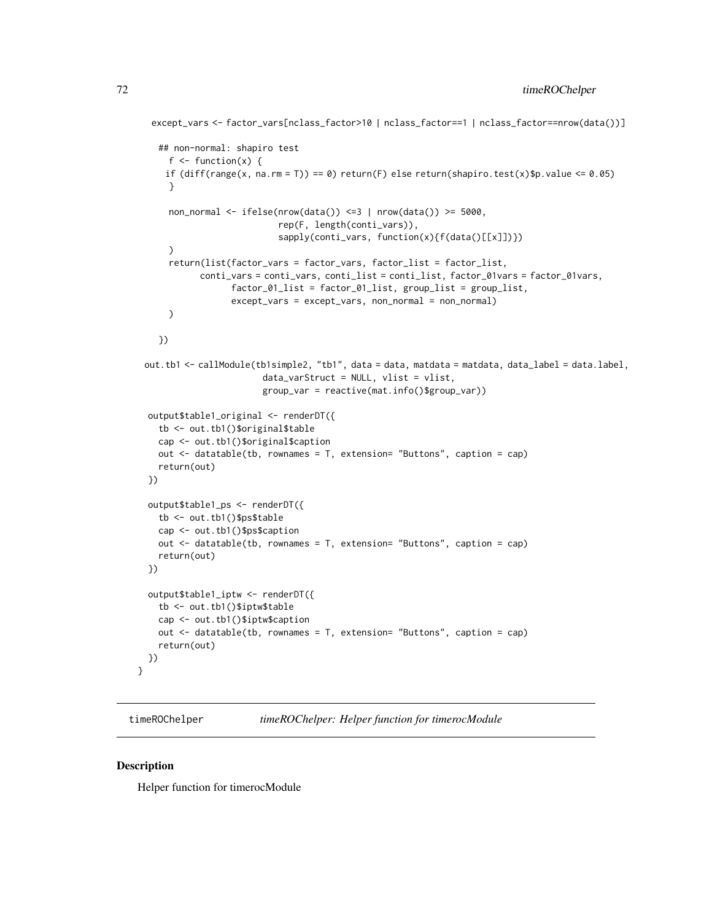```
except_vars <- factor_vars[nclass_factor>10 | nclass_factor==1 | nclass_factor==nrow(data())]
  ## non-normal: shapiro test
    f \leftarrow function(x) {
   if diff(range(x, na.rm = T)) == 0) return(F) else return(shapiro.test(x)$p.value <= 0.05)
    }
    non_normal <- ifelse(nrow(data()) <=3 | nrow(data()) >= 5000,
                          rep(F, length(conti_vars)),
                          sapply(conti_vars, function(x){f(data()[[x]])})
    )
    return(list(factor_vars = factor_vars, factor_list = factor_list,
          conti_vars = conti_vars, conti_list = conti_list, factor_01vars = factor_01vars,
                 factor_01_list = factor_01_list, group_list = group_list,
                except_vars = except_vars, non_normal = non_normal)
    )
  })
out.tb1 <- callModule(tb1simple2, "tb1", data = data, matdata = matdata, data_label = data.label,
                      data_varStruct = NULL, vlist = vlist,
                      group_var = reactive(mat.info()$group_var))
output$table1_original <- renderDT({
  tb <- out.tb1()$original$table
  cap <- out.tb1()$original$caption
  out \leq datatable(tb, rownames = T, extension= "Buttons", caption = cap)
  return(out)
})
output$table1_ps <- renderDT({
  tb <- out.tb1()$ps$table
  cap <- out.tb1()$ps$caption
  out <- datatable(tb, rownames = T, extension= "Buttons", caption = cap)
  return(out)
})
output$table1_iptw <- renderDT({
  tb <- out.tb1()$iptw$table
  cap <- out.tb1()$iptw$caption
  out <- datatable(tb, rownames = T, extension= "Buttons", caption = cap)
  return(out)
})
```
timeROChelper *timeROChelper: Helper function for timerocModule*

#### Description

}

Helper function for timerocModule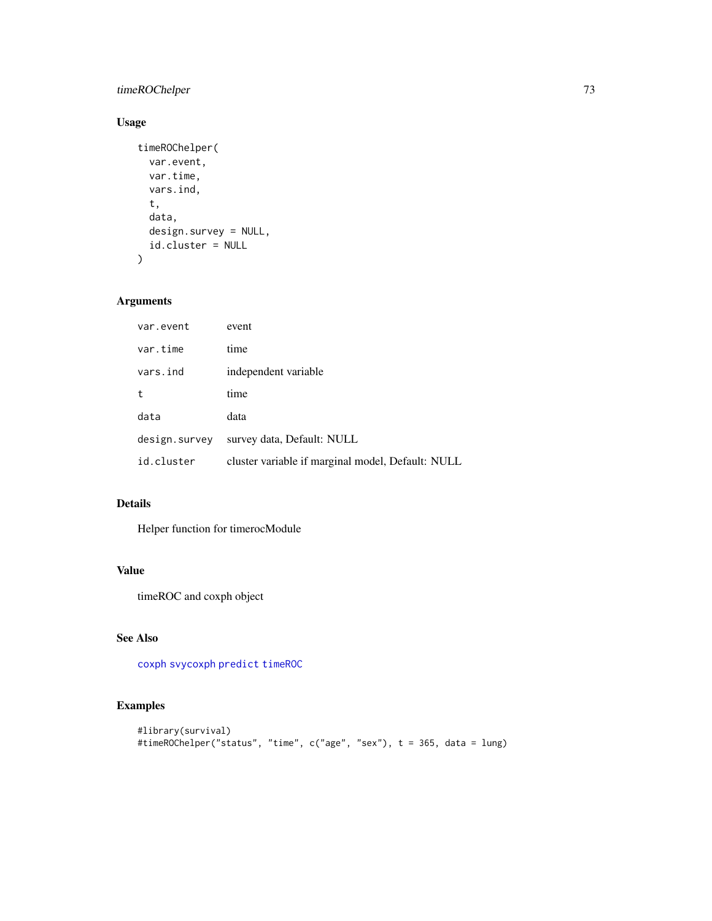# <span id="page-72-0"></span>timeROChelper 73

# Usage

```
timeROChelper(
  var.event,
  var.time,
  vars.ind,
  t,
  data,
  design.survey = NULL,
  id.cluster = NULL
)
```
## Arguments

| var.event     | event                                             |
|---------------|---------------------------------------------------|
| var.time      | time                                              |
| vars.ind      | independent variable                              |
| t             | time                                              |
| data          | data                                              |
| design.survey | survey data, Default: NULL                        |
| id.cluster    | cluster variable if marginal model, Default: NULL |

## Details

Helper function for timerocModule

# Value

timeROC and coxph object

## See Also

[coxph](#page-0-0) [svycoxph](#page-0-0) [predict](#page-0-0) [timeROC](#page-0-0)

```
#library(survival)
#timeROChelper("status", "time", c("age", "sex"), t = 365, data = lung)
```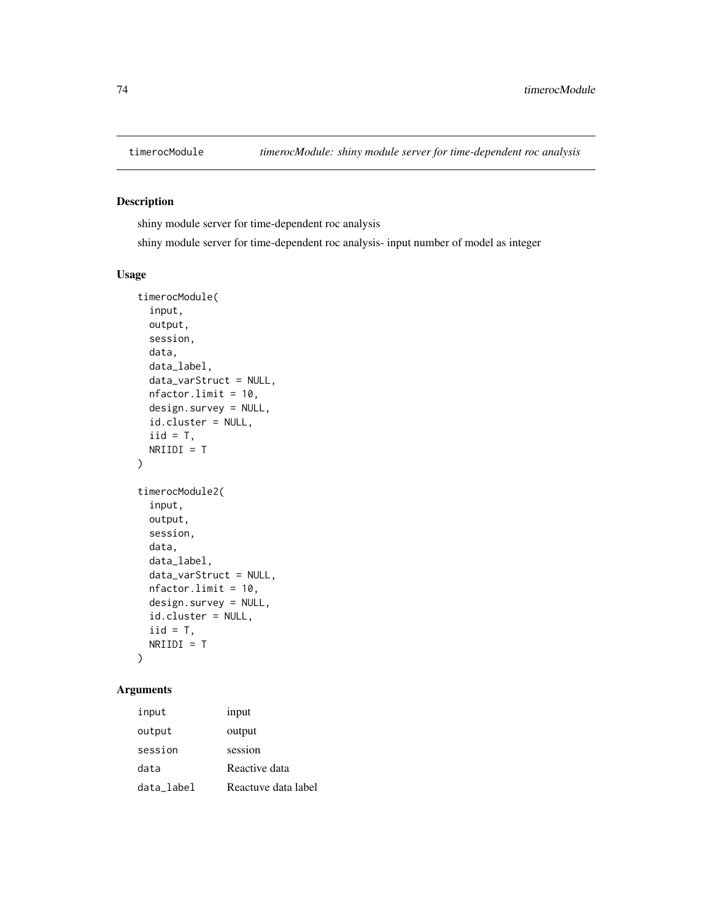<span id="page-73-0"></span>

#### Description

shiny module server for time-dependent roc analysis

shiny module server for time-dependent roc analysis- input number of model as integer

## Usage

```
timerocModule(
  input,
 output,
  session,
 data,
 data_label,
 data_varStruct = NULL,
 nfactor.limit = 10,
 design.survey = NULL,
  id.cluster = NULL,
  iid = T,
 NRIIDI = T
)
timerocModule2(
  input,
 output,
  session,
 data,
  data_label,
 data_varStruct = NULL,
 nfactor.limit = 10,
 design.survey = NULL,
 id.cluster = NULL,
  iid = T,NRIIDI = T
)
```
## Arguments

| input      | input               |
|------------|---------------------|
| output     | output              |
| session    | session             |
| data       | Reactive data       |
| data label | Reactuve data label |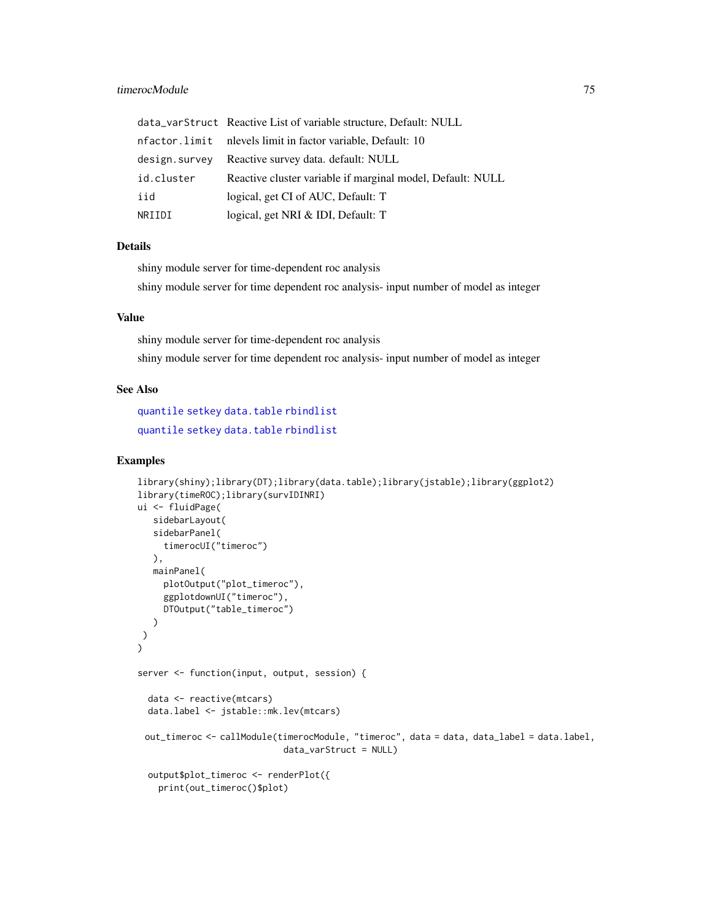## <span id="page-74-0"></span>timerocModule 75

|               | data_varStruct Reactive List of variable structure, Default: NULL |
|---------------|-------------------------------------------------------------------|
|               |                                                                   |
| design.survev | Reactive survey data. default: NULL                               |
| id.cluster    | Reactive cluster variable if marginal model, Default: NULL        |
| iid           | logical, get CI of AUC, Default: T                                |
| NRIIDI        | logical, get NRI & IDI, Default: T                                |

#### Details

shiny module server for time-dependent roc analysis shiny module server for time dependent roc analysis- input number of model as integer

#### Value

shiny module server for time-dependent roc analysis shiny module server for time dependent roc analysis- input number of model as integer

## See Also

[quantile](#page-0-0) [setkey](#page-0-0) [data.table](#page-0-0) [rbindlist](#page-0-0) [quantile](#page-0-0) [setkey](#page-0-0) [data.table](#page-0-0) [rbindlist](#page-0-0)

```
library(shiny);library(DT);library(data.table);library(jstable);library(ggplot2)
library(timeROC);library(survIDINRI)
ui <- fluidPage(
  sidebarLayout(
   sidebarPanel(
     timerocUI("timeroc")
   ),
  mainPanel(
     plotOutput("plot_timeroc"),
     ggplotdownUI("timeroc"),
     DTOutput("table_timeroc")
   )
 )
)
server <- function(input, output, session) {
  data <- reactive(mtcars)
  data.label <- jstable::mk.lev(mtcars)
 out_timeroc <- callModule(timerocModule, "timeroc", data = data, data_label = data.label,
                            data_varStruct = NULL)
  output$plot_timeroc <- renderPlot({
    print(out_timeroc()$plot)
```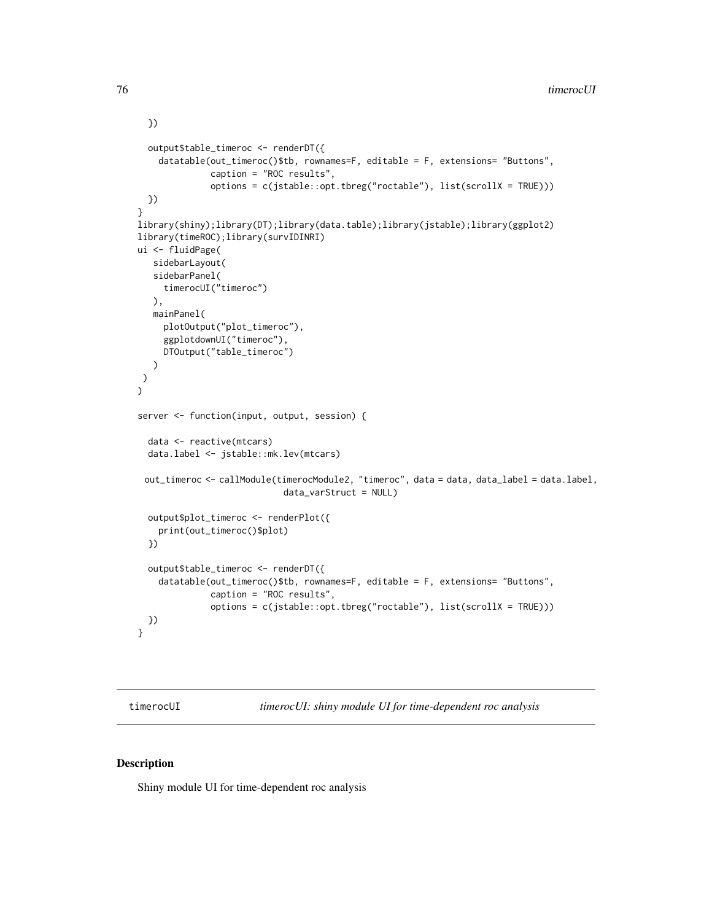```
})
  output$table_timeroc <- renderDT({
    datatable(out_timeroc()$tb, rownames=F, editable = F, extensions= "Buttons",
              caption = "ROC results",
              options = c(jstable::opt.tbreg("roctable"), list(scrollX = TRUE)))
  })
}
library(shiny);library(DT);library(data.table);library(jstable);library(ggplot2)
library(timeROC);library(survIDINRI)
ui <- fluidPage(
   sidebarLayout(
   sidebarPanel(
     timerocUI("timeroc")
   ),
   mainPanel(
     plotOutput("plot_timeroc"),
     ggplotdownUI("timeroc"),
     DTOutput("table_timeroc")
   )
)
\lambdaserver <- function(input, output, session) {
  data <- reactive(mtcars)
  data.label <- jstable::mk.lev(mtcars)
 out_timeroc <- callModule(timerocModule2, "timeroc", data = data, data_label = data.label,
                            data_varStruct = NULL)
  output$plot_timeroc <- renderPlot({
    print(out_timeroc()$plot)
  })
  output$table_timeroc <- renderDT({
    datatable(out_timeroc()$tb, rownames=F, editable = F, extensions= "Buttons",
              caption = "ROC results",
              options = c(jstable::opt.tbreg("roctable"), list(scrollX = TRUE)))
  })
}
```
timerocUI *timerocUI: shiny module UI for time-dependent roc analysis*

#### Description

Shiny module UI for time-dependent roc analysis

<span id="page-75-0"></span>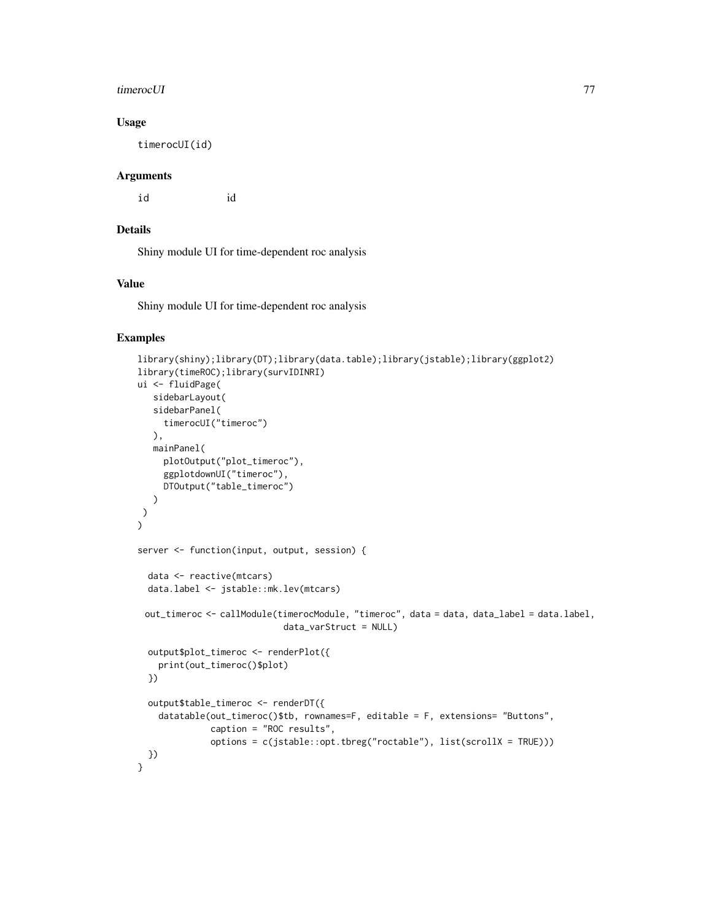#### timerocUI 77

## Usage

timerocUI(id)

## Arguments

id id

## Details

Shiny module UI for time-dependent roc analysis

## Value

Shiny module UI for time-dependent roc analysis

```
library(shiny);library(DT);library(data.table);library(jstable);library(ggplot2)
library(timeROC);library(survIDINRI)
ui <- fluidPage(
  sidebarLayout(
  sidebarPanel(
     timerocUI("timeroc")
  ),
  mainPanel(
    plotOutput("plot_timeroc"),
     ggplotdownUI("timeroc"),
    DTOutput("table_timeroc")
  )
)
)
server <- function(input, output, session) {
 data <- reactive(mtcars)
 data.label <- jstable::mk.lev(mtcars)
 out_timeroc <- callModule(timerocModule, "timeroc", data = data, data_label = data.label,
                            data_varStruct = NULL)
 output$plot_timeroc <- renderPlot({
   print(out_timeroc()$plot)
 })
 output$table_timeroc <- renderDT({
    datatable(out_timeroc()$tb, rownames=F, editable = F, extensions= "Buttons",
              caption = "ROC results",
              options = c(jstable::opt.tbreg("roctable"), list(scrollX = TRUE)))
 })
}
```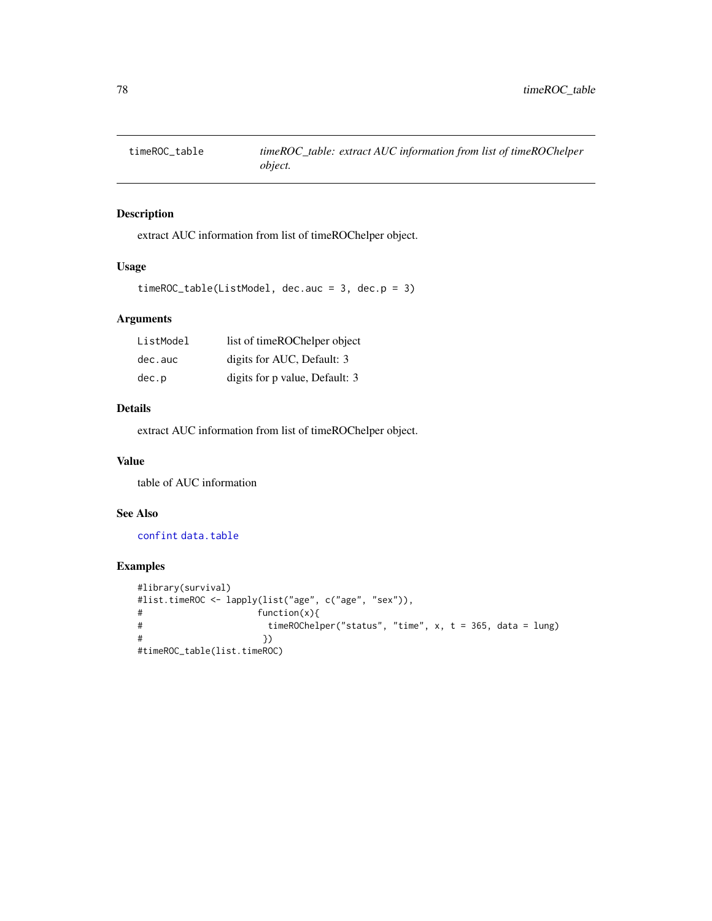<span id="page-77-0"></span>

## Description

extract AUC information from list of timeROChelper object.

#### Usage

```
timeROC_table(ListModel, dec.auc = 3, dec.p = 3)
```
## Arguments

| ListModel  | list of timeROChelper object   |
|------------|--------------------------------|
| $dec.$ auc | digits for AUC, Default: 3     |
| dec.p      | digits for p value, Default: 3 |

## Details

extract AUC information from list of timeROChelper object.

## Value

table of AUC information

## See Also

[confint](#page-0-0) [data.table](#page-0-0)

```
#library(survival)
#list.timeROC <- lapply(list("age", c("age", "sex")),
# function(x){
# timeROChelper("status", "time", x, t = 365, data = lung)
# })
#timeROC_table(list.timeROC)
```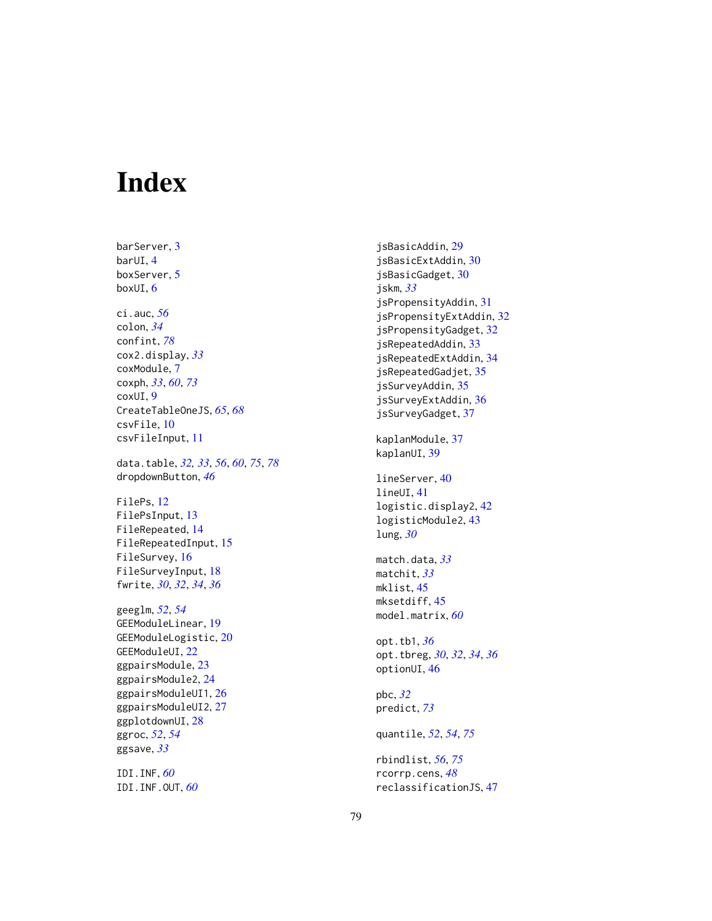# Index

barServer , [3](#page-2-0) barUI , [4](#page-3-0) boxServer , [5](#page-4-0) boxUI , [6](#page-5-0) ci.auc , *[56](#page-55-0)* colon , *[34](#page-33-0)* confint , *[78](#page-77-0)* cox2.display , *[33](#page-32-0)* coxModule , [7](#page-6-0) coxph , *[33](#page-32-0)* , *[60](#page-59-0)* , *[73](#page-72-0)* coxUI , [9](#page-8-0) CreateTableOneJS , *[65](#page-64-0)* , *[68](#page-67-0)* csvFile , [10](#page-9-0) csvFileInput , [11](#page-10-0) data.table , *[32](#page-31-0) , [33](#page-32-0)* , *[56](#page-55-0)* , *[60](#page-59-0)* , *[75](#page-74-0)* , *[78](#page-77-0)* dropdownButton , *[46](#page-45-0)* FilePs, [12](#page-11-0) FilePsInput , [13](#page-12-0) FileRepeated , [14](#page-13-0) FileRepeatedInput , [15](#page-14-0) FileSurvey , [16](#page-15-0) FileSurveyInput , [18](#page-17-0) fwrite , *[30](#page-29-0)* , *[32](#page-31-0)* , *[34](#page-33-0)* , *[36](#page-35-0)* geeglm , *[52](#page-51-0)* , *[54](#page-53-0)* GEEModuleLinear , [19](#page-18-0) GEEModuleLogistic , [20](#page-19-0) GEEModuleUI , [22](#page-21-0) ggpairsModule, [23](#page-22-0) ggpairsModule2 , [24](#page-23-0) ggpairsModuleUI1 , [26](#page-25-0) ggpairsModuleUI2 , [27](#page-26-0) ggplotdownUI, [28](#page-27-0) ggroc , *[52](#page-51-0)* , *[54](#page-53-0)* ggsave , *[33](#page-32-0)* IDI.INF , *[60](#page-59-0)* IDI.INF.OUT , *[60](#page-59-0)*

jsBasicAddin , [29](#page-28-0) jsBasicExtAddin , [30](#page-29-0) jsBasicGadget , [30](#page-29-0) jskm , *[33](#page-32-0)* jsPropensityAddin , [31](#page-30-0) jsPropensityExtAddin , [32](#page-31-0) jsPropensityGadget , [32](#page-31-0) jsRepeatedAddin , [33](#page-32-0) jsRepeatedExtAddin , [34](#page-33-0) jsRepeatedGadjet , [35](#page-34-0) jsSurveyAddin , [35](#page-34-0) jsSurveyExtAddin , [36](#page-35-0) jsSurveyGadget , [37](#page-36-0) kaplanModule , [37](#page-36-0) kaplanUI, [39](#page-38-0) lineServer , [40](#page-39-0) lineUI , [41](#page-40-0) logistic.display2 , [42](#page-41-0) logisticModule2 , [43](#page-42-0) lung , *[30](#page-29-0)* match.data , *[33](#page-32-0)* matchit , *[33](#page-32-0)* mklist , [45](#page-44-0) mksetdiff , [45](#page-44-0) model.matrix , *[60](#page-59-0)* opt.tb1 , *[36](#page-35-0)* opt.tbreg , *[30](#page-29-0)* , *[32](#page-31-0)* , *[34](#page-33-0)* , *[36](#page-35-0)* optionUI , [46](#page-45-0) pbc , *[32](#page-31-0)* predict , *[73](#page-72-0)* quantile , *[52](#page-51-0)* , *[54](#page-53-0)* , *[75](#page-74-0)* rbindlist , *[56](#page-55-0)* , *[75](#page-74-0)* rcorrp.cens , *[48](#page-47-0)* reclassificationJS , [47](#page-46-0)